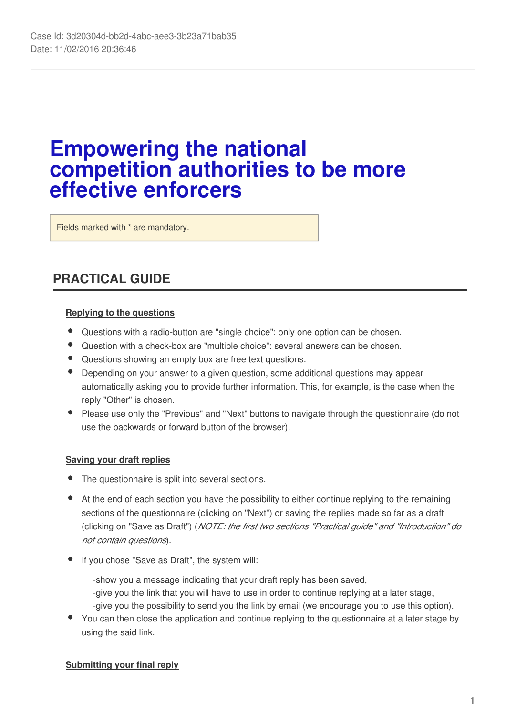# **Empowering the national competition authorities to be more effective enforcers**

Fields marked with \* are mandatory.

# **PRACTICAL GUIDE**

### **Replying to the questions**

- Questions with a radio-button are "single choice": only one option can be chosen.
- Question with a check-box are "multiple choice": several answers can be chosen.
- Questions showing an empty box are free text questions.
- Depending on your answer to a given question, some additional questions may appear automatically asking you to provide further information. This, for example, is the case when the reply "Other" is chosen.
- Please use only the "Previous" and "Next" buttons to navigate through the questionnaire (do not use the backwards or forward button of the browser).

### **Saving your draft replies**

- The questionnaire is split into several sections.
- At the end of each section you have the possibility to either continue replying to the remaining sections of the questionnaire (clicking on "Next") or saving the replies made so far as a draft (clicking on "Save as Draft") (*NOTE: the first two sections "Practical guide" and "Introduction" do not contain questions*).
- If you chose "Save as Draft", the system will:
	- -show you a message indicating that your draft reply has been saved, -give you the link that you will have to use in order to continue replying at a later stage,
	- -give you the possibility to send you the link by email (we encourage you to use this option).
- You can then close the application and continue replying to the questionnaire at a later stage by using the said link.

### **Submitting your final reply**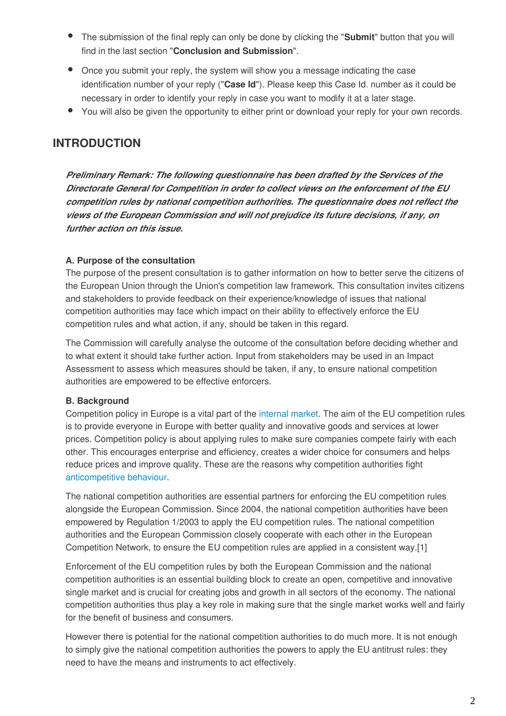- The submission of the final reply can only be done by clicking the "**Submit**" button that you will find in the last section "**Conclusion and Submission**".
- Once you submit your reply, the system will show you a message indicating the case identification number of your reply ("**Case Id**"). Please keep this Case Id. number as it could be necessary in order to identify your reply in case you want to modify it at a later stage.
- You will also be given the opportunity to either print or download your reply for your own records.

### **INTRODUCTION**

*Preliminary Remark: The following questionnaire has been drafted by the Services of the Directorate General for Competition in order to collect views on the enforcement of the EU competition rules by national competition authorities. The questionnaire does not reflect the views of the European Commission and will not prejudice its future decisions, if any, on further action on this issue.*

### **A. Purpose of the consultation**

The purpose of the present consultation is to gather information on how to better serve the citizens of the European Union through the Union's competition law framework. This consultation invites citizens and stakeholders to provide feedback on their experience/knowledge of issues that national competition authorities may face which impact on their ability to effectively enforce the EU competition rules and what action, if any, should be taken in this regard.

The Commission will carefully analyse the outcome of the consultation before deciding whether and to what extent it should take further action. Input from stakeholders may be used in an Impact Assessment to assess which measures should be taken, if any, to ensure national competition authorities are empowered to be effective enforcers.

### **B. Background**

Competition policy in Europe is a vital part of the [internal market.](http://ec.europa.eu/priorities/internal-market/index_en.htm) The aim of the EU competition rules is to provide everyone in Europe with better quality and innovative goods and services at lower prices. Competition policy is about applying rules to make sure companies compete fairly with each other. This encourages enterprise and efficiency, creates a wider choice for consumers and helps reduce prices and improve quality. These are the reasons why competition authorities fight [anticompetitive behaviour](http://ec.europa.eu/competition/antitrust/overview_en.html).

The national competition authorities are essential partners for enforcing the EU competition rules alongside the European Commission. Since 2004, the national competition authorities have been empowered by Regulation 1/2003 to apply the EU competition rules. The national competition authorities and the European Commission closely cooperate with each other in the European Competition Network, to ensure the EU competition rules are applied in a consistent way.[1]

Enforcement of the EU competition rules by both the European Commission and the national competition authorities is an essential building block to create an open, competitive and innovative single market and is crucial for creating jobs and growth in all sectors of the economy. The national competition authorities thus play a key role in making sure that the single market works well and fairly for the benefit of business and consumers.

However there is potential for the national competition authorities to do much more. It is not enough to simply give the national competition authorities the powers to apply the EU antitrust rules: they need to have the means and instruments to act effectively.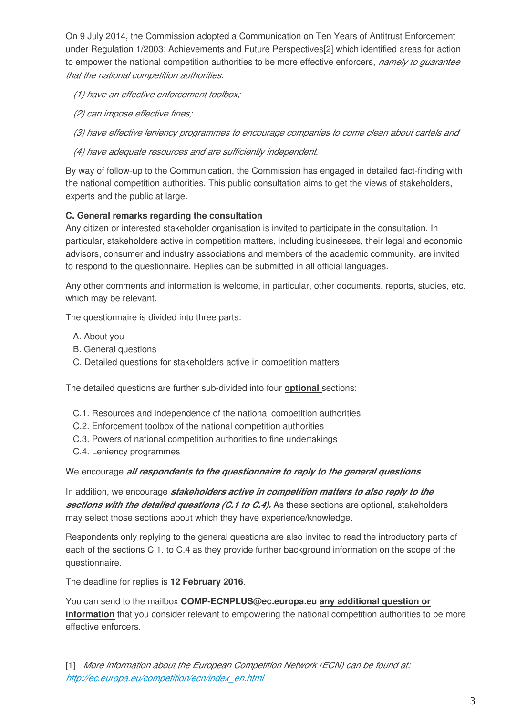On 9 July 2014, the Commission adopted a Communication on Ten Years of Antitrust Enforcement under Regulation 1/2003: Achievements and Future Perspectives[2] which identified areas for action to empower the national competition authorities to be more effective enforcers, *namely to guarantee that the national competition authorities:*

- *(1) have an effective enforcement toolbox;*
- *(2) can impose effective fines;*

 *(3) have effective leniency programmes to encourage companies to come clean about cartels and*

 *(4) have adequate resources and are sufficiently independent.*

By way of follow-up to the Communication, the Commission has engaged in detailed fact-finding with the national competition authorities. This public consultation aims to get the views of stakeholders, experts and the public at large.

### **C. General remarks regarding the consultation**

Any citizen or interested stakeholder organisation is invited to participate in the consultation. In particular, stakeholders active in competition matters, including businesses, their legal and economic advisors, consumer and industry associations and members of the academic community, are invited to respond to the questionnaire. Replies can be submitted in all official languages.

Any other comments and information is welcome, in particular, other documents, reports, studies, etc. which may be relevant.

The questionnaire is divided into three parts:

- A. About you
- B. General questions
- C. Detailed questions for stakeholders active in competition matters

The detailed questions are further sub-divided into four **optional** sections:

- C.1. Resources and independence of the national competition authorities
- C.2. Enforcement toolbox of the national competition authorities
- C.3. Powers of national competition authorities to fine undertakings
- C.4. Leniency programmes

We encourage *all respondents to the questionnaire to reply to the general questions*.

In addition, we encourage *stakeholders active in competition matters to also reply to the sections with the detailed questions (C.1 to C.4).* As these sections are optional, stakeholders may select those sections about which they have experience/knowledge.

Respondents only replying to the general questions are also invited to read the introductory parts of each of the sections C.1. to C.4 as they provide further background information on the scope of the questionnaire.

The deadline for replies is **12 February 2016**.

You can send to the mailbox **COMP-ECNPLUS@ec.europa.eu any additional question or information** that you consider relevant to empowering the national competition authorities to be more effective enforcers.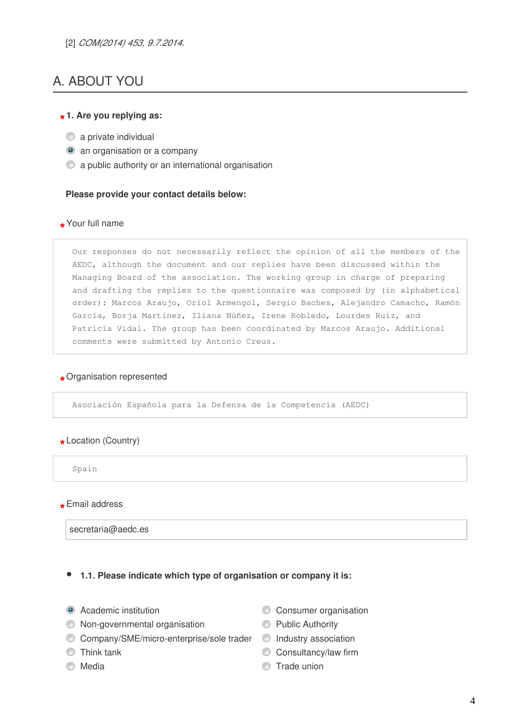# A. ABOUT YOU

# **\* 1. Are you replying as:**

- $\bullet$  a private individual
- **a** an organisation or a company
- a public authority or an international organisation

### **Please provide your contact details below:**

# **\*** Your full name

Our responses do not necessarily reflect the opinion of all the members of the AEDC, although the document and our replies have been discussed within the Managing Board of the association. The working group in charge of preparing and drafting the replies to the questionnaire was composed by (in alphabetical order): Marcos Araujo, Oriol Armengol, Sergio Baches, Alejandro Camacho, Ramón García, Borja Martínez, Iliana Núñez, Irene Robledo, Lourdes Ruiz, and Patricia Vidal. The group has been coordinated by Marcos Araujo. Additional comments were submitted by Antonio Creus.

# **\*** Organisation represented

Asociación Española para la Defensa de la Competencia (AEDC)

# **\*** Location (Country)

Spain

**\*** Email address

secretaria@aedc.es

### **1.1. Please indicate which type of organisation or company it is:**

- 
- Non-governmental organisation ● Public Authority
- C Company/SME/micro-enterprise/sole trader C Industry association
- 
- 
- Academic institution Consumer organisation
	-
	-
- Consultancy/law firm
- Media News 2008 17ade union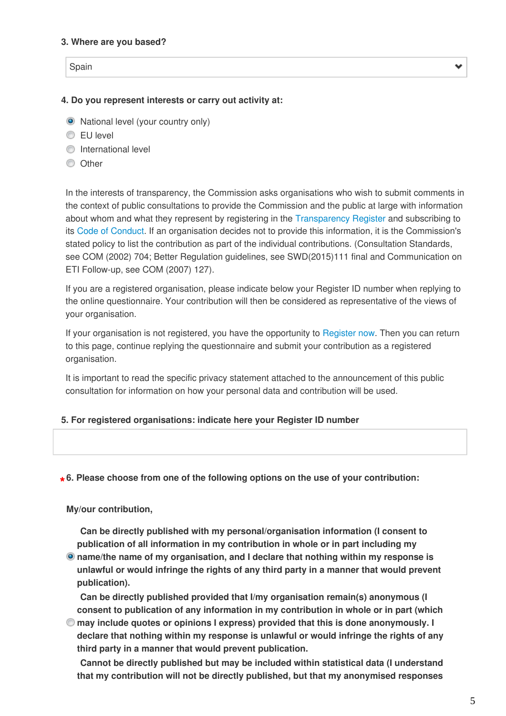### **3. Where are you based?**

Spain

 $\checkmark$ 

### **4. Do you represent interests or carry out activity at:**

- National level (your country only)
- EU level
- **O** International level
- **O** Other

In the interests of transparency, the Commission asks organisations who wish to submit comments in the context of public consultations to provide the Commission and the public at large with information about whom and what they represent by registering in the [Transparency Register a](http://ec.europa.eu/transparencyregister/public/homePage.do)nd subscribing to its [Code of Conduct.](http://ec.europa.eu/transparencyregister/public/staticPage/displayStaticPage.do?locale=en&reference=CODE_OF_CONDUCT) If an organisation decides not to provide this information, it is the Commission's stated policy to list the contribution as part of the individual contributions. (Consultation Standards, see COM (2002) 704; Better Regulation guidelines, see SWD(2015)111 final and Communication on ETI Follow-up, see COM (2007) 127).

If you are a registered organisation, please indicate below your Register ID number when replying to the online questionnaire. Your contribution will then be considered as representative of the views of your organisation.

If your organisation is not registered, you have the opportunity to [Register now](https://ec.europa.eu/transparencyregister/public/ri/registering.do?locale=en). Then you can return to this page, continue replying the questionnaire and submit your contribution as a registered organisation.

It is important to read the specific privacy statement attached to the announcement of this public consultation for information on how your personal data and contribution will be used.

### **5. For registered organisations: indicate here your Register ID number**

# **\* 6. Please choose from one of the following options on the use of your contribution:**

### **My/our contribution,**

**Can be directly published with my personal/organisation information (I consent to publication of all information in my contribution in whole or in part including my**

**name/the name of my organisation, and I declare that nothing within my response is unlawful or would infringe the rights of any third party in a manner that would prevent publication).**

**Can be directly published provided that I/my organisation remain(s) anonymous (I consent to publication of any information in my contribution in whole or in part (which**

**may include quotes or opinions I express) provided that this is done anonymously. I declare that nothing within my response is unlawful or would infringe the rights of any third party in a manner that would prevent publication.**

**Cannot be directly published but may be included within statistical data (I understand that my contribution will not be directly published, but that my anonymised responses**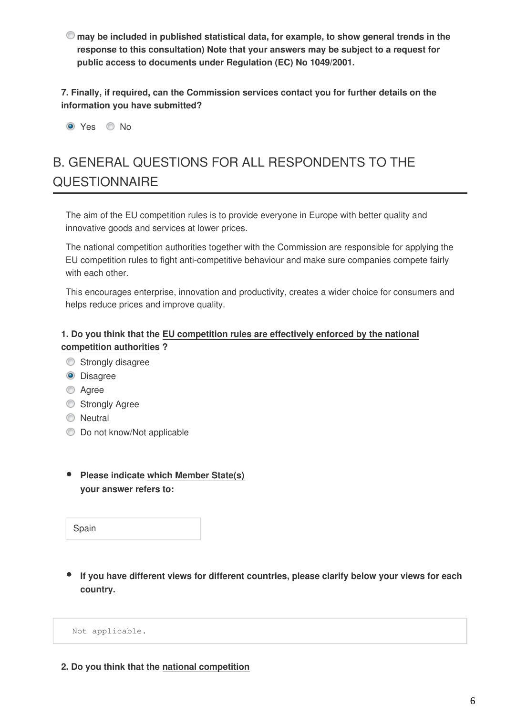**may be included in published statistical data, for example, to show general trends in the response to this consultation) Note that your answers may be subject to a request for public access to documents under Regulation (EC) No 1049/2001.**

**7. Finally, if required, can the Commission services contact you for further details on the information you have submitted?**

O Yes O No

# B. GENERAL QUESTIONS FOR ALL RESPONDENTS TO THE **QUESTIONNAIRE**

The aim of the EU competition rules is to provide everyone in Europe with better quality and innovative goods and services at lower prices.

The national competition authorities together with the Commission are responsible for applying the EU competition rules to fight anti-competitive behaviour and make sure companies compete fairly with each other.

This encourages enterprise, innovation and productivity, creates a wider choice for consumers and helps reduce prices and improve quality.

### **1. Do you think that the EU competition rules are effectively enforced by the national competition authorities ?**

- Strongly disagree
- **O** Disagree
- C Agree
- Strongly Agree
- **O** Neutral
- $\bullet$  Do not know/Not applicable
- **Please indicate which Member State(s) your answer refers to:**

Spain

**If you have different views for different countries, please clarify below your views for each country.**

Not applicable.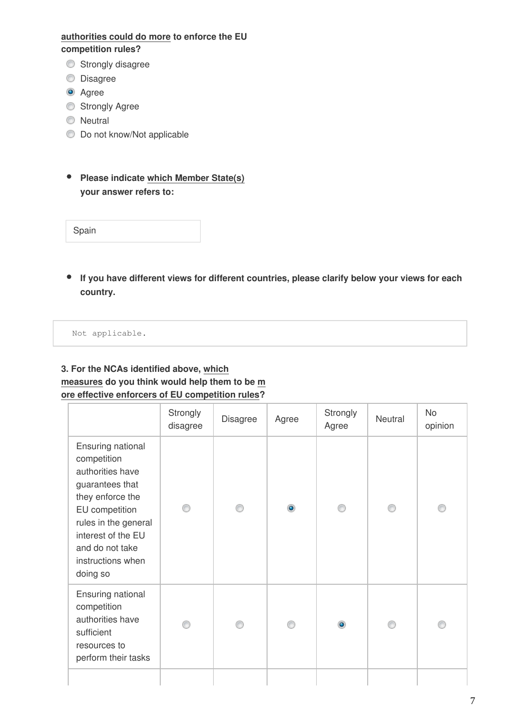### **authorities could do more to enforce the EU competition rules?**

- **Strongly disagree**
- **Disagree**
- **O** Agree
- **Strongly Agree**
- **Neutral**
- $\bullet$  Do not know/Not applicable
- **Please indicate which Member State(s) your answer refers to:**

| Spain |  |  |  |  |
|-------|--|--|--|--|
|-------|--|--|--|--|

**If you have different views for different countries, please clarify below your views for each country.**

Not applicable.

### **3. For the NCAs identified above, which measures do you think would help them to be m ore effective enforcers of EU competition rules?**

|                                                                                                                                                                                                                 |  |           | Agree     | Neutral | opinion |
|-----------------------------------------------------------------------------------------------------------------------------------------------------------------------------------------------------------------|--|-----------|-----------|---------|---------|
| Ensuring national<br>competition<br>authorities have<br>guarantees that<br>they enforce the<br>EU competition<br>rules in the general<br>interest of the EU<br>and do not take<br>instructions when<br>doing so |  | $\bullet$ |           |         |         |
| Ensuring national<br>competition<br>authorities have<br>sufficient<br>resources to<br>perform their tasks                                                                                                       |  |           | $\bullet$ |         |         |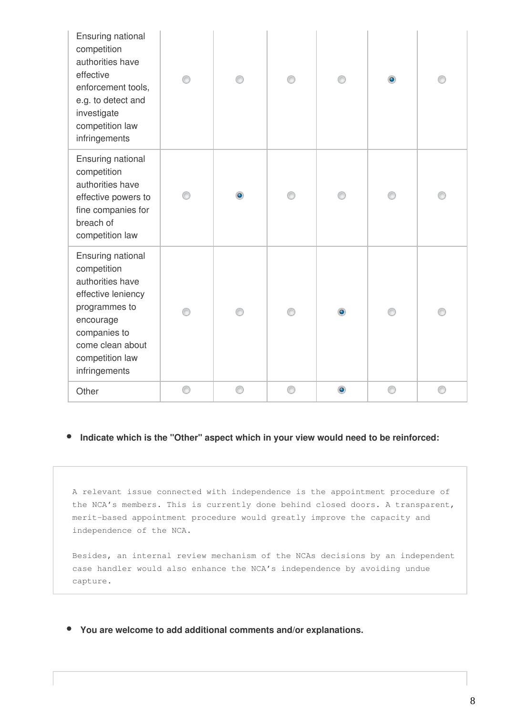| Ensuring national<br>competition<br>authorities have<br>effective<br>enforcement tools,<br>e.g. to detect and<br>investigate<br>competition law<br>infringements                 |   |   |   |           | $\bullet$ |   |
|----------------------------------------------------------------------------------------------------------------------------------------------------------------------------------|---|---|---|-----------|-----------|---|
| Ensuring national<br>competition<br>authorities have<br>effective powers to<br>fine companies for<br>breach of<br>competition law                                                |   | ۰ |   |           |           |   |
| Ensuring national<br>competition<br>authorities have<br>effective leniency<br>programmes to<br>encourage<br>companies to<br>come clean about<br>competition law<br>infringements | ∩ |   |   | ۰         | ⋒         |   |
| Other                                                                                                                                                                            | 0 | ⊙ | 0 | $\bullet$ | 0         | 0 |

#### $\bullet$ **Indicate which is the "Other" aspect which in your view would need to be reinforced:**

A relevant issue connected with independence is the appointment procedure of the NCA's members. This is currently done behind closed doors. A transparent, merit-based appointment procedure would greatly improve the capacity and independence of the NCA.

Besides, an internal review mechanism of the NCAs decisions by an independent case handler would also enhance the NCA's independence by avoiding undue capture.

**You are welcome to add additional comments and/or explanations.**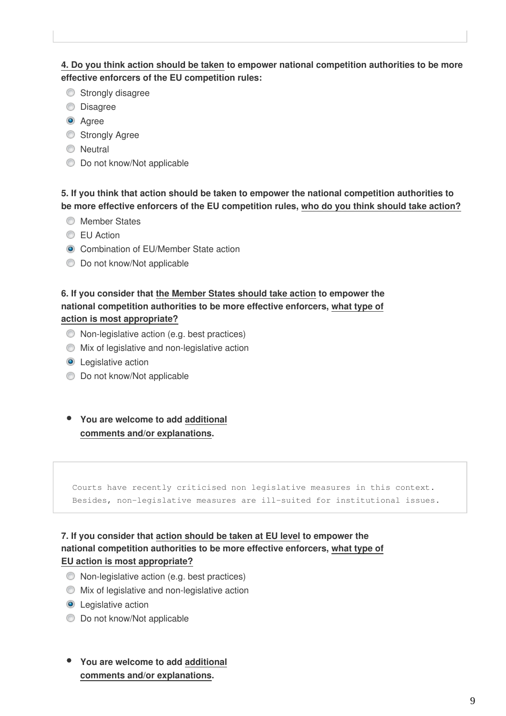### **4. Do you think action should be taken to empower national competition authorities to be more effective enforcers of the EU competition rules:**

- Strongly disagree
- **O** Disagree
- **O** Agree
- **Strongly Agree**
- **Neutral**
- $\bullet$  Do not know/Not applicable

### **5. If you think that action should be taken to empower the national competition authorities to be more effective enforcers of the EU competition rules, who do you think should take action?**

- **Member States**
- **EU** Action
- **O** Combination of EU/Member State action
- $\bullet$  Do not know/Not applicable

### **6. If you consider that the Member States should take action to empower the national competition authorities to be more effective enforcers, what type of action is most appropriate?**

- Non-legislative action (e.g. best practices)
- Mix of legislative and non-legislative action
- **O** Legislative action
- $\bullet$  Do not know/Not applicable
- **You are welcome to add additional comments and/or explanations.**

Courts have recently criticised non legislative measures in this context. Besides, non-legislative measures are ill-suited for institutional issues.

### **7. If you consider that action should be taken at EU level to empower the national competition authorities to be more effective enforcers, what type of EU action is most appropriate?**

- Non-legislative action (e.g. best practices)
- Mix of legislative and non-legislative action
- **O** Legislative action
- $\bullet$  Do not know/Not applicable
- **You are welcome to add additional comments and/or explanations.**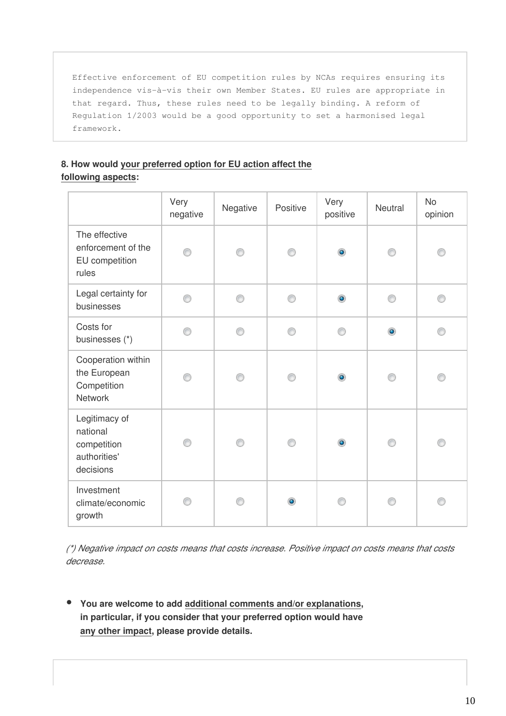Effective enforcement of EU competition rules by NCAs requires ensuring its independence vis-à-vis their own Member States. EU rules are appropriate in that regard. Thus, these rules need to be legally binding. A reform of Regulation 1/2003 would be a good opportunity to set a harmonised legal framework.

### **8. How would your preferred option for EU action affect the following aspects:**

|                                                                       | Very<br>negative | Negative | Positive | Very<br>positive | Neutral   | <b>No</b><br>opinion |
|-----------------------------------------------------------------------|------------------|----------|----------|------------------|-----------|----------------------|
| The effective<br>enforcement of the<br>EU competition<br>rules        | ⋒                | ∩        | ∩        | $\bullet$        | ⋒         | ∩                    |
| Legal certainty for<br>businesses                                     | ◉                | ⊙        | ⊙        | $\bullet$        | ◉         | ⊙                    |
| Costs for<br>businesses (*)                                           | 0                | ⊙        | ⊙        | ∩                | $\bullet$ | ⊙                    |
| Cooperation within<br>the European<br>Competition<br><b>Network</b>   | ∩                | ∩        | ∩        | $\bullet$        | ⊙         | ∩                    |
| Legitimacy of<br>national<br>competition<br>authorities'<br>decisions | ∩                | ⊙        | ⊙        | $\bullet$        | ⊙         | ⊙                    |
| Investment<br>climate/economic<br>growth                              |                  |          | ۰        | ⋒                | ⋒         | ⋒                    |

*(\*) Negative impact on costs means that costs increase. Positive impact on costs means that costs decrease.*

**You are welcome to add additional comments and/or explanations, in particular, if you consider that your preferred option would have any other impact, please provide details.**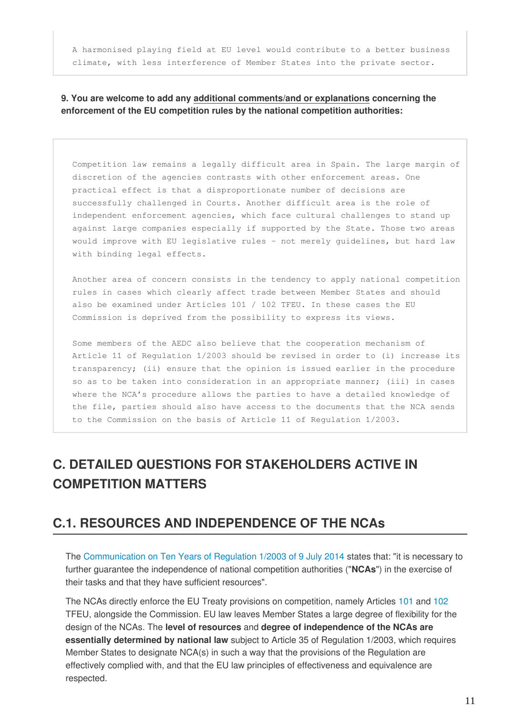A harmonised playing field at EU level would contribute to a better business climate, with less interference of Member States into the private sector.

### **9. You are welcome to add any additional comments/and or explanations concerning the enforcement of the EU competition rules by the national competition authorities:**

Competition law remains a legally difficult area in Spain. The large margin of discretion of the agencies contrasts with other enforcement areas. One practical effect is that a disproportionate number of decisions are successfully challenged in Courts. Another difficult area is the role of independent enforcement agencies, which face cultural challenges to stand up against large companies especially if supported by the State. Those two areas would improve with EU legislative rules – not merely guidelines, but hard law with binding legal effects.

Another area of concern consists in the tendency to apply national competition rules in cases which clearly affect trade between Member States and should also be examined under Articles 101 / 102 TFEU. In these cases the EU Commission is deprived from the possibility to express its views.

Some members of the AEDC also believe that the cooperation mechanism of Article 11 of Regulation 1/2003 should be revised in order to (i) increase its transparency; (ii) ensure that the opinion is issued earlier in the procedure so as to be taken into consideration in an appropriate manner; (iii) in cases where the NCA's procedure allows the parties to have a detailed knowledge of the file, parties should also have access to the documents that the NCA sends to the Commission on the basis of Article 11 of Regulation 1/2003.

# **C. DETAILED QUESTIONS FOR STAKEHOLDERS ACTIVE IN COMPETITION MATTERS**

### **C.1. RESOURCES AND INDEPENDENCE OF THE NCAs**

The [Communication on Ten Years of Regulation 1/2003 of 9 July 2014](http://eur-lex.europa.eu/legal-content/EN/TXT/PDF/?uri=CELEX:52014DC0453&from=EN) states that: "it is necessary to further guarantee the independence of national competition authorities ("**NCAs**") in the exercise of their tasks and that they have sufficient resources".

The NCAs directly enforce the EU Treaty provisions on competition, namely Articles [101 a](http://eur-lex.europa.eu/legal-content/EN/TXT/HTML/?uri=CELEX:12008E101&from=EN)nd [102](http://eur-lex.europa.eu/legal-content/EN/TXT/HTML/?uri=CELEX:12008E102&from=EN)  TFEU, alongside the Commission. EU law leaves Member States a large degree of flexibility for the design of the NCAs. The **level of resources** and **degree of independence of the NCAs are essentially determined by national law** subject to Article 35 of Regulation 1/2003, which requires Member States to designate NCA(s) in such a way that the provisions of the Regulation are effectively complied with, and that the EU law principles of effectiveness and equivalence are respected.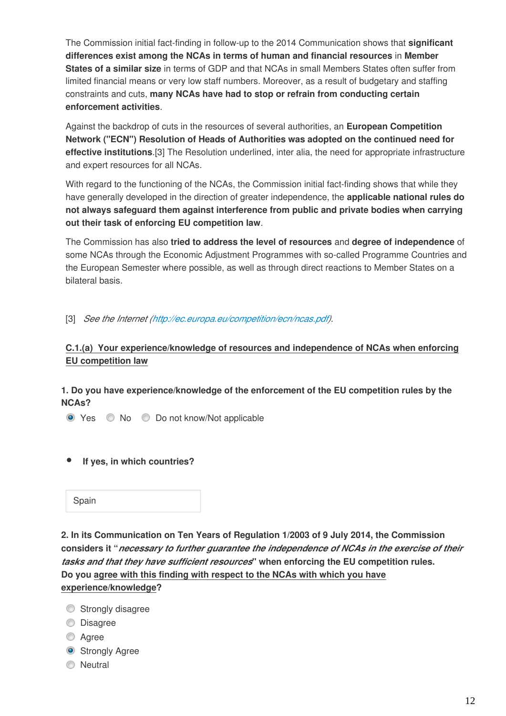The Commission initial fact-finding in follow-up to the 2014 Communication shows that **significant differences exist among the NCAs in terms of human and financial resources** in **Member States of a similar size** in terms of GDP and that NCAs in small Members States often suffer from limited financial means or very low staff numbers. Moreover, as a result of budgetary and staffing constraints and cuts, **many NCAs have had to stop or refrain from conducting certain enforcement activities**.

Against the backdrop of cuts in the resources of several authorities, an **European Competition Network ("ECN") Resolution of Heads of Authorities was adopted on the continued need for effective institutions**.[3] The Resolution underlined, inter alia, the need for appropriate infrastructure and expert resources for all NCAs.

With regard to the functioning of the NCAs, the Commission initial fact-finding shows that while they have generally developed in the direction of greater independence, the **applicable national rules do not always safeguard them against interference from public and private bodies when carrying out their task of enforcing EU competition law**.

The Commission has also **tried to address the level of resources** and **degree of independence** of some NCAs through the Economic Adjustment Programmes with so-called Programme Countries and the European Semester where possible, as well as through direct reactions to Member States on a bilateral basis.

[3] *See the Internet [\(http://ec.europa.eu/competition/ecn/ncas.pdf\)](http://ec.europa.eu/competition/ecn/ncas.pdf).*

### **C.1.(a) Your experience/knowledge of resources and independence of NCAs when enforcing EU competition law**

### **1. Do you have experience/knowledge of the enforcement of the EU competition rules by the NCAs?**

● Yes ● No ● Do not know/Not applicable

 **If yes, in which countries?**

**2. In its Communication on Ten Years of Regulation 1/2003 of 9 July 2014, the Commission considers it "***necessary to further guarantee the independence of NCAs in the exercise of their tasks and that they have sufficient resources***" when enforcing the EU competition rules. Do you agree with this finding with respect to the NCAs with which you have experience/knowledge?**

- Strongly disagree
- **Disagree**
- **Agree**
- **Strongly Agree**
- **O** Neutral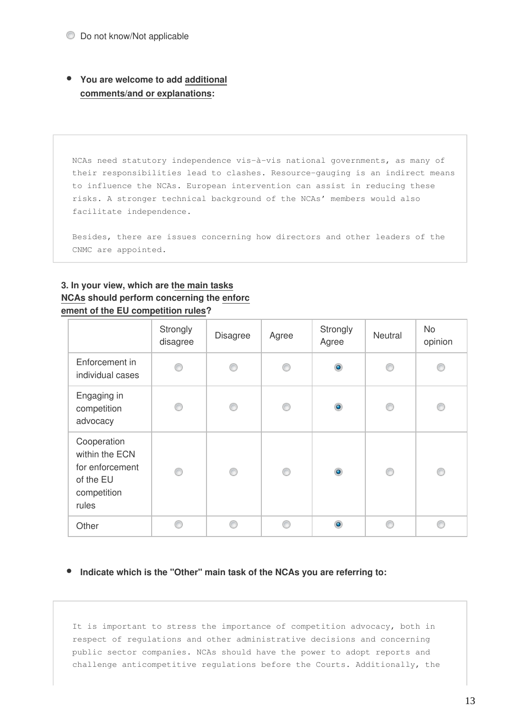**You are welcome to add additional comments/and or explanations:**

NCAs need statutory independence vis-à-vis national governments, as many of their responsibilities lead to clashes. Resource-gauging is an indirect means to influence the NCAs. European intervention can assist in reducing these risks. A stronger technical background of the NCAs' members would also facilitate independence.

Besides, there are issues concerning how directors and other leaders of the CNMC are appointed.

### **3. In your view, which are the main tasks NCAs should perform concerning the enforc ement of the EU competition rules?**

|                                                                                       | Strongly<br>disagree | <b>Disagree</b> | Agree | Strongly<br>Agree | Neutral | <b>No</b><br>opinion |
|---------------------------------------------------------------------------------------|----------------------|-----------------|-------|-------------------|---------|----------------------|
| Enforcement in<br>individual cases                                                    | €                    | ⋒               | €     | $\bullet$         | €       |                      |
| Engaging in<br>competition<br>advocacy                                                | €                    | ⋒               | ⋒     | $\bullet$         | €       | ⋒                    |
| Cooperation<br>within the ECN<br>for enforcement<br>of the EU<br>competition<br>rules | ∩                    | ⋒               | ⋒     | $\circledcirc$    | ⊙       | ⊙                    |
| Other                                                                                 |                      |                 |       | $\bullet$         |         | A                    |

### **Indicate which is the "Other" main task of the NCAs you are referring to:**

It is important to stress the importance of competition advocacy, both in respect of regulations and other administrative decisions and concerning public sector companies. NCAs should have the power to adopt reports and challenge anticompetitive regulations before the Courts. Additionally, the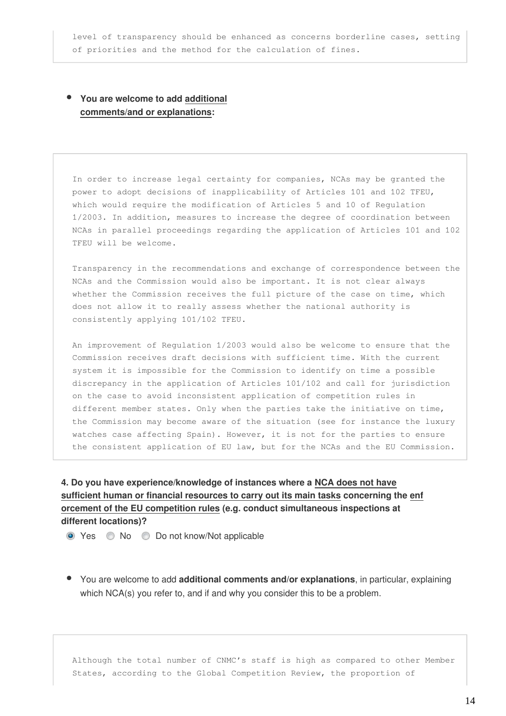level of transparency should be enhanced as concerns borderline cases, setting of priorities and the method for the calculation of fines.

### **You are welcome to add additional comments/and or explanations:**

In order to increase legal certainty for companies, NCAs may be granted the power to adopt decisions of inapplicability of Articles 101 and 102 TFEU, which would require the modification of Articles 5 and 10 of Regulation 1/2003. In addition, measures to increase the degree of coordination between NCAs in parallel proceedings regarding the application of Articles 101 and 102 TFEU will be welcome.

Transparency in the recommendations and exchange of correspondence between the NCAs and the Commission would also be important. It is not clear always whether the Commission receives the full picture of the case on time, which does not allow it to really assess whether the national authority is consistently applying 101/102 TFEU.

An improvement of Regulation 1/2003 would also be welcome to ensure that the Commission receives draft decisions with sufficient time. With the current system it is impossible for the Commission to identify on time a possible discrepancy in the application of Articles 101/102 and call for jurisdiction on the case to avoid inconsistent application of competition rules in different member states. Only when the parties take the initiative on time, the Commission may become aware of the situation (see for instance the luxury watches case affecting Spain). However, it is not for the parties to ensure the consistent application of EU law, but for the NCAs and the EU Commission.

### **4. Do you have experience/knowledge of instances where a NCA does not have sufficient human or financial resources to carry out its main tasks concerning the enf orcement of the EU competition rules (e.g. conduct simultaneous inspections at different locations)?**

- Yes No Do not know/Not applicable
- You are welcome to add **additional comments and/or explanations**, in particular, explaining which NCA(s) you refer to, and if and why you consider this to be a problem.

Although the total number of CNMC's staff is high as compared to other Member States, according to the Global Competition Review, the proportion of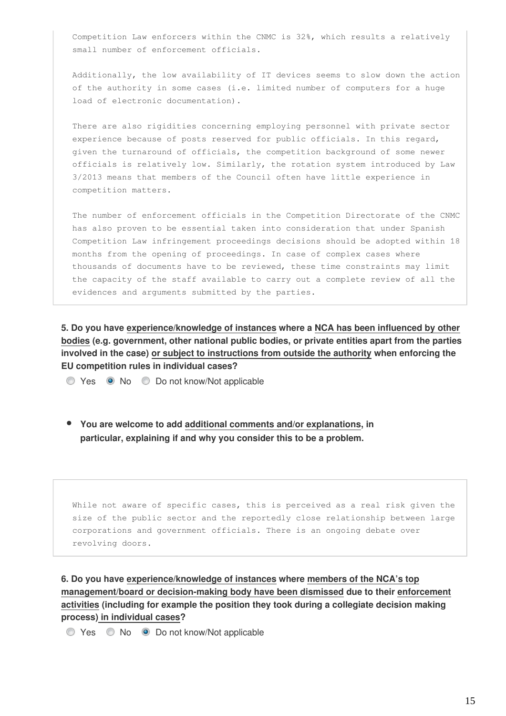Competition Law enforcers within the CNMC is 32%, which results a relatively small number of enforcement officials.

Additionally, the low availability of IT devices seems to slow down the action of the authority in some cases (i.e. limited number of computers for a huge load of electronic documentation).

There are also rigidities concerning employing personnel with private sector experience because of posts reserved for public officials. In this regard, given the turnaround of officials, the competition background of some newer officials is relatively low. Similarly, the rotation system introduced by Law 3/2013 means that members of the Council often have little experience in competition matters.

The number of enforcement officials in the Competition Directorate of the CNMC has also proven to be essential taken into consideration that under Spanish Competition Law infringement proceedings decisions should be adopted within 18 months from the opening of proceedings. In case of complex cases where thousands of documents have to be reviewed, these time constraints may limit the capacity of the staff available to carry out a complete review of all the evidences and arguments submitted by the parties.

**5. Do you have experience/knowledge of instances where a NCA has been influenced by other bodies (e.g. government, other national public bodies, or private entities apart from the parties involved in the case) or subject to instructions from outside the authority when enforcing the EU competition rules in individual cases?**

◯ Yes No Do not know/Not applicable

**You are welcome to add additional comments and/or explanations, in particular, explaining if and why you consider this to be a problem.**

While not aware of specific cases, this is perceived as a real risk given the size of the public sector and the reportedly close relationship between large corporations and government officials. There is an ongoing debate over revolving doors.

**6. Do you have experience/knowledge of instances where members of the NCA's top management/board or decision-making body have been dismissed due to their enforcement activities (including for example the position they took during a collegiate decision making process) in individual cases?**

◯ Yes ◯ No 
◯ Do not know/Not applicable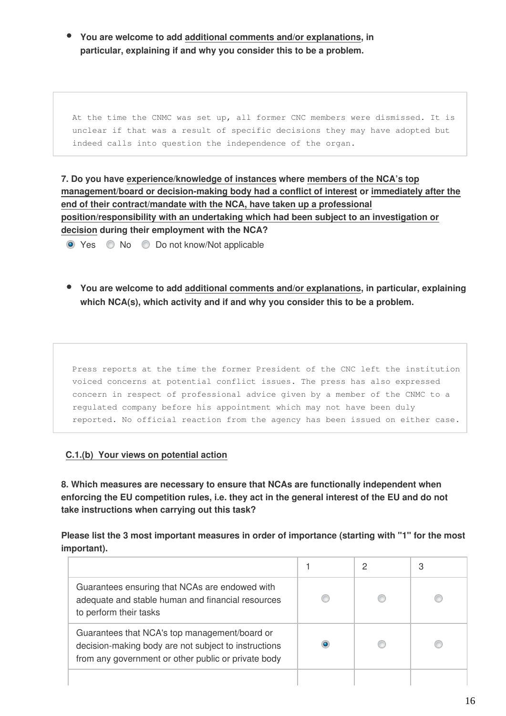**You are welcome to add additional comments and/or explanations, in particular, explaining if and why you consider this to be a problem.**

At the time the CNMC was set up, all former CNC members were dismissed. It is unclear if that was a result of specific decisions they may have adopted but indeed calls into question the independence of the organ.

**7. Do you have experience/knowledge of instances where members of the NCA's top management/board or decision-making body had a conflict of interest or immediately after the end of their contract/mandate with the NCA, have taken up a professional position/responsibility with an undertaking which had been subject to an investigation or decision during their employment with the NCA?**

● Yes ● No ● Do not know/Not applicable

**You are welcome to add additional comments and/or explanations, in particular, explaining which NCA(s), which activity and if and why you consider this to be a problem.**

Press reports at the time the former President of the CNC left the institution voiced concerns at potential conflict issues. The press has also expressed concern in respect of professional advice given by a member of the CNMC to a regulated company before his appointment which may not have been duly reported. No official reaction from the agency has been issued on either case.

### **C.1.(b) Your views on potential action**

**8. Which measures are necessary to ensure that NCAs are functionally independent when enforcing the EU competition rules, i.e. they act in the general interest of the EU and do not take instructions when carrying out this task?**

**Please list the 3 most important measures in order of importance (starting with "1" for the most important).**

| Guarantees ensuring that NCAs are endowed with<br>adequate and stable human and financial resources<br>to perform their tasks                                |  |  |
|--------------------------------------------------------------------------------------------------------------------------------------------------------------|--|--|
| Guarantees that NCA's top management/board or<br>decision-making body are not subject to instructions<br>from any government or other public or private body |  |  |
|                                                                                                                                                              |  |  |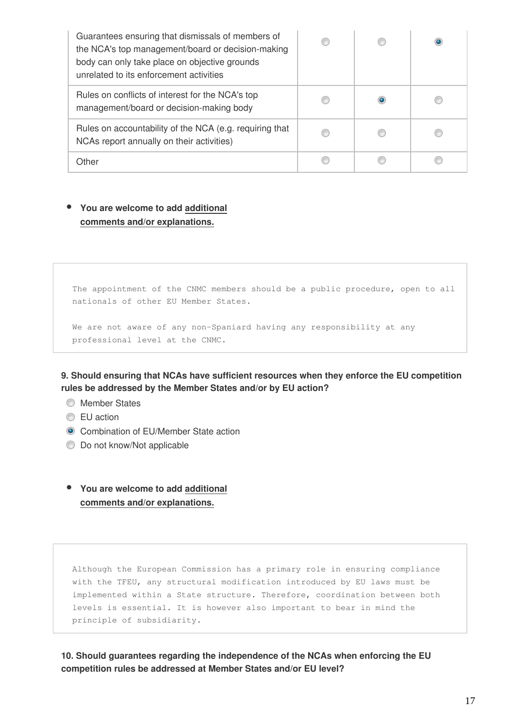| Guarantees ensuring that dismissals of members of<br>the NCA's top management/board or decision-making<br>body can only take place on objective grounds<br>unrelated to its enforcement activities |  |  |
|----------------------------------------------------------------------------------------------------------------------------------------------------------------------------------------------------|--|--|
| Rules on conflicts of interest for the NCA's top<br>management/board or decision-making body                                                                                                       |  |  |
| Rules on accountability of the NCA (e.g. requiring that<br>NCAs report annually on their activities)                                                                                               |  |  |
| Other                                                                                                                                                                                              |  |  |

### **You are welcome to add additional comments and/or explanations.**

The appointment of the CNMC members should be a public procedure, open to all nationals of other EU Member States.

We are not aware of any non-Spaniard having any responsibility at any professional level at the CNMC.

**9. Should ensuring that NCAs have sufficient resources when they enforce the EU competition rules be addressed by the Member States and/or by EU action?**

- **Member States**
- **EU** action
- **Combination of EU/Member State action**
- **Do not know/Not applicable**

### **You are welcome to add additional comments and/or explanations.**

Although the European Commission has a primary role in ensuring compliance with the TFEU, any structural modification introduced by EU laws must be implemented within a State structure. Therefore, coordination between both levels is essential. It is however also important to bear in mind the principle of subsidiarity.

**10. Should guarantees regarding the independence of the NCAs when enforcing the EU competition rules be addressed at Member States and/or EU level?**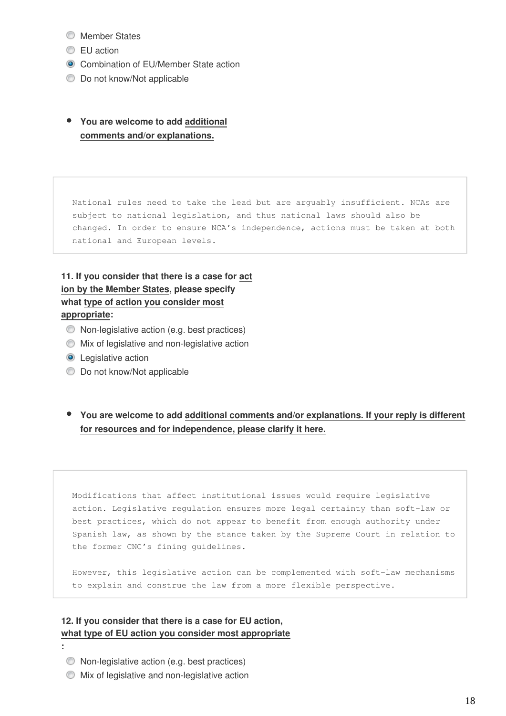- **Member States**
- **EU** action
- **Combination of EU/Member State action**
- $\bullet$  Do not know/Not applicable
- **You are welcome to add additional comments and/or explanations.**

National rules need to take the lead but are arguably insufficient. NCAs are subject to national legislation, and thus national laws should also be changed. In order to ensure NCA's independence, actions must be taken at both national and European levels.

### **11. If you consider that there is a case for act ion by the Member States, please specify what type of action you consider most appropriate:**

- Non-legislative action (e.g. best practices)
- Mix of legislative and non-legislative action
- **O** Legislative action
- **Do not know/Not applicable**
- **You are welcome to add additional comments and/or explanations. If your reply is different for resources and for independence, please clarify it here.**

Modifications that affect institutional issues would require legislative action. Legislative regulation ensures more legal certainty than soft-law or best practices, which do not appear to benefit from enough authority under Spanish law, as shown by the stance taken by the Supreme Court in relation to the former CNC's fining guidelines.

However, this legislative action can be complemented with soft-law mechanisms to explain and construe the law from a more flexible perspective.

### **12. If you consider that there is a case for EU action, what type of EU action you consider most appropriate**

- **:** 
	- Non-legislative action (e.g. best practices)
	- Mix of legislative and non-legislative action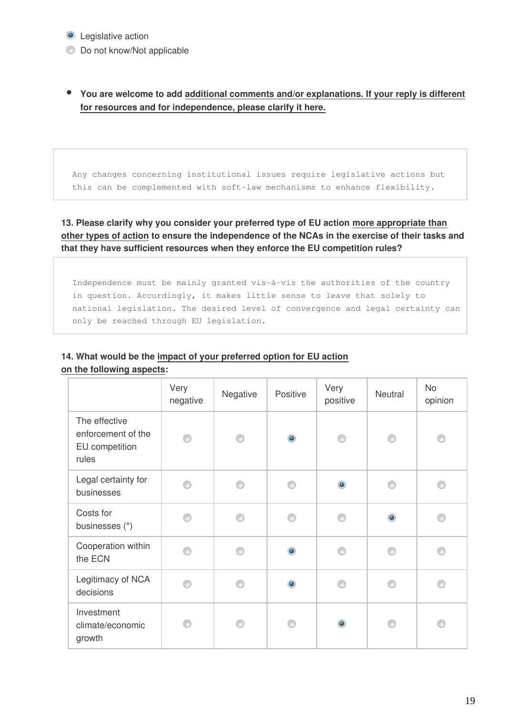### **O** Legislative action

 $\bullet$  Do not know/Not applicable

**You are welcome to add additional comments and/or explanations. If your reply is different for resources and for independence, please clarify it here.**

Any changes concerning institutional issues require legislative actions but this can be complemented with soft-law mechanisms to enhance flexibility.

**13. Please clarify why you consider your preferred type of EU action more appropriate than other types of action to ensure the independence of the NCAs in the exercise of their tasks and that they have sufficient resources when they enforce the EU competition rules?**

Independence must be mainly granted vis-à-vis the authorities of the country in question. Accordingly, it makes little sense to leave that solely to national legislation. The desired level of convergence and legal certainty can only be reached through EU legislation.

# **14. What would be the impact of your preferred option for EU action**

|                                                                | Very<br>negative | Negative | Positive  | Very<br>positive | Neutral   | No<br>opinion |
|----------------------------------------------------------------|------------------|----------|-----------|------------------|-----------|---------------|
| The effective<br>enforcement of the<br>EU competition<br>rules |                  | ⋒        | $\bullet$ | ⋒                | ⋒         | ∩             |
| Legal certainty for<br>businesses                              | ⋒                |          |           | $\bullet$        | ⋒         | ⋒             |
| Costs for<br>businesses (*)                                    |                  | ⋒        | ∩         |                  | $\bullet$ | e             |
| Cooperation within<br>the ECN                                  | ∩                | ⋒        | $\bullet$ | ⋒                | A         |               |
| Legitimacy of NCA<br>decisions                                 |                  | ∩        | $\bullet$ |                  | A         | ⋒             |
| Investment<br>climate/economic<br>growth                       | ⋒                |          | ⋒         | $\bullet$        | A         | ⋒             |

**on the following aspects:**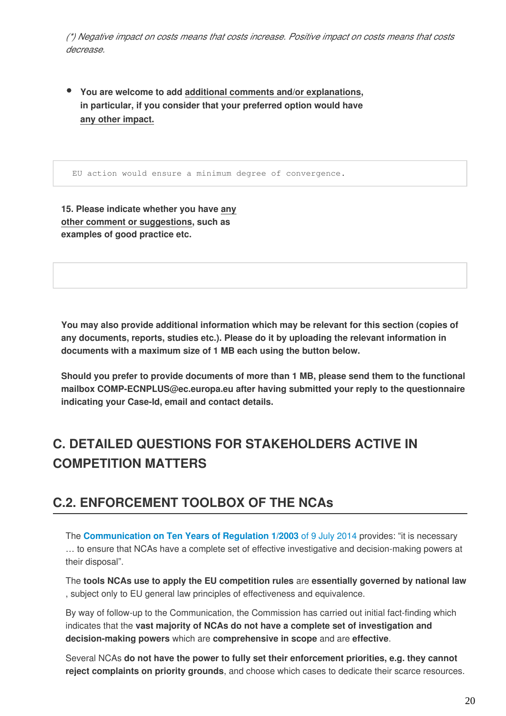*(\*) Negative impact on costs means that costs increase. Positive impact on costs means that costs decrease.*

**You are welcome to add additional comments and/or explanations, in particular, if you consider that your preferred option would have any other impact.**

EU action would ensure a minimum degree of convergence.

**15. Please indicate whether you have any other comment or suggestions, such as examples of good practice etc.** 

**You may also provide additional information which may be relevant for this section (copies of any documents, reports, studies etc.). Please do it by uploading the relevant information in documents with a maximum size of 1 MB each using the button below.**

**Should you prefer to provide documents of more than 1 MB, please send them to the functional mailbox COMP-ECNPLUS@ec.europa.eu after having submitted your reply to the questionnaire indicating your Case-Id, email and contact details.**

# **C. DETAILED QUESTIONS FOR STAKEHOLDERS ACTIVE IN COMPETITION MATTERS**

# **C.2. ENFORCEMENT TOOLBOX OF THE NCAs**

The **[Communication on Ten Years of Regulation 1/2003](http://eur-lex.europa.eu/legal-content/EN/TXT/PDF/?uri=CELEX:52014DC0453&from=EN)** of 9 July 2014 provides: "it is necessary … to ensure that NCAs have a complete set of effective investigative and decision-making powers at their disposal".

The **tools NCAs use to apply the EU competition rules** are **essentially governed by national law** , subject only to EU general law principles of effectiveness and equivalence.

By way of follow-up to the Communication, the Commission has carried out initial fact-finding which indicates that the **vast majority of NCAs do not have a complete set of investigation and decision-making powers** which are **comprehensive in scope** and are **effective**.

Several NCAs **do not have the power to fully set their enforcement priorities, e.g. they cannot reject complaints on priority grounds**, and choose which cases to dedicate their scarce resources.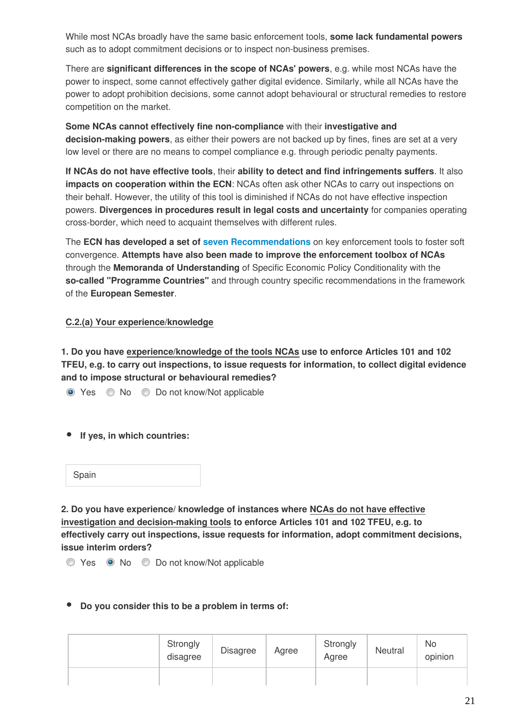While most NCAs broadly have the same basic enforcement tools, **some lack fundamental powers** such as to adopt commitment decisions or to inspect non-business premises.

There are **significant differences in the scope of NCAs' powers**, e.g. while most NCAs have the power to inspect, some cannot effectively gather digital evidence. Similarly, while all NCAs have the power to adopt prohibition decisions, some cannot adopt behavioural or structural remedies to restore competition on the market.

**Some NCAs cannot effectively fine non-compliance** with their **investigative and decision-making powers**, as either their powers are not backed up by fines, fines are set at a very low level or there are no means to compel compliance e.g. through periodic penalty payments.

**If NCAs do not have effective tools**, their **ability to detect and find infringements suffers**. It also **impacts on cooperation within the ECN**: NCAs often ask other NCAs to carry out inspections on their behalf. However, the utility of this tool is diminished if NCAs do not have effective inspection powers. **Divergences in procedures result in legal costs and uncertainty** for companies operating cross-border, which need to acquaint themselves with different rules.

The **ECN has developed a set of [seven Recommendations](http://ec.europa.eu/competition/ecn/documents.html)** on key enforcement tools to foster soft convergence. **Attempts have also been made to improve the enforcement toolbox of NCAs** through the **Memoranda of Understanding** of Specific Economic Policy Conditionality with the **so-called "Programme Countries"** and through country specific recommendations in the framework of the **European Semester**.

### **C.2.(a) Your experience/knowledge**

**1. Do you have experience/knowledge of the tools NCAs use to enforce Articles 101 and 102 TFEU, e.g. to carry out inspections, to issue requests for information, to collect digital evidence and to impose structural or behavioural remedies?** 

- Yes No Do not know/Not applicable
- **If yes, in which countries:**

| Spain |  |  |  |  |
|-------|--|--|--|--|
|-------|--|--|--|--|

**2. Do you have experience/ knowledge of instances where NCAs do not have effective investigation and decision-making tools to enforce Articles 101 and 102 TFEU, e.g. to effectively carry out inspections, issue requests for information, adopt commitment decisions, issue interim orders?**

● Yes ● No ● Do not know/Not applicable

### **Do you consider this to be a problem in terms of:**

| Strongly<br>disagree | <b>Disagree</b> | Agree | Strongly<br>Agree | Neutral | No<br>opinion |
|----------------------|-----------------|-------|-------------------|---------|---------------|
|                      |                 |       |                   |         |               |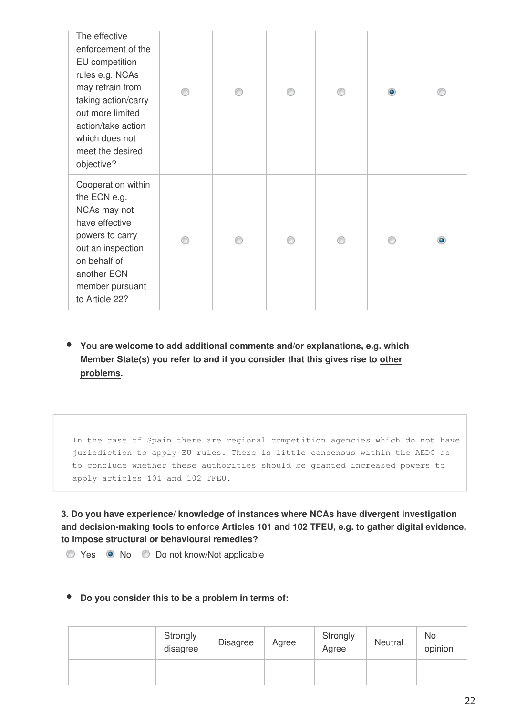| The effective<br>enforcement of the<br>EU competition<br>rules e.g. NCAs<br>may refrain from<br>taking action/carry<br>out more limited<br>action/take action<br>which does not<br>meet the desired<br>objective? |  | ⋒ | $\bullet$ |           |
|-------------------------------------------------------------------------------------------------------------------------------------------------------------------------------------------------------------------|--|---|-----------|-----------|
| Cooperation within<br>the ECN e.g.<br>NCAs may not<br>have effective<br>powers to carry<br>out an inspection<br>on behalf of<br>another ECN<br>member pursuant<br>to Article 22?                                  |  |   | A         | $\bullet$ |

**You are welcome to add additional comments and/or explanations, e.g. which Member State(s) you refer to and if you consider that this gives rise to other problems.**

In the case of Spain there are regional competition agencies which do not have jurisdiction to apply EU rules. There is little consensus within the AEDC as to conclude whether these authorities should be granted increased powers to apply articles 101 and 102 TFEU.

**3. Do you have experience/ knowledge of instances where NCAs have divergent investigation and decision-making tools to enforce Articles 101 and 102 TFEU, e.g. to gather digital evidence, to impose structural or behavioural remedies?** 

Yes No Do not know/Not applicable

### **Do you consider this to be a problem in terms of:**

| Strongly<br>disagree | <b>Disagree</b> | Agree | Strongly<br>Agree | Neutral | <b>No</b><br>opinion |
|----------------------|-----------------|-------|-------------------|---------|----------------------|
|                      |                 |       |                   |         |                      |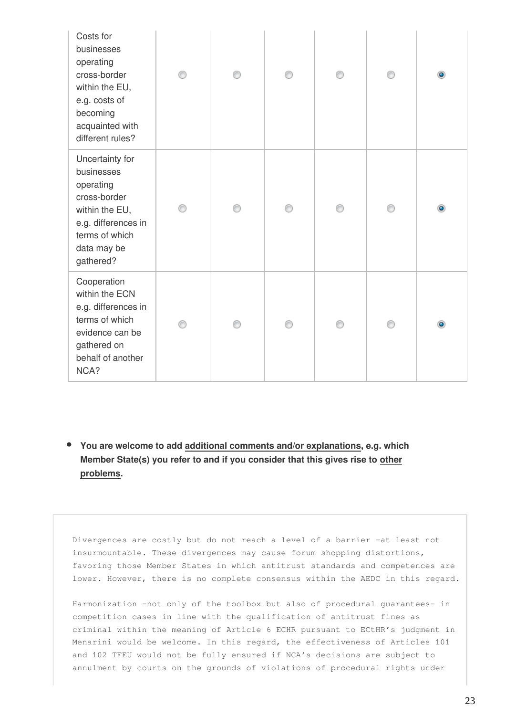| Costs for<br>businesses<br>operating<br>cross-border<br>within the EU,<br>e.g. costs of<br>becoming<br>acquainted with<br>different rules?        |  | ∩ |   | ⋒ |   |
|---------------------------------------------------------------------------------------------------------------------------------------------------|--|---|---|---|---|
| Uncertainty for<br>businesses<br>operating<br>cross-border<br>within the EU,<br>e.g. differences in<br>terms of which<br>data may be<br>gathered? |  |   | ⋒ | ⋒ | ۰ |
| Cooperation<br>within the ECN<br>e.g. differences in<br>terms of which<br>evidence can be<br>gathered on<br>behalf of another<br>NCA?             |  |   |   |   | ۱ |

**You are welcome to add additional comments and/or explanations, e.g. which Member State(s) you refer to and if you consider that this gives rise to other problems.**

Divergences are costly but do not reach a level of a barrier –at least not insurmountable. These divergences may cause forum shopping distortions, favoring those Member States in which antitrust standards and competences are lower. However, there is no complete consensus within the AEDC in this regard.

Harmonization –not only of the toolbox but also of procedural guarantees- in competition cases in line with the qualification of antitrust fines as criminal within the meaning of Article 6 ECHR pursuant to ECtHR's judgment in Menarini would be welcome. In this regard, the effectiveness of Articles 101 and 102 TFEU would not be fully ensured if NCA's decisions are subject to annulment by courts on the grounds of violations of procedural rights under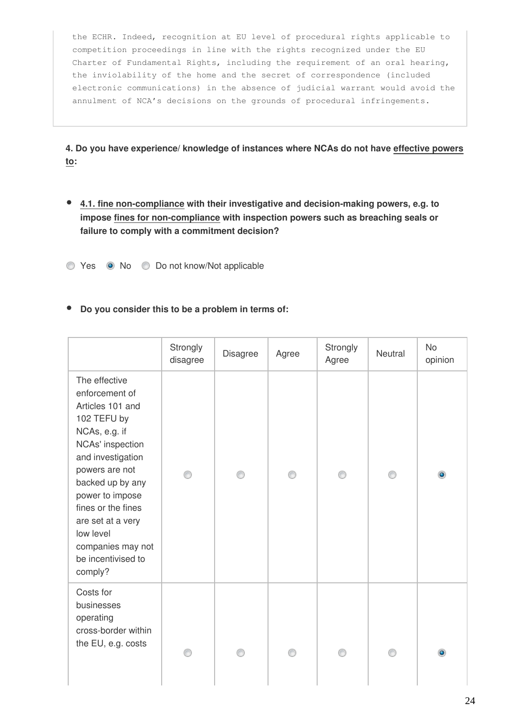the ECHR. Indeed, recognition at EU level of procedural rights applicable to competition proceedings in line with the rights recognized under the EU Charter of Fundamental Rights, including the requirement of an oral hearing, the inviolability of the home and the secret of correspondence (included electronic communications) in the absence of judicial warrant would avoid the annulment of NCA's decisions on the grounds of procedural infringements.

**4. Do you have experience/ knowledge of instances where NCAs do not have effective powers to:**

**4.1. fine non-compliance with their investigative and decision-making powers, e.g. to impose fines for non-compliance with inspection powers such as breaching seals or failure to comply with a commitment decision?**

Yes No Do not know/Not applicable

**Do you consider this to be a problem in terms of:**

|                                                                                                                                                                                                                                                                                                     | Strongly<br>disagree | Disagree | Agree | Strongly<br>Agree | Neutral | <b>No</b><br>opinion |
|-----------------------------------------------------------------------------------------------------------------------------------------------------------------------------------------------------------------------------------------------------------------------------------------------------|----------------------|----------|-------|-------------------|---------|----------------------|
| The effective<br>enforcement of<br>Articles 101 and<br>102 TEFU by<br>NCAs, e.g. if<br>NCAs' inspection<br>and investigation<br>powers are not<br>backed up by any<br>power to impose<br>fines or the fines<br>are set at a very<br>low level<br>companies may not<br>be incentivised to<br>comply? |                      |          |       | ⋒                 |         | $\bullet$            |
| Costs for<br>businesses<br>operating<br>cross-border within<br>the EU, e.g. costs                                                                                                                                                                                                                   | ∩                    |          |       |                   |         |                      |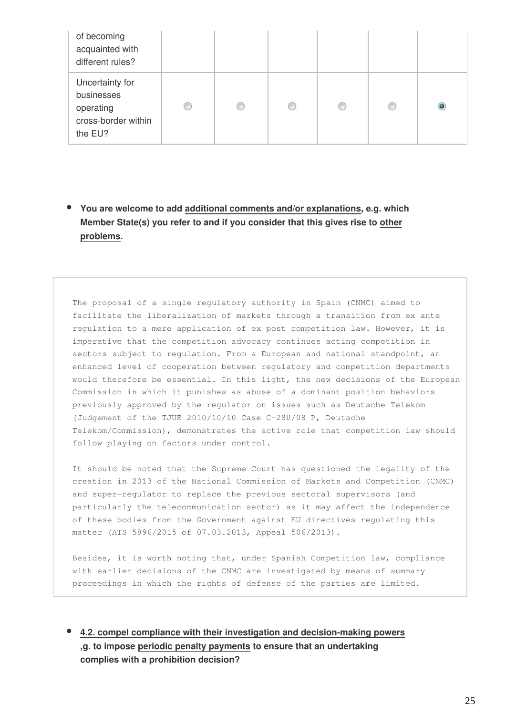| of becoming<br>acquainted with<br>different rules?                           |   |   |   |  |         |
|------------------------------------------------------------------------------|---|---|---|--|---------|
| Uncertainty for<br>businesses<br>operating<br>cross-border within<br>the EU? | o | C | O |  | $\circ$ |

**You are welcome to add additional comments and/or explanations, e.g. which Member State(s) you refer to and if you consider that this gives rise to other problems.**

The proposal of a single regulatory authority in Spain (CNMC) aimed to facilitate the liberalization of markets through a transition from ex ante regulation to a mere application of ex post competition law. However, it is imperative that the competition advocacy continues acting competition in sectors subject to regulation. From a European and national standpoint, an enhanced level of cooperation between regulatory and competition departments would therefore be essential. In this light, the new decisions of the European Commission in which it punishes as abuse of a dominant position behaviors previously approved by the regulator on issues such as Deutsche Telekom (Judgement of the TJUE 2010/10/10 Case C-280/08 P, Deutsche Telekom/Commission), demonstrates the active role that competition law should follow playing on factors under control.

It should be noted that the Supreme Court has questioned the legality of the creation in 2013 of the National Commission of Markets and Competition (CNMC) and super-regulator to replace the previous sectoral supervisors (and particularly the telecommunication sector) as it may affect the independence of these bodies from the Government against EU directives regulating this matter (ATS 5896/2015 of 07.03.2013, Appeal 506/2013).

Besides, it is worth noting that, under Spanish Competition law, compliance with earlier decisions of the CNMC are investigated by means of summary proceedings in which the rights of defense of the parties are limited.

**4.2. compel compliance with their investigation and decision-making powers ,g. to impose periodic penalty payments to ensure that an undertaking complies with a prohibition decision?**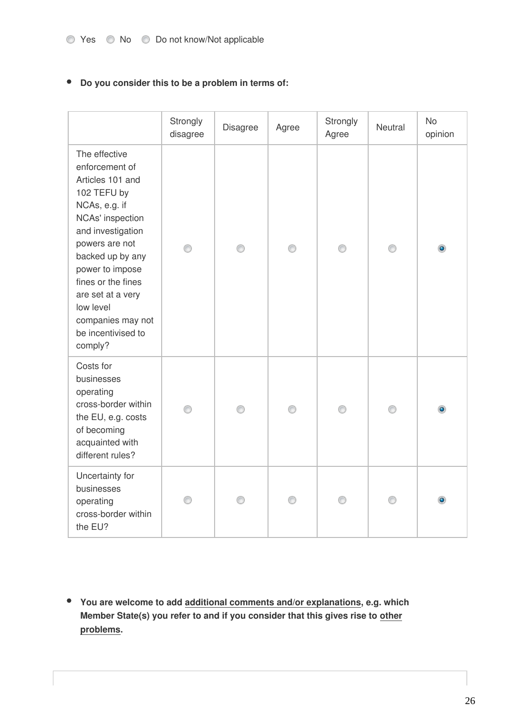### **Do you consider this to be a problem in terms of:**

|                                                                                                                                                                                                                                                                                                     | Strongly<br>disagree | Disagree | Agree | Strongly<br>Agree | Neutral | <b>No</b><br>opinion |
|-----------------------------------------------------------------------------------------------------------------------------------------------------------------------------------------------------------------------------------------------------------------------------------------------------|----------------------|----------|-------|-------------------|---------|----------------------|
| The effective<br>enforcement of<br>Articles 101 and<br>102 TEFU by<br>NCAs, e.g. if<br>NCAs' inspection<br>and investigation<br>powers are not<br>backed up by any<br>power to impose<br>fines or the fines<br>are set at a very<br>low level<br>companies may not<br>be incentivised to<br>comply? | ∩                    | ∩        | ∩     | ∩                 |         |                      |
| Costs for<br>businesses<br>operating<br>cross-border within<br>the EU, e.g. costs<br>of becoming<br>acquainted with<br>different rules?                                                                                                                                                             |                      |          | ⊙     | ∩                 |         | $\bullet$            |
| Uncertainty for<br>businesses<br>operating<br>cross-border within<br>the EU?                                                                                                                                                                                                                        |                      |          |       |                   |         |                      |

**You are welcome to add additional comments and/or explanations, e.g. which Member State(s) you refer to and if you consider that this gives rise to other problems.**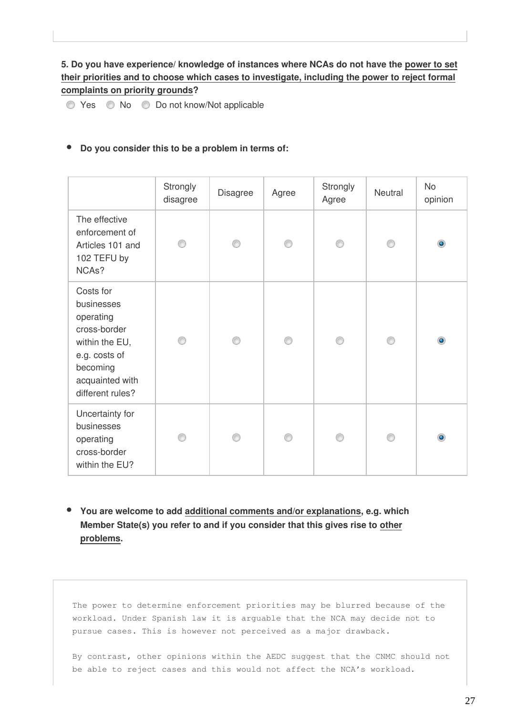### **5. Do you have experience/ knowledge of instances where NCAs do not have the power to set their priorities and to choose which cases to investigate, including the power to reject formal complaints on priority grounds?**

◯ Yes ◯ No ◯ Do not know/Not applicable

### **Do you consider this to be a problem in terms of:**

|                                                                                                                                            | Strongly<br>disagree | Disagree | Agree | Strongly<br>Agree | Neutral | <b>No</b><br>opinion |
|--------------------------------------------------------------------------------------------------------------------------------------------|----------------------|----------|-------|-------------------|---------|----------------------|
| The effective<br>enforcement of<br>Articles 101 and<br>102 TEFU by<br>NCA <sub>s</sub> ?                                                   | ∩                    | ∩        | ∩     | ⋒                 | ⊙       | $\bullet$            |
| Costs for<br>businesses<br>operating<br>cross-border<br>within the EU,<br>e.g. costs of<br>becoming<br>acquainted with<br>different rules? |                      |          |       |                   | ∩       | $\bullet$            |
| Uncertainty for<br>businesses<br>operating<br>cross-border<br>within the EU?                                                               |                      | ⋒        | ⋒     |                   | ∩       | $\circledcirc$       |

**You are welcome to add additional comments and/or explanations, e.g. which Member State(s) you refer to and if you consider that this gives rise to other problems.**

The power to determine enforcement priorities may be blurred because of the workload. Under Spanish law it is arguable that the NCA may decide not to pursue cases. This is however not perceived as a major drawback.

By contrast, other opinions within the AEDC suggest that the CNMC should not be able to reject cases and this would not affect the NCA's workload.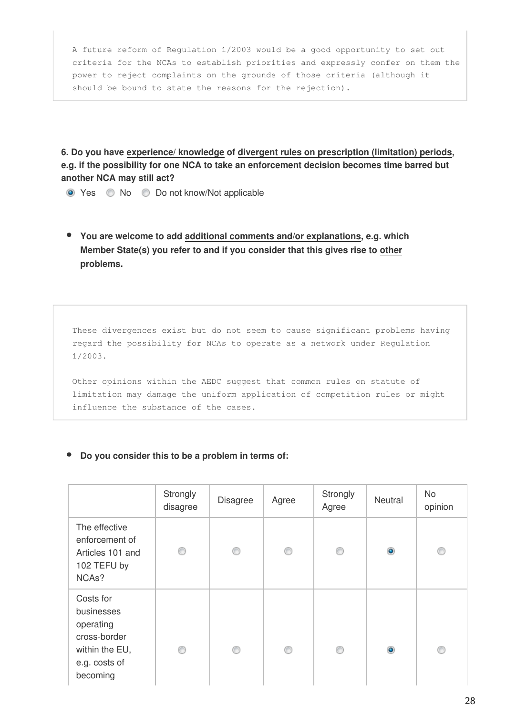A future reform of Regulation 1/2003 would be a good opportunity to set out criteria for the NCAs to establish priorities and expressly confer on them the power to reject complaints on the grounds of those criteria (although it should be bound to state the reasons for the rejection).

**6. Do you have experience/ knowledge of divergent rules on prescription (limitation) periods, e.g. if the possibility for one NCA to take an enforcement decision becomes time barred but another NCA may still act?**

- Yes No Do not know/Not applicable
- **You are welcome to add additional comments and/or explanations, e.g. which Member State(s) you refer to and if you consider that this gives rise to other problems.**

These divergences exist but do not seem to cause significant problems having regard the possibility for NCAs to operate as a network under Regulation 1/2003.

Other opinions within the AEDC suggest that common rules on statute of limitation may damage the uniform application of competition rules or might influence the substance of the cases.

### **Do you consider this to be a problem in terms of:**

|                                                                                                     | Strongly<br>disagree | <b>Disagree</b> | Agree | Strongly<br>Agree | Neutral   | <b>No</b><br>opinion |
|-----------------------------------------------------------------------------------------------------|----------------------|-----------------|-------|-------------------|-----------|----------------------|
| The effective<br>enforcement of<br>Articles 101 and<br>102 TEFU by<br>NCA <sub>s</sub> ?            | ⋒                    | ∩               | ∩     | ⊙                 | $\bullet$ | ⊙                    |
| Costs for<br>businesses<br>operating<br>cross-border<br>within the EU,<br>e.g. costs of<br>becoming |                      | ∩               | ⋒     | ∩                 | $\bullet$ | ∩                    |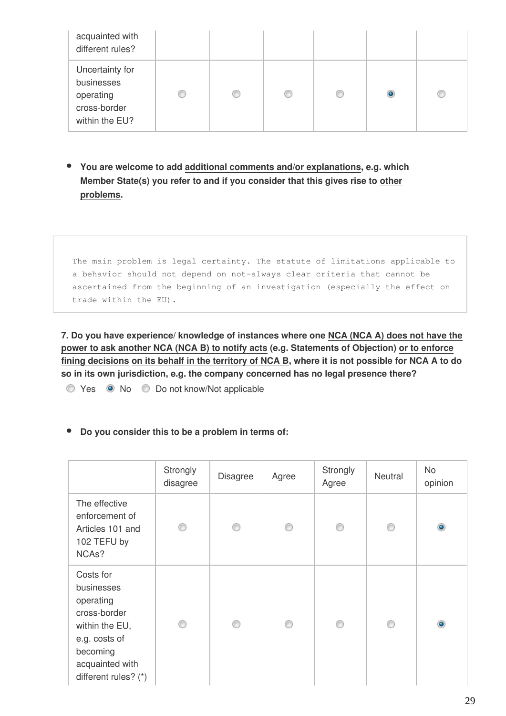| acquainted with<br>different rules?                                          |   |   |  |           |   |
|------------------------------------------------------------------------------|---|---|--|-----------|---|
| Uncertainty for<br>businesses<br>operating<br>cross-border<br>within the EU? | C | € |  | $\bullet$ | O |

**You are welcome to add additional comments and/or explanations, e.g. which Member State(s) you refer to and if you consider that this gives rise to other problems.**

The main problem is legal certainty. The statute of limitations applicable to a behavior should not depend on not-always clear criteria that cannot be ascertained from the beginning of an investigation (especially the effect on trade within the EU).

**7. Do you have experience/ knowledge of instances where one NCA (NCA A) does not have the power to ask another NCA (NCA B) to notify acts (e.g. Statements of Objection) or to enforce fining decisions on its behalf in the territory of NCA B, where it is not possible for NCA A to do so in its own jurisdiction, e.g. the company concerned has no legal presence there?**

Yes No Do not know/Not applicable

**Do you consider this to be a problem in terms of:**

|                                                                                                                                                | Strongly<br>disagree | <b>Disagree</b> | Agree | Strongly<br>Agree | Neutral | <b>No</b><br>opinion |
|------------------------------------------------------------------------------------------------------------------------------------------------|----------------------|-----------------|-------|-------------------|---------|----------------------|
| The effective<br>enforcement of<br>Articles 101 and<br>102 TEFU by<br>NCA <sub>s</sub> ?                                                       | ⋒                    | ⋒               | ∩     | ⊙                 | ⊙       | $\bullet$            |
| Costs for<br>businesses<br>operating<br>cross-border<br>within the EU,<br>e.g. costs of<br>becoming<br>acquainted with<br>different rules? (*) | ∩                    | ∩               |       | ∩                 | ⊙       | $\bullet$            |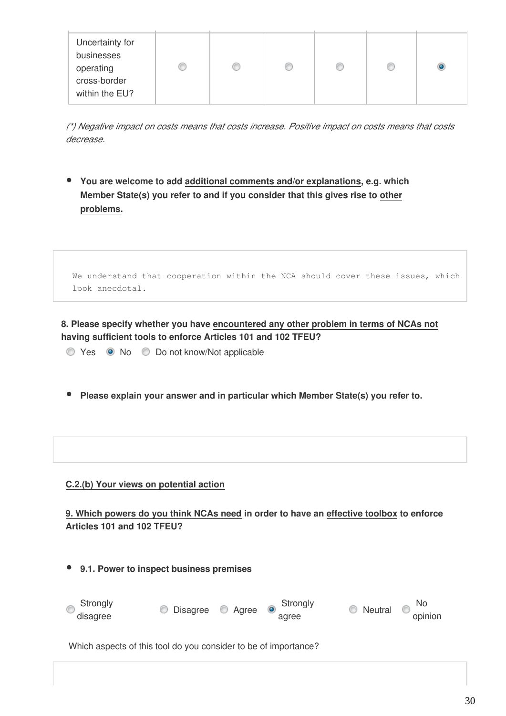| Uncertainty for<br>businesses<br>operating<br>cross-border<br>within the EU? |  | œ | <b>COLLECT</b> |  |  |  |
|------------------------------------------------------------------------------|--|---|----------------|--|--|--|
|------------------------------------------------------------------------------|--|---|----------------|--|--|--|

*(\*) Negative impact on costs means that costs increase. Positive impact on costs means that costs decrease.*

**You are welcome to add additional comments and/or explanations, e.g. which Member State(s) you refer to and if you consider that this gives rise to other problems.**

| We understand that cooperation within the NCA should cover these issues, which |  |  |  |  |  |
|--------------------------------------------------------------------------------|--|--|--|--|--|
| look anecdotal.                                                                |  |  |  |  |  |

**8. Please specify whether you have encountered any other problem in terms of NCAs not having sufficient tools to enforce Articles 101 and 102 TFEU?**

- Yes No Do not know/Not applicable
- **Please explain your answer and in particular which Member State(s) you refer to.**

### **C.2.(b) Your views on potential action**

**9. Which powers do you think NCAs need in order to have an effective toolbox to enforce Articles 101 and 102 TFEU?**

**9.1. Power to inspect business premises**

| Strongly<br>disagree | O Disagree O Agree o Strongly | agree | Neutral o No<br>opinion |  |
|----------------------|-------------------------------|-------|-------------------------|--|
|                      |                               |       |                         |  |

Which aspects of this tool do you consider to be of importance?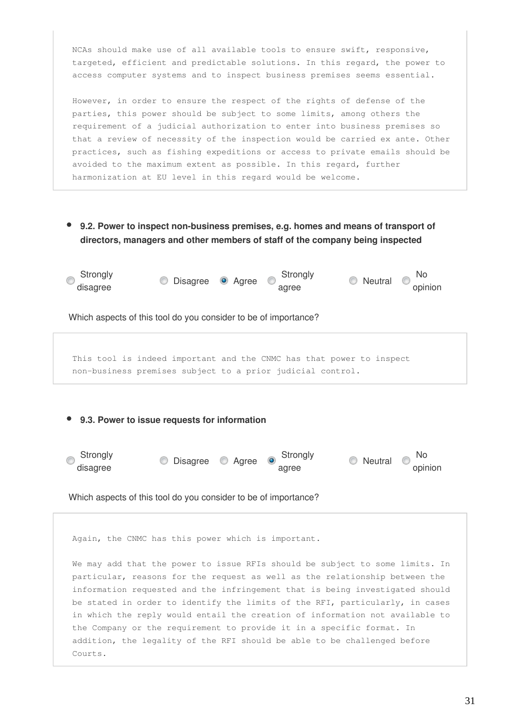NCAs should make use of all available tools to ensure swift, responsive, targeted, efficient and predictable solutions. In this regard, the power to access computer systems and to inspect business premises seems essential.

However, in order to ensure the respect of the rights of defense of the parties, this power should be subject to some limits, among others the requirement of a judicial authorization to enter into business premises so that a review of necessity of the inspection would be carried ex ante. Other practices, such as fishing expeditions or access to private emails should be avoided to the maximum extent as possible. In this regard, further harmonization at EU level in this regard would be welcome.

**9.2. Power to inspect non-business premises, e.g. homes and means of transport of directors, managers and other members of staff of the company being inspected**



This tool is indeed important and the CNMC has that power to inspect non-business premises subject to a prior judicial control.

### **9.3. Power to issue requests for information**



Which aspects of this tool do you consider to be of importance?

Again, the CNMC has this power which is important.

We may add that the power to issue RFIs should be subject to some limits. In particular, reasons for the request as well as the relationship between the information requested and the infringement that is being investigated should be stated in order to identify the limits of the RFI, particularly, in cases in which the reply would entail the creation of information not available to the Company or the requirement to provide it in a specific format. In addition, the legality of the RFI should be able to be challenged before Courts.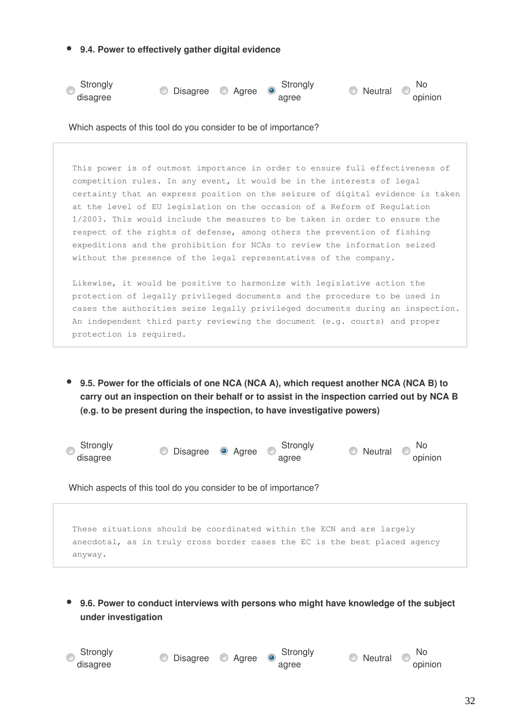**9.4. Power to effectively gather digital evidence**



Which aspects of this tool do you consider to be of importance?

This power is of outmost importance in order to ensure full effectiveness of competition rules. In any event, it would be in the interests of legal certainty that an express position on the seizure of digital evidence is taken at the level of EU legislation on the occasion of a Reform of Regulation 1/2003. This would include the measures to be taken in order to ensure the respect of the rights of defense, among others the prevention of fishing expeditions and the prohibition for NCAs to review the information seized without the presence of the legal representatives of the company.

Likewise, it would be positive to harmonize with legislative action the protection of legally privileged documents and the procedure to be used in cases the authorities seize legally privileged documents during an inspection. An independent third party reviewing the document (e.g. courts) and proper protection is required.

**9.5. Power for the officials of one NCA (NCA A), which request another NCA (NCA B) to carry out an inspection on their behalf or to assist in the inspection carried out by NCA B (e.g. to be present during the inspection, to have investigative powers)**



Which aspects of this tool do you consider to be of importance?

These situations should be coordinated within the ECN and are largely anecdotal, as in truly cross border cases the EC is the best placed agency anyway.

**9.6. Power to conduct interviews with persons who might have knowledge of the subject under investigation**

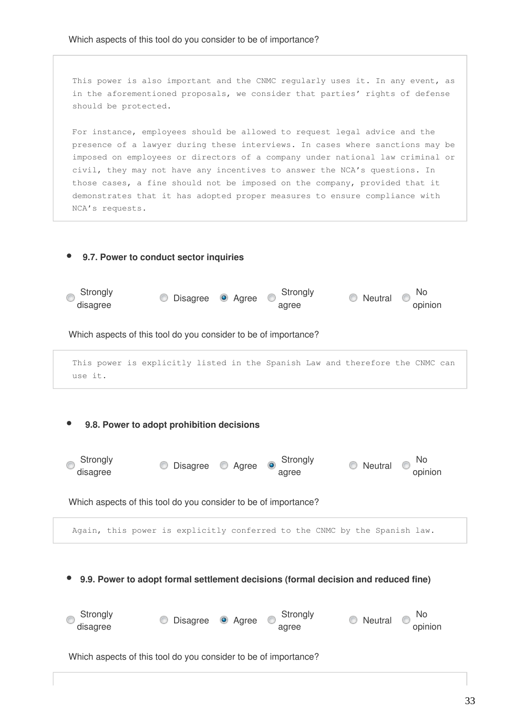This power is also important and the CNMC regularly uses it. In any event, as in the aforementioned proposals, we consider that parties' rights of defense should be protected.

For instance, employees should be allowed to request legal advice and the presence of a lawyer during these interviews. In cases where sanctions may be imposed on employees or directors of a company under national law criminal or civil, they may not have any incentives to answer the NCA's questions. In those cases, a fine should not be imposed on the company, provided that it demonstrates that it has adopted proper measures to ensure compliance with NCA's requests.

# **9.7. Power to conduct sector inquiries**



Which aspects of this tool do you consider to be of importance?

```
This power is explicitly listed in the Spanish Law and therefore the CNMC can
use it.
```
### **9.8. Power to adopt prohibition decisions**



Which aspects of this tool do you consider to be of importance?

Again, this power is explicitly conferred to the CNMC by the Spanish law.

**9.9. Power to adopt formal settlement decisions (formal decision and reduced fine)**

| ◎ Strongly<br>disagree | O Disagree <sup>O</sup> Agree | ∖ Strongly<br>$\circ$<br>agree | No Neutral O No<br>opinion |  |
|------------------------|-------------------------------|--------------------------------|----------------------------|--|
|                        |                               |                                |                            |  |

Which aspects of this tool do you consider to be of importance?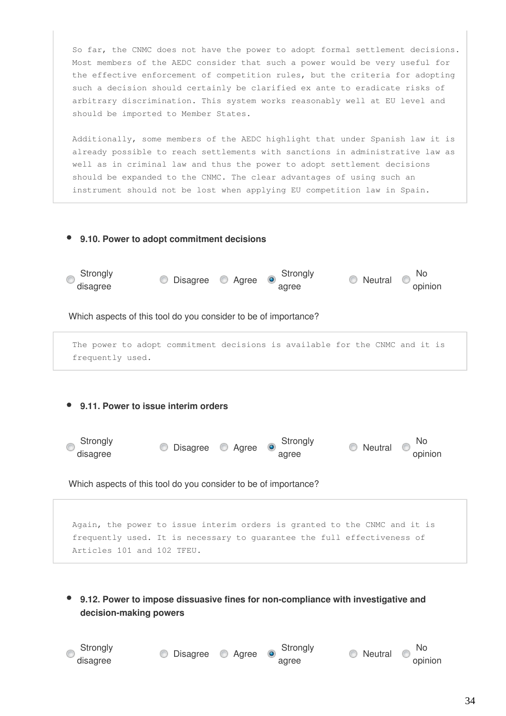So far, the CNMC does not have the power to adopt formal settlement decisions. Most members of the AEDC consider that such a power would be very useful for the effective enforcement of competition rules, but the criteria for adopting such a decision should certainly be clarified ex ante to eradicate risks of arbitrary discrimination. This system works reasonably well at EU level and should be imported to Member States.

Additionally, some members of the AEDC highlight that under Spanish law it is already possible to reach settlements with sanctions in administrative law as well as in criminal law and thus the power to adopt settlement decisions should be expanded to the CNMC. The clear advantages of using such an instrument should not be lost when applying EU competition law in Spain.

# **9.10. Power to adopt commitment decisions Strongly** Strongly<br>
disagree **Disagree Agree** agree  $\circledcirc$  Neutral  $\circledcirc$  No opinion Which aspects of this tool do you consider to be of importance? The power to adopt commitment decisions is available for the CNMC and it is frequently used. **9.11. Power to issue interim orders Strongly** Strongly<br>
disagree O Agree Strongly<br>
disagree agree O Neutral O No opinion

Which aspects of this tool do you consider to be of importance?

Again, the power to issue interim orders is granted to the CNMC and it is frequently used. It is necessary to guarantee the full effectiveness of Articles 101 and 102 TFEU.

**9.12. Power to impose dissuasive fines for non-compliance with investigative and decision-making powers**

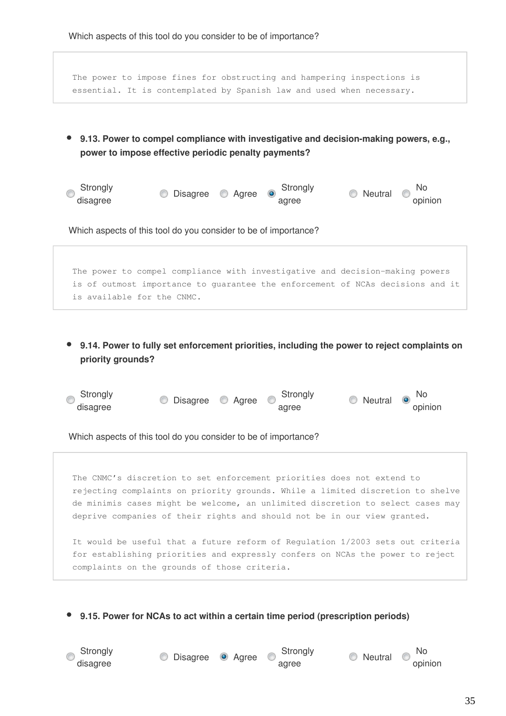The power to impose fines for obstructing and hampering inspections is essential. It is contemplated by Spanish law and used when necessary.

- **9.13. Power to compel compliance with investigative and decision-making powers, e.g., power to impose effective periodic penalty payments?**
- Strongly Strongly<br>
disagree **Disagree Agree** agree  $\bullet$  Neutral  $\bullet$  No opinion

Which aspects of this tool do you consider to be of importance?

The power to compel compliance with investigative and decision-making powers is of outmost importance to guarantee the enforcement of NCAs decisions and it is available for the CNMC.

**9.14. Power to fully set enforcement priorities, including the power to reject complaints on priority grounds?**

| Strongly<br>disagree | © Disagree © Agree © |  | Strongly<br>agree | $\circ$ Neutral $\circ$ No | opinion |
|----------------------|----------------------|--|-------------------|----------------------------|---------|
|----------------------|----------------------|--|-------------------|----------------------------|---------|

Which aspects of this tool do you consider to be of importance?

The CNMC's discretion to set enforcement priorities does not extend to rejecting complaints on priority grounds. While a limited discretion to shelve de minimis cases might be welcome, an unlimited discretion to select cases may deprive companies of their rights and should not be in our view granted.

It would be useful that a future reform of Regulation 1/2003 sets out criteria for establishing priorities and expressly confers on NCAs the power to reject complaints on the grounds of those criteria.

**9.15. Power for NCAs to act within a certain time period (prescription periods)**



Strongly<br>
disagree **Disagree Agree Strongly**<br>
disagree

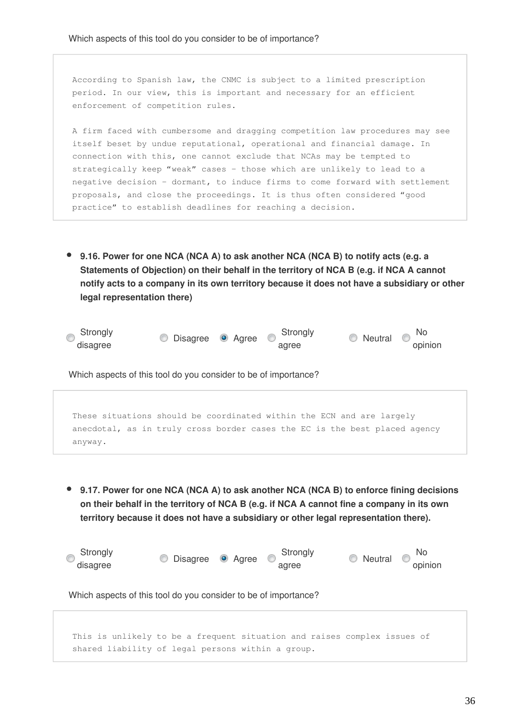According to Spanish law, the CNMC is subject to a limited prescription period. In our view, this is important and necessary for an efficient enforcement of competition rules.

A firm faced with cumbersome and dragging competition law procedures may see itself beset by undue reputational, operational and financial damage. In connection with this, one cannot exclude that NCAs may be tempted to strategically keep "weak" cases – those which are unlikely to lead to a negative decision – dormant, to induce firms to come forward with settlement proposals, and close the proceedings. It is thus often considered "good practice" to establish deadlines for reaching a decision.

**9.16. Power for one NCA (NCA A) to ask another NCA (NCA B) to notify acts (e.g. a Statements of Objection) on their behalf in the territory of NCA B (e.g. if NCA A cannot notify acts to a company in its own territory because it does not have a subsidiary or other legal representation there)**



Which aspects of this tool do you consider to be of importance?

These situations should be coordinated within the ECN and are largely anecdotal, as in truly cross border cases the EC is the best placed agency anyway.

**9.17. Power for one NCA (NCA A) to ask another NCA (NCA B) to enforce fining decisions on their behalf in the territory of NCA B (e.g. if NCA A cannot fine a company in its own territory because it does not have a subsidiary or other legal representation there).**

| Strongly<br>disagree                                            | <b>Disagree Agree</b>                             | Strongly<br>agree | No<br>$\circ$ Neutral $\circ$<br>opinion                                 |  |  |  |  |  |
|-----------------------------------------------------------------|---------------------------------------------------|-------------------|--------------------------------------------------------------------------|--|--|--|--|--|
| Which aspects of this tool do you consider to be of importance? |                                                   |                   |                                                                          |  |  |  |  |  |
|                                                                 |                                                   |                   |                                                                          |  |  |  |  |  |
|                                                                 |                                                   |                   | This is unlikely to be a frequent situation and raises complex issues of |  |  |  |  |  |
|                                                                 | shared liability of legal persons within a group. |                   |                                                                          |  |  |  |  |  |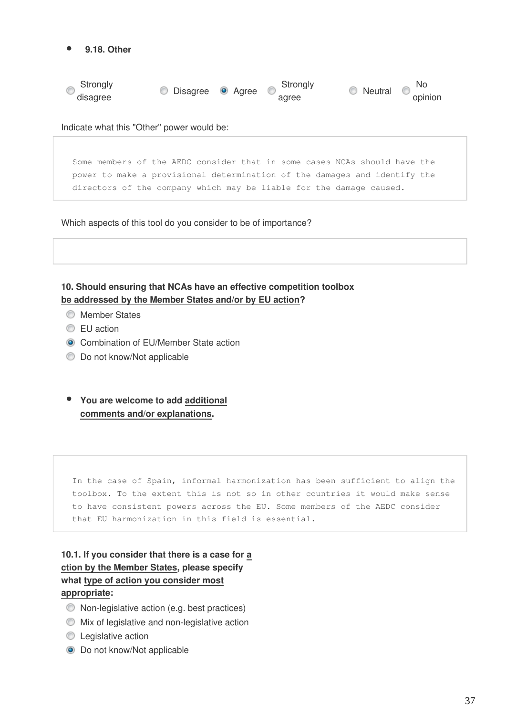

Indicate what this "Other" power would be:

Some members of the AEDC consider that in some cases NCAs should have the power to make a provisional determination of the damages and identify the directors of the company which may be liable for the damage caused.

Which aspects of this tool do you consider to be of importance?

**10. Should ensuring that NCAs have an effective competition toolbox be addressed by the Member States and/or by EU action?**

- **Member States**
- **EU** action
- **Combination of EU/Member State action**
- **Do not know/Not applicable**
- **You are welcome to add additional comments and/or explanations.**

In the case of Spain, informal harmonization has been sufficient to align the toolbox. To the extent this is not so in other countries it would make sense to have consistent powers across the EU. Some members of the AEDC consider that EU harmonization in this field is essential.

**10.1. If you consider that there is a case for a ction by the Member States, please specify what type of action you consider most appropriate:** 

- Non-legislative action (e.g. best practices)
- Mix of legislative and non-legislative action
- **Legislative action**
- $\bullet$  Do not know/Not applicable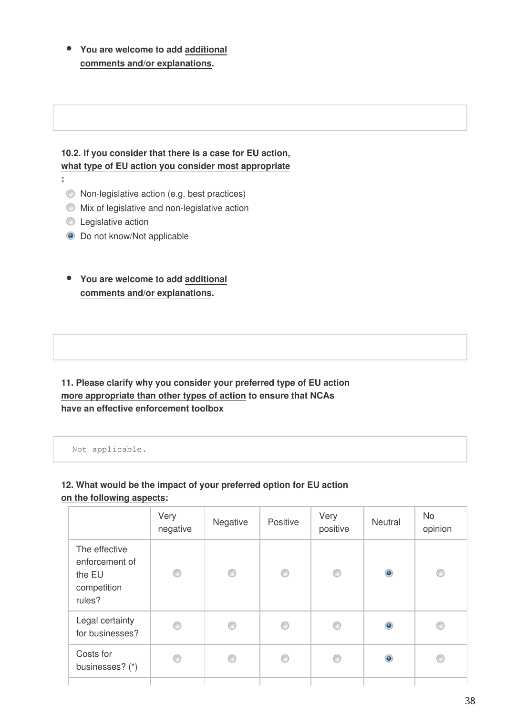**You are welcome to add additional comments and/or explanations.**

## **10.2. If you consider that there is a case for EU action, what type of EU action you consider most appropriate**

- **:** 
	- Non-legislative action (e.g. best practices)
	- Mix of legislative and non-legislative action
	- **C** Legislative action
	- $\bullet$  Do not know/Not applicable
	- **You are welcome to add additional comments and/or explanations.**

**11. Please clarify why you consider your preferred type of EU action more appropriate than other types of action to ensure that NCAs have an effective enforcement toolbox** 

Not applicable.

## **12. What would be the impact of your preferred option for EU action on the following aspects:**

|                                                                    | Very<br>negative | Negative | Positive | Very<br>positive | Neutral   | No<br>opinion |
|--------------------------------------------------------------------|------------------|----------|----------|------------------|-----------|---------------|
| The effective<br>enforcement of<br>the EU<br>competition<br>rules? | 0                | O        | ⊙        | ⊙                | $\bullet$ | ◉             |
| Legal certainty<br>for businesses?                                 | ◎                | €        | ⊙        | ⊙                | $\bullet$ |               |
| Costs for<br>businesses? (*)                                       | C                | €        | ∩        | ⋒                | $\bullet$ |               |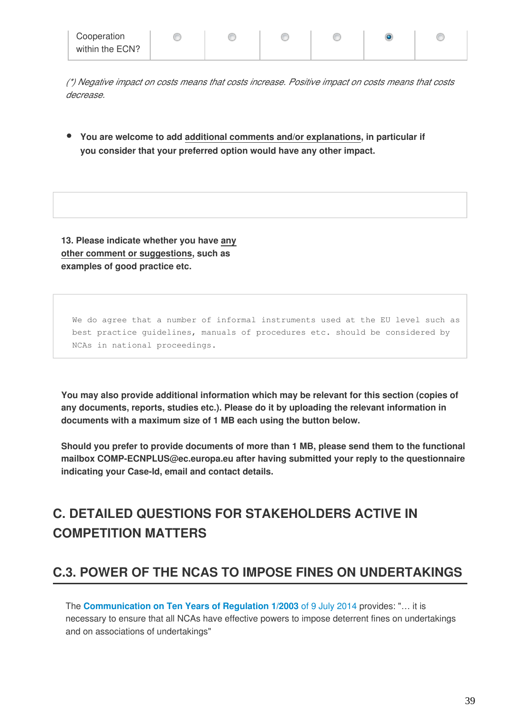| Cooperation     |  |  |  |
|-----------------|--|--|--|
| within the ECN? |  |  |  |

*(\*) Negative impact on costs means that costs increase. Positive impact on costs means that costs decrease.*

**You are welcome to add additional comments and/or explanations, in particular if you consider that your preferred option would have any other impact.**

**13. Please indicate whether you have any other comment or suggestions, such as examples of good practice etc.**

We do agree that a number of informal instruments used at the EU level such as best practice guidelines, manuals of procedures etc. should be considered by NCAs in national proceedings.

**You may also provide additional information which may be relevant for this section (copies of any documents, reports, studies etc.). Please do it by uploading the relevant information in documents with a maximum size of 1 MB each using the button below.**

**Should you prefer to provide documents of more than 1 MB, please send them to the functional mailbox COMP-ECNPLUS@ec.europa.eu after having submitted your reply to the questionnaire indicating your Case-Id, email and contact details.**

# **C. DETAILED QUESTIONS FOR STAKEHOLDERS ACTIVE IN COMPETITION MATTERS**

# **C.3. POWER OF THE NCAS TO IMPOSE FINES ON UNDERTAKINGS**

The **[Communication on Ten Years of Regulation 1/2003](http://eur-lex.europa.eu/legal-content/EN/TXT/PDF/?uri=CELEX:52014DC0453&from=EN)** of 9 July 2014 provides: "… it is necessary to ensure that all NCAs have effective powers to impose deterrent fines on undertakings and on associations of undertakings"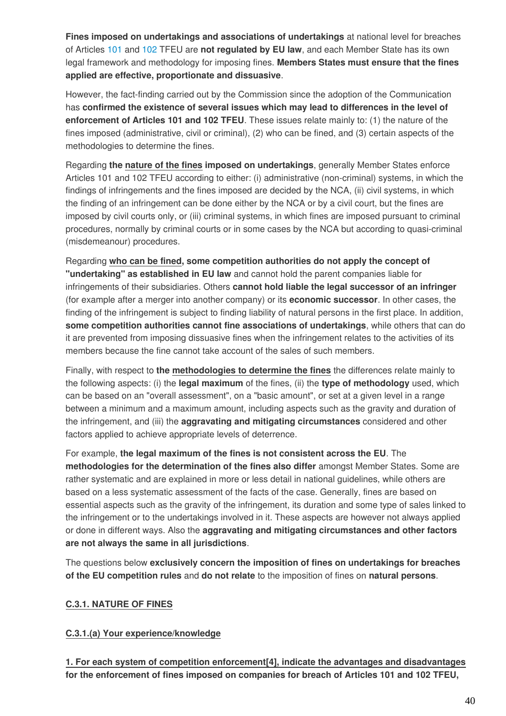**Fines imposed on undertakings and associations of undertakings** at national level for breaches of Articles [101 a](http://eur-lex.europa.eu/legal-content/EN/TXT/HTML/?uri=CELEX:12008E101&from=EN)nd [102 T](http://eur-lex.europa.eu/legal-content/EN/TXT/HTML/?uri=CELEX:12008E102&from=EN)FEU are **not regulated by EU law**, and each Member State has its own legal framework and methodology for imposing fines. **Members States must ensure that the fines applied are effective, proportionate and dissuasive**.

However, the fact-finding carried out by the Commission since the adoption of the Communication has **confirmed the existence of several issues which may lead to differences in the level of enforcement of Articles 101 and 102 TFEU**. These issues relate mainly to: (1) the nature of the fines imposed (administrative, civil or criminal), (2) who can be fined, and (3) certain aspects of the methodologies to determine the fines.

Regarding **the nature of the fines imposed on undertakings**, generally Member States enforce Articles 101 and 102 TFEU according to either: (i) administrative (non-criminal) systems, in which the findings of infringements and the fines imposed are decided by the NCA, (ii) civil systems, in which the finding of an infringement can be done either by the NCA or by a civil court, but the fines are imposed by civil courts only, or (iii) criminal systems, in which fines are imposed pursuant to criminal procedures, normally by criminal courts or in some cases by the NCA but according to quasi-criminal (misdemeanour) procedures.

Regarding **who can be fined, some competition authorities do not apply the concept of "undertaking" as established in EU law** and cannot hold the parent companies liable for infringements of their subsidiaries. Others **cannot hold liable the legal successor of an infringer** (for example after a merger into another company) or its **economic successor**. In other cases, the finding of the infringement is subject to finding liability of natural persons in the first place. In addition, **some competition authorities cannot fine associations of undertakings**, while others that can do it are prevented from imposing dissuasive fines when the infringement relates to the activities of its members because the fine cannot take account of the sales of such members.

Finally, with respect to **the methodologies to determine the fines** the differences relate mainly to the following aspects: (i) the **legal maximum** of the fines, (ii) the **type of methodology** used, which can be based on an "overall assessment", on a "basic amount", or set at a given level in a range between a minimum and a maximum amount, including aspects such as the gravity and duration of the infringement, and (iii) the **aggravating and mitigating circumstances** considered and other factors applied to achieve appropriate levels of deterrence.

For example, **the legal maximum of the fines is not consistent across the EU**. The **methodologies for the determination of the fines also differ** amongst Member States. Some are rather systematic and are explained in more or less detail in national guidelines, while others are based on a less systematic assessment of the facts of the case. Generally, fines are based on essential aspects such as the gravity of the infringement, its duration and some type of sales linked to the infringement or to the undertakings involved in it. These aspects are however not always applied or done in different ways. Also the **aggravating and mitigating circumstances and other factors are not always the same in all jurisdictions**.

The questions below **exclusively concern the imposition of fines on undertakings for breaches of the EU competition rules** and **do not relate** to the imposition of fines on **natural persons**.

#### **C.3.1. NATURE OF FINES**

#### **C.3.1.(a) Your experience/knowledge**

**1. For each system of competition enforcement[4], indicate the advantages and disadvantages for the enforcement of fines imposed on companies for breach of Articles 101 and 102 TFEU,**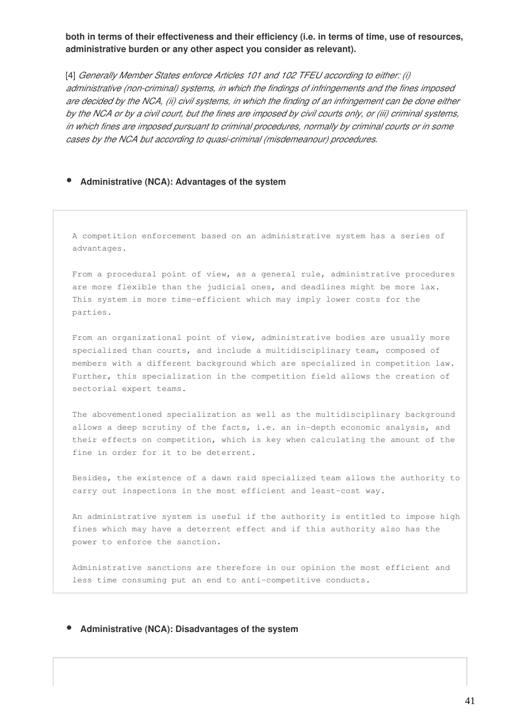**both in terms of their effectiveness and their efficiency (i.e. in terms of time, use of resources, administrative burden or any other aspect you consider as relevant).**

[4] *Generally Member States enforce Articles 101 and 102 TFEU according to either: (i) administrative (non-criminal) systems, in which the findings of infringements and the fines imposed are decided by the NCA, (ii) civil systems, in which the finding of an infringement can be done either by the NCA or by a civil court, but the fines are imposed by civil courts only, or (iii) criminal systems, in which fines are imposed pursuant to criminal procedures, normally by criminal courts or in some cases by the NCA but according to quasi-criminal (misdemeanour) procedures.*

#### **Administrative (NCA): Advantages of the system**

A competition enforcement based on an administrative system has a series of advantages.

From a procedural point of view, as a general rule, administrative procedures are more flexible than the judicial ones, and deadlines might be more lax. This system is more time-efficient which may imply lower costs for the parties.

From an organizational point of view, administrative bodies are usually more specialized than courts, and include a multidisciplinary team, composed of members with a different background which are specialized in competition law. Further, this specialization in the competition field allows the creation of sectorial expert teams.

The abovementioned specialization as well as the multidisciplinary background allows a deep scrutiny of the facts, i.e. an in-depth economic analysis, and their effects on competition, which is key when calculating the amount of the fine in order for it to be deterrent.

Besides, the existence of a dawn raid specialized team allows the authority to carry out inspections in the most efficient and least-cost way.

An administrative system is useful if the authority is entitled to impose high fines which may have a deterrent effect and if this authority also has the power to enforce the sanction.

Administrative sanctions are therefore in our opinion the most efficient and less time consuming put an end to anti-competitive conducts.

#### **Administrative (NCA): Disadvantages of the system**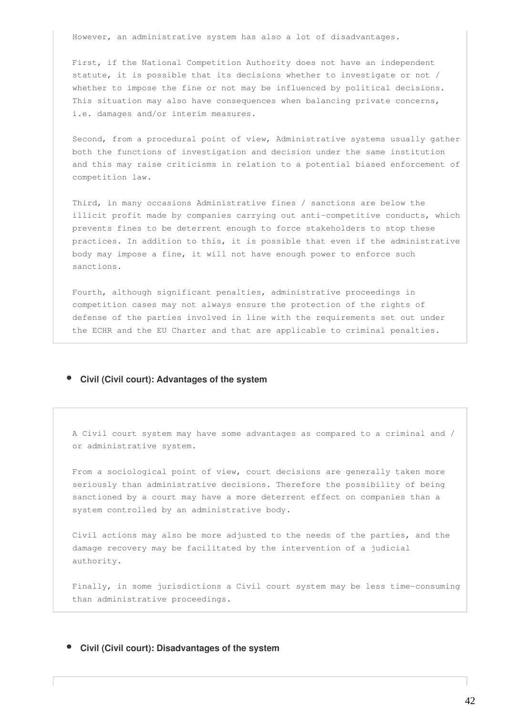However, an administrative system has also a lot of disadvantages.

First, if the National Competition Authority does not have an independent statute, it is possible that its decisions whether to investigate or not / whether to impose the fine or not may be influenced by political decisions. This situation may also have consequences when balancing private concerns, i.e. damages and/or interim measures.

Second, from a procedural point of view, Administrative systems usually gather both the functions of investigation and decision under the same institution and this may raise criticisms in relation to a potential biased enforcement of competition law.

Third, in many occasions Administrative fines / sanctions are below the illicit profit made by companies carrying out anti-competitive conducts, which prevents fines to be deterrent enough to force stakeholders to stop these practices. In addition to this, it is possible that even if the administrative body may impose a fine, it will not have enough power to enforce such sanctions.

Fourth, although significant penalties, administrative proceedings in competition cases may not always ensure the protection of the rights of defense of the parties involved in line with the requirements set out under the ECHR and the EU Charter and that are applicable to criminal penalties.

#### **Civil (Civil court): Advantages of the system**

A Civil court system may have some advantages as compared to a criminal and / or administrative system.

From a sociological point of view, court decisions are generally taken more seriously than administrative decisions. Therefore the possibility of being sanctioned by a court may have a more deterrent effect on companies than a system controlled by an administrative body.

Civil actions may also be more adjusted to the needs of the parties, and the damage recovery may be facilitated by the intervention of a judicial authority.

Finally, in some jurisdictions a Civil court system may be less time-consuming than administrative proceedings.

#### **Civil (Civil court): Disadvantages of the system**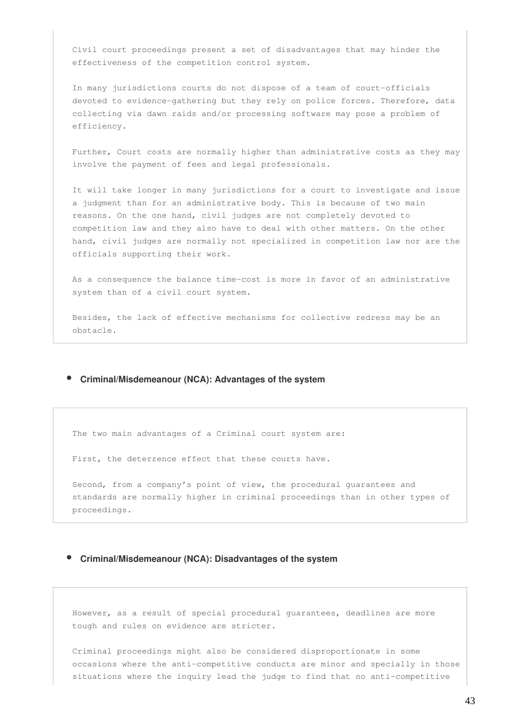Civil court proceedings present a set of disadvantages that may hinder the effectiveness of the competition control system.

In many jurisdictions courts do not dispose of a team of court-officials devoted to evidence-gathering but they rely on police forces. Therefore, data collecting via dawn raids and/or processing software may pose a problem of efficiency.

Further, Court costs are normally higher than administrative costs as they may involve the payment of fees and legal professionals.

It will take longer in many jurisdictions for a court to investigate and issue a judgment than for an administrative body. This is because of two main reasons. On the one hand, civil judges are not completely devoted to competition law and they also have to deal with other matters. On the other hand, civil judges are normally not specialized in competition law nor are the officials supporting their work.

As a consequence the balance time-cost is more in favor of an administrative system than of a civil court system.

Besides, the lack of effective mechanisms for collective redress may be an obstacle.

#### **Criminal/Misdemeanour (NCA): Advantages of the system**

The two main advantages of a Criminal court system are:

First, the deterrence effect that these courts have.

Second, from a company's point of view, the procedural guarantees and standards are normally higher in criminal proceedings than in other types of proceedings.

#### **Criminal/Misdemeanour (NCA): Disadvantages of the system**

However, as a result of special procedural guarantees, deadlines are more tough and rules on evidence are stricter.

Criminal proceedings might also be considered disproportionate in some occasions where the anti-competitive conducts are minor and specially in those situations where the inquiry lead the judge to find that no anti-competitive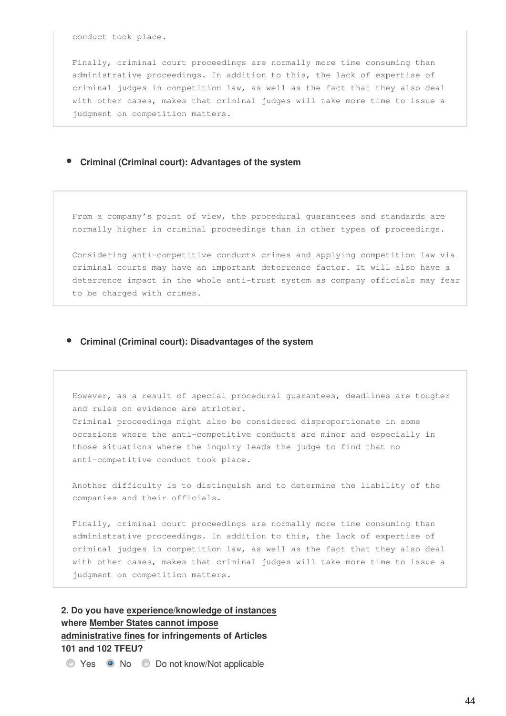conduct took place.

Finally, criminal court proceedings are normally more time consuming than administrative proceedings. In addition to this, the lack of expertise of criminal judges in competition law, as well as the fact that they also deal with other cases, makes that criminal judges will take more time to issue a judgment on competition matters.

#### **Criminal (Criminal court): Advantages of the system**

From a company's point of view, the procedural guarantees and standards are normally higher in criminal proceedings than in other types of proceedings.

Considering anti-competitive conducts crimes and applying competition law via criminal courts may have an important deterrence factor. It will also have a deterrence impact in the whole anti-trust system as company officials may fear to be charged with crimes.

#### **Criminal (Criminal court): Disadvantages of the system**

However, as a result of special procedural guarantees, deadlines are tougher and rules on evidence are stricter. Criminal proceedings might also be considered disproportionate in some occasions where the anti-competitive conducts are minor and especially in those situations where the inquiry leads the judge to find that no anti-competitive conduct took place.

Another difficulty is to distinguish and to determine the liability of the companies and their officials.

Finally, criminal court proceedings are normally more time consuming than administrative proceedings. In addition to this, the lack of expertise of criminal judges in competition law, as well as the fact that they also deal with other cases, makes that criminal judges will take more time to issue a judgment on competition matters.

**2. Do you have experience/knowledge of instances where Member States cannot impose administrative fines for infringements of Articles 101 and 102 TFEU?**

Yes No Do not know/Not applicable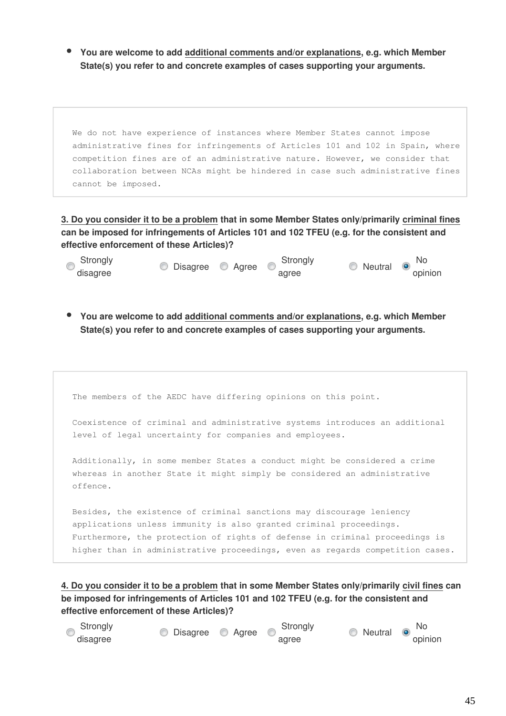**You are welcome to add additional comments and/or explanations, e.g. which Member State(s) you refer to and concrete examples of cases supporting your arguments.**

We do not have experience of instances where Member States cannot impose administrative fines for infringements of Articles 101 and 102 in Spain, where competition fines are of an administrative nature. However, we consider that collaboration between NCAs might be hindered in case such administrative fines cannot be imposed.

**3. Do you consider it to be a problem that in some Member States only/primarily criminal fines can be imposed for infringements of Articles 101 and 102 TFEU (e.g. for the consistent and effective enforcement of these Articles)?**



**You are welcome to add additional comments and/or explanations, e.g. which Member State(s) you refer to and concrete examples of cases supporting your arguments.**

| The members of the AEDC have differing opinions on this point.                                                                                                                                                                                                                                             |
|------------------------------------------------------------------------------------------------------------------------------------------------------------------------------------------------------------------------------------------------------------------------------------------------------------|
| Coexistence of criminal and administrative systems introduces an additional<br>level of legal uncertainty for companies and employees.                                                                                                                                                                     |
| Additionally, in some member States a conduct might be considered a crime<br>whereas in another State it might simply be considered an administrative<br>offence.                                                                                                                                          |
| Besides, the existence of criminal sanctions may discourage leniency<br>applications unless immunity is also granted criminal proceedings.<br>Furthermore, the protection of rights of defense in criminal proceedings is<br>higher than in administrative proceedings, even as regards competition cases. |

**4. Do you consider it to be a problem that in some Member States only/primarily civil fines can be imposed for infringements of Articles 101 and 102 TFEU (e.g. for the consistent and effective enforcement of these Articles)?** 

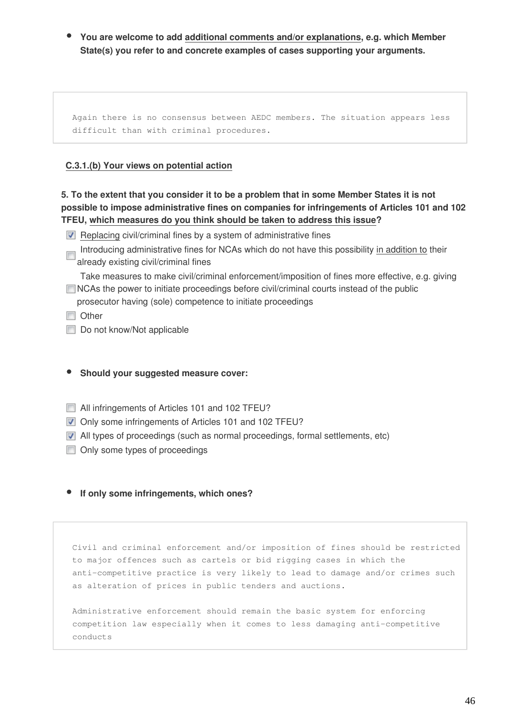**You are welcome to add additional comments and/or explanations, e.g. which Member State(s) you refer to and concrete examples of cases supporting your arguments.**

Again there is no consensus between AEDC members. The situation appears less difficult than with criminal procedures.

#### **C.3.1.(b) Your views on potential action**

**5. To the extent that you consider it to be a problem that in some Member States it is not possible to impose administrative fines on companies for infringements of Articles 101 and 102 TFEU, which measures do you think should be taken to address this issue?**

- $\blacksquare$  Replacing civil/criminal fines by a system of administrative fines
- Introducing administrative fines for NCAs which do not have this possibility in addition to their already existing civil/criminal fines

Take measures to make civil/criminal enforcement/imposition of fines more effective, e.g. giving NCAs the power to initiate proceedings before civil/criminal courts instead of the public

prosecutor having (sole) competence to initiate proceedings

**n** Other

- Do not know/Not applicable
- **Should your suggested measure cover:**
- All infringements of Articles 101 and 102 TFEU?
- **V** Only some infringements of Articles 101 and 102 TFEU?
- All types of proceedings (such as normal proceedings, formal settlements, etc)
- **Delay** Only some types of proceedings

#### **If only some infringements, which ones?**

Civil and criminal enforcement and/or imposition of fines should be restricted to major offences such as cartels or bid rigging cases in which the anti-competitive practice is very likely to lead to damage and/or crimes such as alteration of prices in public tenders and auctions.

Administrative enforcement should remain the basic system for enforcing competition law especially when it comes to less damaging anti-competitive conducts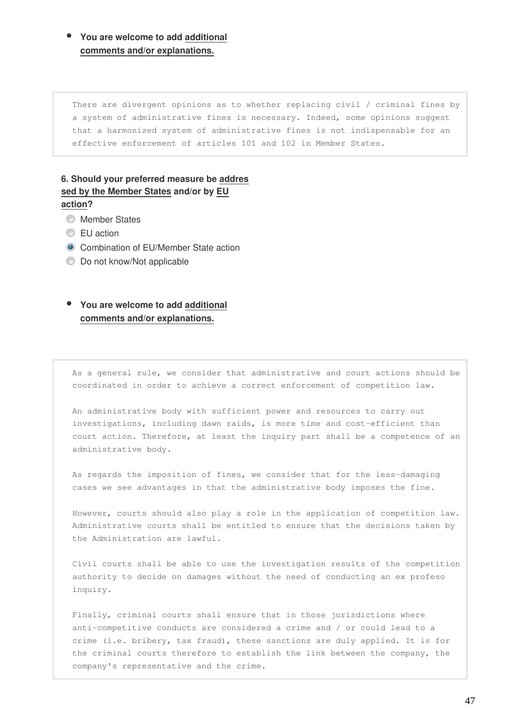**You are welcome to add additional comments and/or explanations.**

There are divergent opinions as to whether replacing civil / criminal fines by a system of administrative fines is necessary. Indeed, some opinions suggest that a harmonized system of administrative fines is not indispensable for an effective enforcement of articles 101 and 102 in Member States.

## **6. Should your preferred measure be addres sed by the Member States and/or by EU action?**

- **Member States**
- **EU** action
- **Combination of EU/Member State action**
- **Do not know/Not applicable**

**You are welcome to add additional comments and/or explanations.**

As a general rule, we consider that administrative and court actions should be coordinated in order to achieve a correct enforcement of competition law.

An administrative body with sufficient power and resources to carry out investigations, including dawn raids, is more time and cost-efficient than court action. Therefore, at least the inquiry part shall be a competence of an administrative body.

As regards the imposition of fines, we consider that for the less-damaging cases we see advantages in that the administrative body imposes the fine.

However, courts should also play a role in the application of competition law. Administrative courts shall be entitled to ensure that the decisions taken by the Administration are lawful.

Civil courts shall be able to use the investigation results of the competition authority to decide on damages without the need of conducting an ex profeso inquiry.

Finally, criminal courts shall ensure that in those jurisdictions where anti-competitive conducts are considered a crime and / or could lead to a crime (i.e. bribery, tax fraud), these sanctions are duly applied. It is for the criminal courts therefore to establish the link between the company, the company's representative and the crime.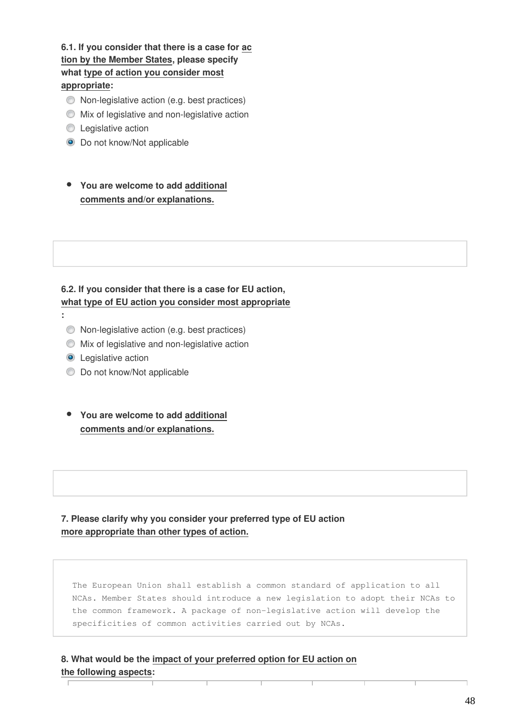**6.1. If you consider that there is a case for ac tion by the Member States, please specify what type of action you consider most appropriate:** 

- Non-legislative action (e.g. best practices)
- $\bullet$  Mix of legislative and non-legislative action
- **C** Legislative action
- $\bullet$  Do not know/Not applicable
- **You are welcome to add additional comments and/or explanations.**

## **6.2. If you consider that there is a case for EU action, what type of EU action you consider most appropriate**

- **:** 
	- Non-legislative action (e.g. best practices)
	- Mix of legislative and non-legislative action
	- **O** Legislative action
	- **Do not know/Not applicable**
	- **You are welcome to add additional comments and/or explanations.**

**7. Please clarify why you consider your preferred type of EU action more appropriate than other types of action.**

The European Union shall establish a common standard of application to all NCAs. Member States should introduce a new legislation to adopt their NCAs to the common framework. A package of non-legislative action will develop the specificities of common activities carried out by NCAs.

**8. What would be the impact of your preferred option for EU action on the following aspects:**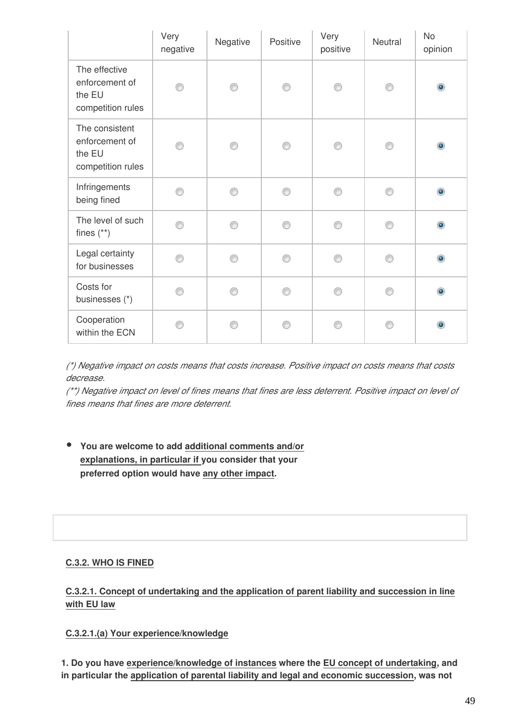|                                                                 | Very<br>negative | Negative | Positive | Very<br>positive | Neutral | <b>No</b><br>opinion |
|-----------------------------------------------------------------|------------------|----------|----------|------------------|---------|----------------------|
| The effective<br>enforcement of<br>the EU<br>competition rules  |                  | ∩        |          | ∩                |         | $\bullet$            |
| The consistent<br>enforcement of<br>the EU<br>competition rules | ∩                | ∩        | ⋒        | ∩                | ⊙       | $\circledcirc$       |
| Infringements<br>being fined                                    |                  | ⋒        | A        | ⊙                | ⊙       | $\bullet$            |
| The level of such<br>fines $(**)$                               | ⋒                | ∩        | ⋒        | ⊙                | ⊙       | $\circledcirc$       |
| Legal certainty<br>for businesses                               | ⋒                | ⋒        | ⋒        | ⋒                | C       | $\bullet$            |
| Costs for<br>businesses (*)                                     | ⋒                | ⋒        | ⋒        | ⋒                | ⊙       | $\bullet$            |
| Cooperation<br>within the ECN                                   |                  |          |          | ⊙                | ⋒       | $\bullet$            |

*(\*) Negative impact on costs means that costs increase. Positive impact on costs means that costs decrease.*

*(\*\*) Negative impact on level of fines means that fines are less deterrent. Positive impact on level of fines means that fines are more deterrent.*

**You are welcome to add additional comments and/or explanations, in particular if you consider that your preferred option would have any other impact.**

## **C.3.2. WHO IS FINED**

## **C.3.2.1. Concept of undertaking and the application of parent liability and succession in line with EU law**

**C.3.2.1.(a) Your experience/knowledge**

**1. Do you have experience/knowledge of instances where the EU concept of undertaking, and in particular the application of parental liability and legal and economic succession, was not**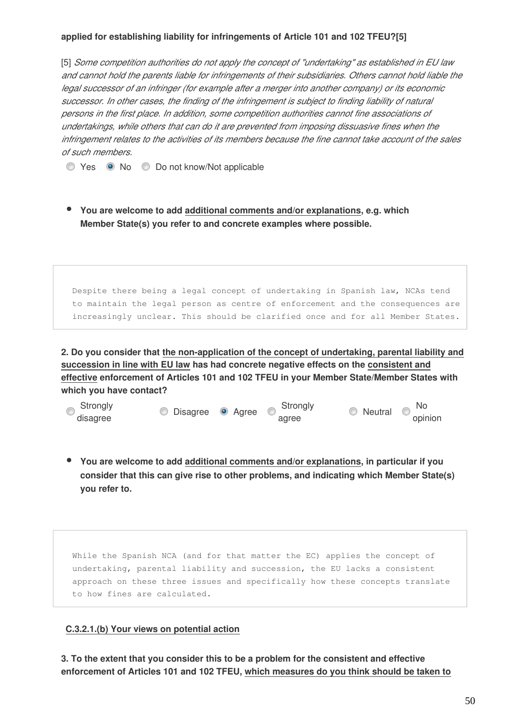#### **applied for establishing liability for infringements of Article 101 and 102 TFEU?[5]**

[5] *Some competition authorities do not apply the concept of "undertaking" as established in EU law and cannot hold the parents liable for infringements of their subsidiaries. Others cannot hold liable the legal successor of an infringer (for example after a merger into another company) or its economic successor. In other cases, the finding of the infringement is subject to finding liability of natural persons in the first place. In addition, some competition authorities cannot fine associations of undertakings, while others that can do it are prevented from imposing dissuasive fines when the infringement relates to the activities of its members because the fine cannot take account of the sales of such members.*

◯ Yes No Do not know/Not applicable

**You are welcome to add additional comments and/or explanations, e.g. which Member State(s) you refer to and concrete examples where possible.**

Despite there being a legal concept of undertaking in Spanish law, NCAs tend to maintain the legal person as centre of enforcement and the consequences are increasingly unclear. This should be clarified once and for all Member States.

**2. Do you consider that the non-application of the concept of undertaking, parental liability and succession in line with EU law has had concrete negative effects on the consistent and effective enforcement of Articles 101 and 102 TFEU in your Member State/Member States with which you have contact?**



**You are welcome to add additional comments and/or explanations, in particular if you consider that this can give rise to other problems, and indicating which Member State(s) you refer to.**

While the Spanish NCA (and for that matter the EC) applies the concept of undertaking, parental liability and succession, the EU lacks a consistent approach on these three issues and specifically how these concepts translate to how fines are calculated.

#### **C.3.2.1.(b) Your views on potential action**

**3. To the extent that you consider this to be a problem for the consistent and effective enforcement of Articles 101 and 102 TFEU, which measures do you think should be taken to**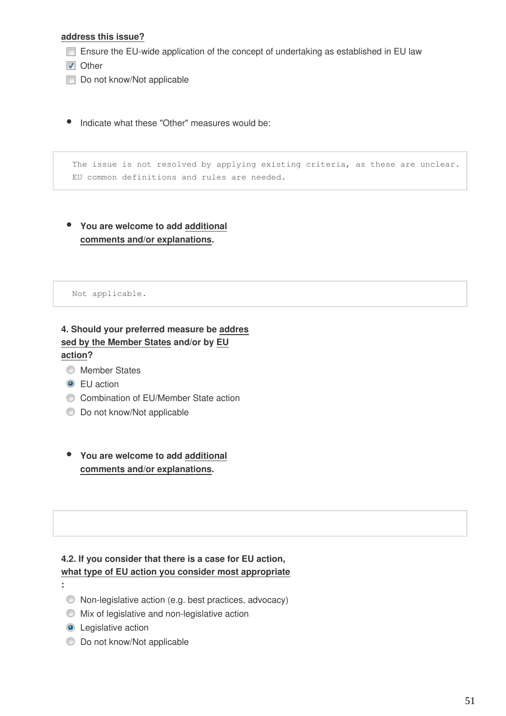#### **address this issue?**

- Ensure the EU-wide application of the concept of undertaking as established in EU law
- **V** Other
- Do not know/Not applicable
- Indicate what these "Other" measures would be:

The issue is not resolved by applying existing criteria, as these are unclear. EU common definitions and rules are needed.

**You are welcome to add additional comments and/or explanations.**

Not applicable.

**4. Should your preferred measure be addres sed by the Member States and/or by EU action?**

- **Member States**
- **O** EU action
- Combination of EU/Member State action
- $\bullet$  Do not know/Not applicable
- **You are welcome to add additional comments and/or explanations.**

#### **4.2. If you consider that there is a case for EU action, what type of EU action you consider most appropriate**

**:** 

- Non-legislative action (e.g. best practices, advocacy)
- Mix of legislative and non-legislative action
- **O** Legislative action
- **Do not know/Not applicable**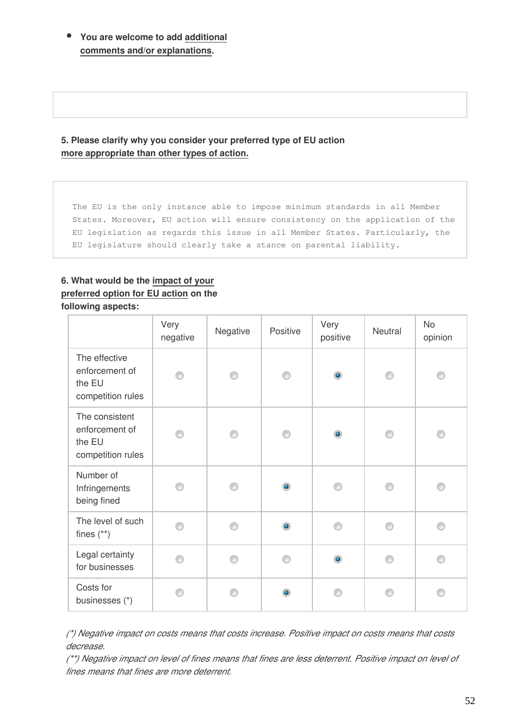**You are welcome to add additional comments and/or explanations.**

**5. Please clarify why you consider your preferred type of EU action more appropriate than other types of action.**

The EU is the only instance able to impose minimum standards in all Member States. Moreover, EU action will ensure consistency on the application of the EU legislation as regards this issue in all Member States. Particularly, the EU legislature should clearly take a stance on parental liability.

#### **6. What would be the impact of your preferred option for EU action on the following aspects:**

|                                                                 | Very<br>negative | Negative | Positive  | Very<br>positive | Neutral | <b>No</b><br>opinion |
|-----------------------------------------------------------------|------------------|----------|-----------|------------------|---------|----------------------|
| The effective<br>enforcement of<br>the EU<br>competition rules  | ∩                | ∩        | ∩         | $\bullet$        | ⊙       | ∩                    |
| The consistent<br>enforcement of<br>the EU<br>competition rules | ∩                | ⋒        | ∩         | $\bullet$        | ⊙       | ⊙                    |
| Number of<br>Infringements<br>being fined                       |                  |          | $\bullet$ |                  | ⊙       |                      |
| The level of such<br>fines $(**)$                               | ⋒                | ⋒        | $\bullet$ | ⊙                | ⊙       | ⊙                    |
| Legal certainty<br>for businesses                               | ∩                | ⋒        | ⋒         | $\bullet$        | ⊙       | ∩                    |
| Costs for<br>businesses (*)                                     | ∩                | ⋒        | $\bullet$ | ∩                | ∩       | ∩                    |

*(\*) Negative impact on costs means that costs increase. Positive impact on costs means that costs decrease.*

*(\*\*) Negative impact on level of fines means that fines are less deterrent. Positive impact on level of fines means that fines are more deterrent.*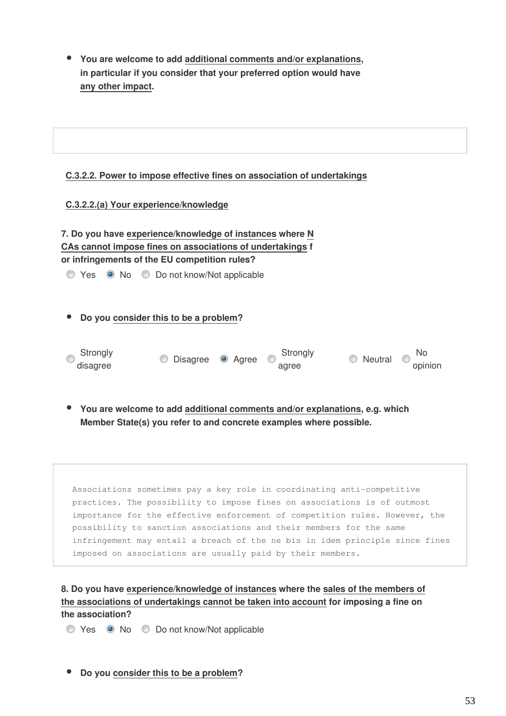**You are welcome to add additional comments and/or explanations, in particular if you consider that your preferred option would have any other impact.**

#### **C.3.2.2. Power to impose effective fines on association of undertakings**

#### **C.3.2.2.(a) Your experience/knowledge**

| 7. Do you have experience/knowledge of instances where N  |
|-----------------------------------------------------------|
| CAs cannot impose fines on associations of undertakings f |
| or infringements of the EU competition rules?             |

◯ Yes ⊙ No ◯ Do not know/Not applicable

**Do you consider this to be a problem?**



**You are welcome to add additional comments and/or explanations, e.g. which Member State(s) you refer to and concrete examples where possible.**

Associations sometimes pay a key role in coordinating anti-competitive practices. The possibility to impose fines on associations is of outmost importance for the effective enforcement of competition rules. However, the possibility to sanction associations and their members for the same infringement may entail a breach of the ne bis in idem principle since fines imposed on associations are usually paid by their members.

**8. Do you have experience/knowledge of instances where the sales of the members of the associations of undertakings cannot be taken into account for imposing a fine on the association?**

Yes No Do not know/Not applicable

**Do you consider this to be a problem?**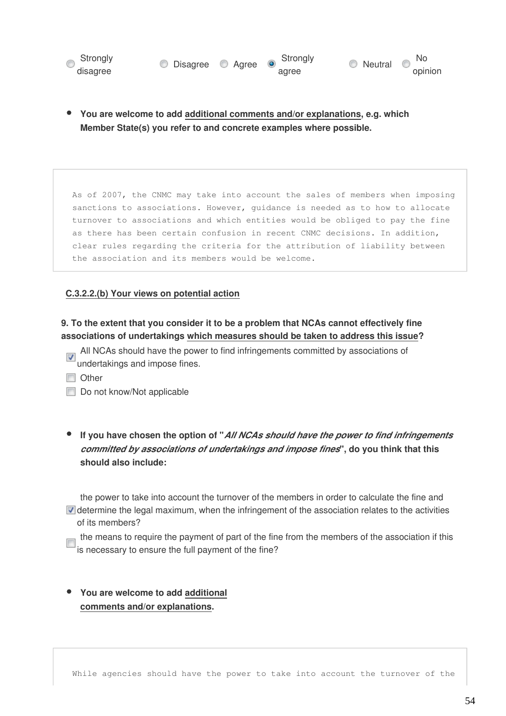



**You are welcome to add additional comments and/or explanations, e.g. which Member State(s) you refer to and concrete examples where possible.**

As of 2007, the CNMC may take into account the sales of members when imposing sanctions to associations. However, guidance is needed as to how to allocate turnover to associations and which entities would be obliged to pay the fine as there has been certain confusion in recent CNMC decisions. In addition, clear rules regarding the criteria for the attribution of liability between the association and its members would be welcome.

#### **C.3.2.2.(b) Your views on potential action**

#### **9. To the extent that you consider it to be a problem that NCAs cannot effectively fine associations of undertakings which measures should be taken to address this issue?**

- All NCAs should have the power to find infringements committed by associations of undertakings and impose fines.
- **Other**
- Do not know/Not applicable
- **If you have chosen the option of "***All NCAs should have the power to find infringements committed by associations of undertakings and impose fines***", do you think that this should also include:**

the power to take into account the turnover of the members in order to calculate the fine and  $\nabla$  determine the legal maximum, when the infringement of the association relates to the activities of its members?

the means to require the payment of part of the fine from the members of the association if this is necessary to ensure the full payment of the fine?

**You are welcome to add additional comments and/or explanations.**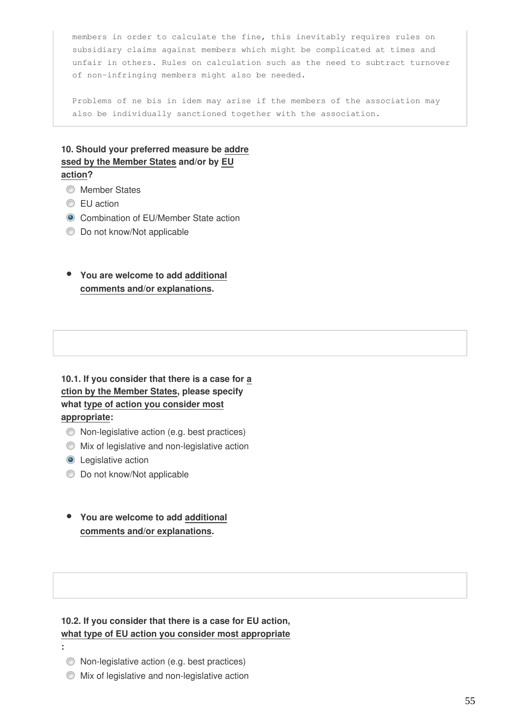members in order to calculate the fine, this inevitably requires rules on subsidiary claims against members which might be complicated at times and unfair in others. Rules on calculation such as the need to subtract turnover of non-infringing members might also be needed.

Problems of ne bis in idem may arise if the members of the association may also be individually sanctioned together with the association.

#### **10. Should your preferred measure be addre ssed by the Member States and/or by EU action?**

- **Member States**
- **EU** action
- **Combination of EU/Member State action**
- $\bullet$  Do not know/Not applicable

#### **You are welcome to add additional comments and/or explanations.**

## **10.1. If you consider that there is a case for a ction by the Member States, please specify what type of action you consider most appropriate:**

- Non-legislative action (e.g. best practices)
- $\bullet$  Mix of legislative and non-legislative action
- **O** Legislative action
- $\bullet$  Do not know/Not applicable
- **You are welcome to add additional comments and/or explanations.**

#### **10.2. If you consider that there is a case for EU action, what type of EU action you consider most appropriate**

- **:** 
	- Non-legislative action (e.g. best practices)
	- Mix of legislative and non-legislative action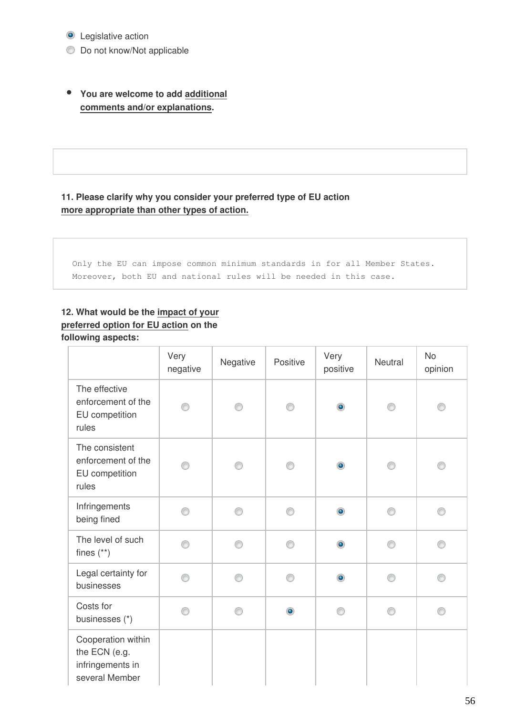**O** Legislative action

 $\bullet$  Do not know/Not applicable

**You are welcome to add additional comments and/or explanations.**

## **11. Please clarify why you consider your preferred type of EU action more appropriate than other types of action.**

Only the EU can impose common minimum standards in for all Member States. Moreover, both EU and national rules will be needed in this case.

## **12. What would be the impact of your preferred option for EU action on the following aspects:**

|                                                                           | Very<br>negative | Negative | Positive  | Very<br>positive | Neutral | <b>No</b><br>opinion |
|---------------------------------------------------------------------------|------------------|----------|-----------|------------------|---------|----------------------|
| The effective<br>enforcement of the<br>EU competition<br>rules            | ⊙                | ∩        | ∩         | $\bullet$        | ⋒       |                      |
| The consistent<br>enforcement of the<br>EU competition<br>rules           | ∩                | ∩        |           | $\bullet$        | ∩       | ⊙                    |
| Infringements<br>being fined                                              | ⊙                | ⊙        | ⊙         | $\bullet$        | ⊙       | 0                    |
| The level of such<br>fines $(**)$                                         | ⊙                | ⋒        | ⊙         | $\bullet$        | ⊙       | ⊙                    |
| Legal certainty for<br>businesses                                         | ∩                | ⋒        | ∩         | $\bullet$        | ∩       | ⊙                    |
| Costs for<br>businesses (*)                                               | ∩                | ∩        | $\bullet$ | ∩                | ⊙       | ⊙                    |
| Cooperation within<br>the ECN (e.g.<br>infringements in<br>several Member |                  |          |           |                  |         |                      |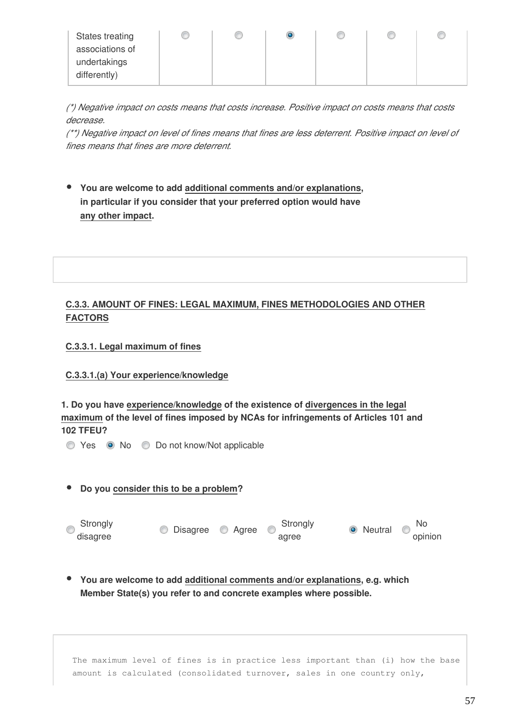| States treating<br>associations of | w | œ |  | œ |  |
|------------------------------------|---|---|--|---|--|
| undertakings<br>differently)       |   |   |  |   |  |
|                                    |   |   |  |   |  |

*(\*) Negative impact on costs means that costs increase. Positive impact on costs means that costs decrease.*

*(\*\*) Negative impact on level of fines means that fines are less deterrent. Positive impact on level of fines means that fines are more deterrent.*

**You are welcome to add additional comments and/or explanations, in particular if you consider that your preferred option would have any other impact.**

#### **C.3.3. AMOUNT OF FINES: LEGAL MAXIMUM, FINES METHODOLOGIES AND OTHER FACTORS**

#### **C.3.3.1. Legal maximum of fines**

#### **C.3.3.1.(a) Your experience/knowledge**

**1. Do you have experience/knowledge of the existence of divergences in the legal maximum of the level of fines imposed by NCAs for infringements of Articles 101 and 102 TFEU?**

Yes No Do not know/Not applicable

#### **Do you consider this to be a problem?**

| Strongly<br>$\sim$ | C Disagree C Agree | Strongly | <b>O</b> Neutral | $\sim$ No |
|--------------------|--------------------|----------|------------------|-----------|
| disagree           |                    | agree    |                  | opinion   |

**You are welcome to add additional comments and/or explanations, e.g. which Member State(s) you refer to and concrete examples where possible.**

The maximum level of fines is in practice less important than (i) how the base amount is calculated (consolidated turnover, sales in one country only,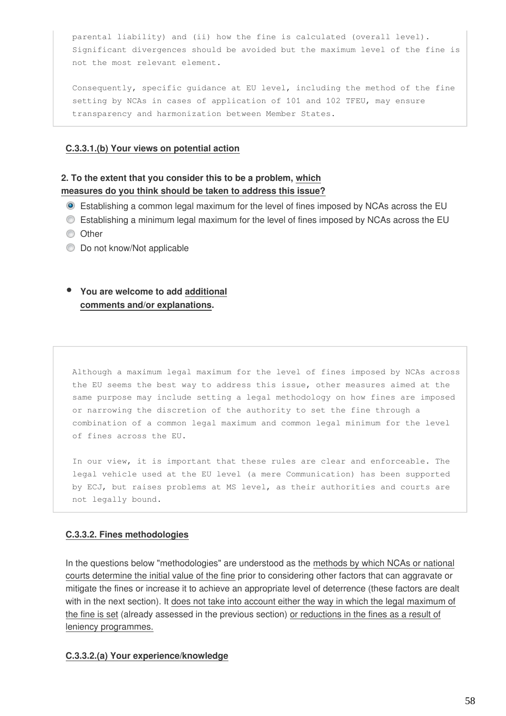parental liability) and (ii) how the fine is calculated (overall level). Significant divergences should be avoided but the maximum level of the fine is not the most relevant element.

Consequently, specific guidance at EU level, including the method of the fine setting by NCAs in cases of application of 101 and 102 TFEU, may ensure transparency and harmonization between Member States.

#### **C.3.3.1.(b) Your views on potential action**

#### **2. To the extent that you consider this to be a problem, which measures do you think should be taken to address this issue?**

- Establishing a common legal maximum for the level of fines imposed by NCAs across the EU
- Establishing a minimum legal maximum for the level of fines imposed by NCAs across the EU
- **O** Other
- **Do not know/Not applicable**

## **You are welcome to add additional comments and/or explanations.**

Although a maximum legal maximum for the level of fines imposed by NCAs across the EU seems the best way to address this issue, other measures aimed at the same purpose may include setting a legal methodology on how fines are imposed or narrowing the discretion of the authority to set the fine through a combination of a common legal maximum and common legal minimum for the level of fines across the EU.

In our view, it is important that these rules are clear and enforceable. The legal vehicle used at the EU level (a mere Communication) has been supported by ECJ, but raises problems at MS level, as their authorities and courts are not legally bound.

#### **C.3.3.2. Fines methodologies**

In the questions below "methodologies" are understood as the methods by which NCAs or national courts determine the initial value of the fine prior to considering other factors that can aggravate or mitigate the fines or increase it to achieve an appropriate level of deterrence (these factors are dealt with in the next section). It does not take into account either the way in which the legal maximum of the fine is set (already assessed in the previous section) or reductions in the fines as a result of leniency programmes.

#### **C.3.3.2.(a) Your experience/knowledge**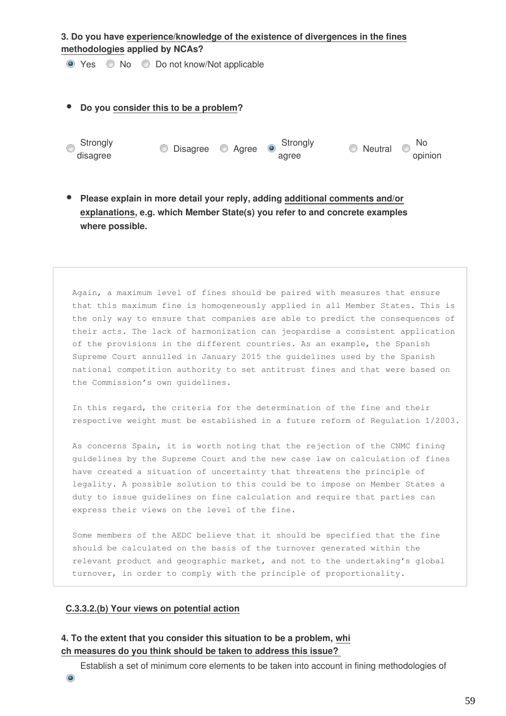#### **3. Do you have experience/knowledge of the existence of divergences in the fines methodologies applied by NCAs?**

● Yes ● No ● Do not know/Not applicable

## **Do you consider this to be a problem?** Strongly Strongly<br>
disagree **Disagree Agree** agree O Neutral O No opinion

**Please explain in more detail your reply, adding additional comments and/or explanations, e.g. which Member State(s) you refer to and concrete examples where possible.**

Again, a maximum level of fines should be paired with measures that ensure that this maximum fine is homogeneously applied in all Member States. This is the only way to ensure that companies are able to predict the consequences of their acts. The lack of harmonization can jeopardise a consistent application of the provisions in the different countries. As an example, the Spanish Supreme Court annulled in January 2015 the guidelines used by the Spanish national competition authority to set antitrust fines and that were based on the Commission's own guidelines.

In this regard, the criteria for the determination of the fine and their respective weight must be established in a future reform of Regulation 1/2003.

As concerns Spain, it is worth noting that the rejection of the CNMC fining guidelines by the Supreme Court and the new case law on calculation of fines have created a situation of uncertainty that threatens the principle of legality. A possible solution to this could be to impose on Member States a duty to issue guidelines on fine calculation and require that parties can express their views on the level of the fine.

Some members of the AEDC believe that it should be specified that the fine should be calculated on the basis of the turnover generated within the relevant product and geographic market, and not to the undertaking's global turnover, in order to comply with the principle of proportionality.

## **C.3.3.2.(b) Your views on potential action**

## **4. To the extent that you consider this situation to be a problem, whi ch measures do you think should be taken to address this issue?**

Establish a set of minimum core elements to be taken into account in fining methodologies of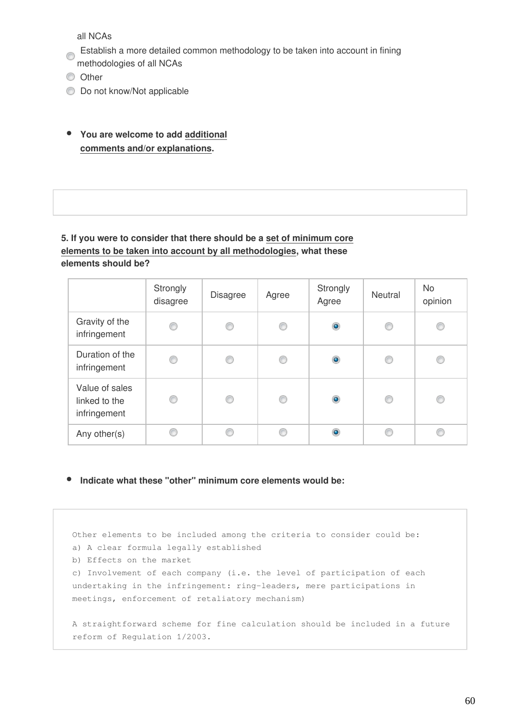all NCAs

- Establish a more detailed common methodology to be taken into account in fining methodologies of all NCAs
- 
- **O** Other
- $\bullet$  Do not know/Not applicable
- **You are welcome to add additional comments and/or explanations.**

## **5. If you were to consider that there should be a set of minimum core elements to be taken into account by all methodologies, what these elements should be?**

|                                                 | Strongly<br>disagree | <b>Disagree</b> | Agree | Strongly<br>Agree | <b>Neutral</b> | <b>No</b><br>opinion |
|-------------------------------------------------|----------------------|-----------------|-------|-------------------|----------------|----------------------|
| Gravity of the<br>infringement                  | ⋒                    | O               | O     | $\bullet$         | 0              | O                    |
| Duration of the<br>infringement                 |                      | C               | C     | $\bullet$         | C              | C                    |
| Value of sales<br>linked to the<br>infringement |                      | ⊙               | ⊙     | $\bullet$         | O              | ◎                    |
| Any other(s)                                    |                      | €               | €     | $\bullet$         | O              | ⋒                    |

**Indicate what these "other" minimum core elements would be:**

Other elements to be included among the criteria to consider could be: a) A clear formula legally established b) Effects on the market c) Involvement of each company (i.e. the level of participation of each undertaking in the infringement: ring-leaders, mere participations in meetings, enforcement of retaliatory mechanism) A straightforward scheme for fine calculation should be included in a future reform of Regulation 1/2003.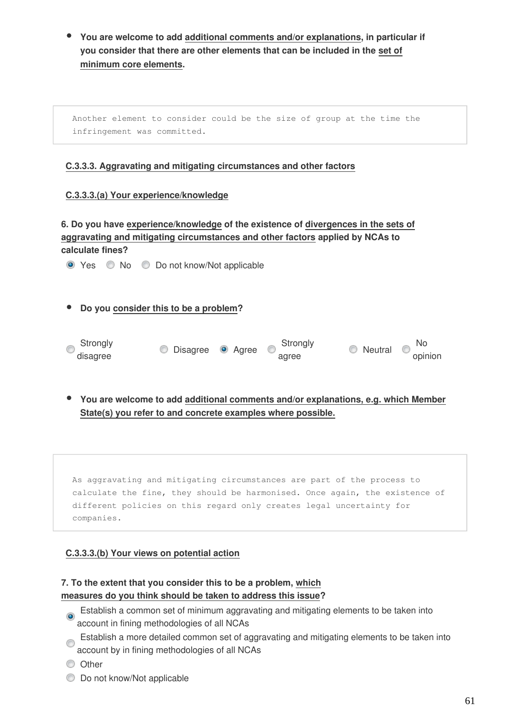**You are welcome to add additional comments and/or explanations, in particular if you consider that there are other elements that can be included in the set of minimum core elements.**

Another element to consider could be the size of group at the time the infringement was committed.

#### **C.3.3.3. Aggravating and mitigating circumstances and other factors**

#### **C.3.3.3.(a) Your experience/knowledge**

**6. Do you have experience/knowledge of the existence of divergences in the sets of aggravating and mitigating circumstances and other factors applied by NCAs to calculate fines?**

● Yes ● No ● Do not know/Not applicable

**Do you consider this to be a problem?**

| Strongly | <b>O</b> Disagree <b>O</b> Agree | Strongly | Neutral | No      |
|----------|----------------------------------|----------|---------|---------|
| disagree |                                  | agree    |         | opinion |

**You are welcome to add additional comments and/or explanations, e.g. which Member State(s) you refer to and concrete examples where possible.**

As aggravating and mitigating circumstances are part of the process to calculate the fine, they should be harmonised. Once again, the existence of different policies on this regard only creates legal uncertainty for companies.

#### **C.3.3.3.(b) Your views on potential action**

#### **7. To the extent that you consider this to be a problem, which measures do you think should be taken to address this issue?**

- **Establish a common set of minimum aggravating and mitigating elements to be taken into** account in fining methodologies of all NCAs
- Establish a more detailed common set of aggravating and mitigating elements to be taken into account by in fining methodologies of all NCAs
- **O** Other
- **Do not know/Not applicable**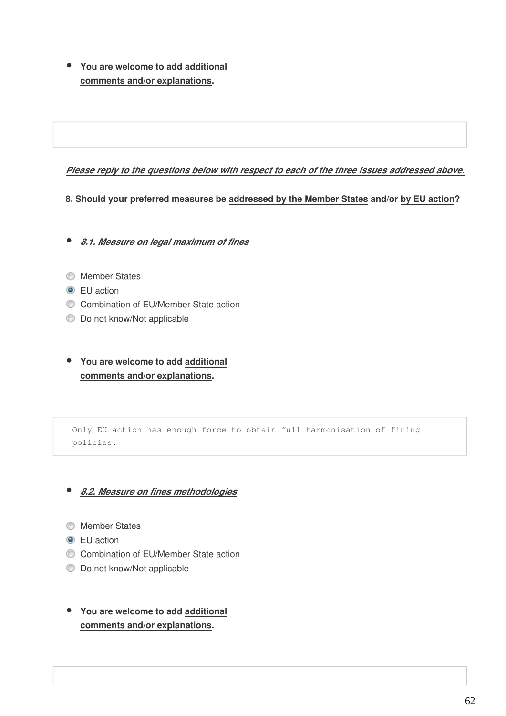**You are welcome to add additional comments and/or explanations.**

#### *Please reply to the questions below with respect to each of the three issues addressed above.*

**8. Should your preferred measures be addressed by the Member States and/or by EU action?**

*8.1. Measure on legal maximum of fines*

- **Member States**
- **O** EU action
- Combination of EU/Member State action
- $\bullet$  Do not know/Not applicable
- **You are welcome to add additional comments and/or explanations.**

Only EU action has enough force to obtain full harmonisation of fining policies.

#### *8.2. Measure on fines methodologies*

- **Member States**
- **O** EU action
- Combination of EU/Member State action
- $\bullet$  Do not know/Not applicable
- **You are welcome to add additional comments and/or explanations.**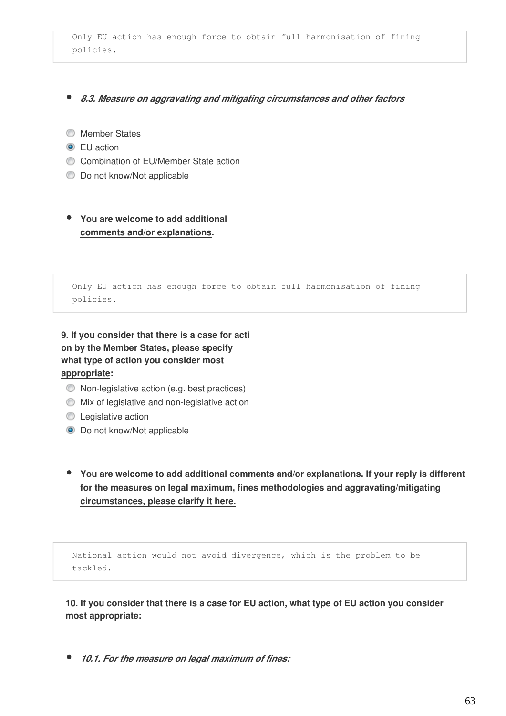Only EU action has enough force to obtain full harmonisation of fining policies.

#### *8.3. Measure on aggravating and mitigating circumstances and other factors*

- **Member States**
- **O** EU action
- Combination of EU/Member State action
- **Do not know/Not applicable**

**You are welcome to add additional comments and/or explanations.**

Only EU action has enough force to obtain full harmonisation of fining policies.

**9. If you consider that there is a case for acti on by the Member States, please specify what type of action you consider most appropriate:**

- Non-legislative action (e.g. best practices)
- $\bullet$  Mix of legislative and non-legislative action
- **C** Legislative action
- $\bullet$  Do not know/Not applicable
- **You are welcome to add additional comments and/or explanations. If your reply is different for the measures on legal maximum, fines methodologies and aggravating/mitigating circumstances, please clarify it here.**

National action would not avoid divergence, which is the problem to be tackled.

**10. If you consider that there is a case for EU action, what type of EU action you consider most appropriate:**

*10.1. For the measure on legal maximum of fines:*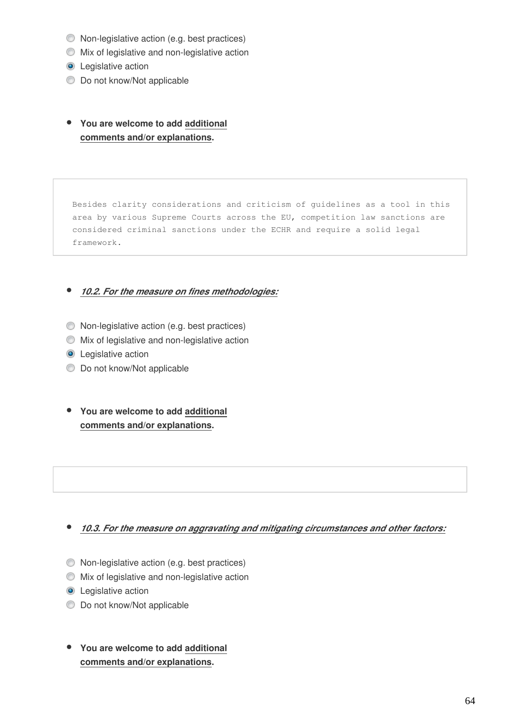- Non-legislative action (e.g. best practices)
- Mix of legislative and non-legislative action
- **O** Legislative action
- $\bullet$  Do not know/Not applicable
- **You are welcome to add additional comments and/or explanations.**

Besides clarity considerations and criticism of guidelines as a tool in this area by various Supreme Courts across the EU, competition law sanctions are considered criminal sanctions under the ECHR and require a solid legal framework.

## *10.2. For the measure on fines methodologies:*

- Non-legislative action (e.g. best practices)
- Mix of legislative and non-legislative action
- **O** Legislative action
- **Do not know/Not applicable**
- **You are welcome to add additional comments and/or explanations.**

#### *10.3. For the measure on aggravating and mitigating circumstances and other factors:*

- Non-legislative action (e.g. best practices)
- Mix of legislative and non-legislative action
- **O** Legislative action
- $\bullet$  Do not know/Not applicable
- **You are welcome to add additional comments and/or explanations.**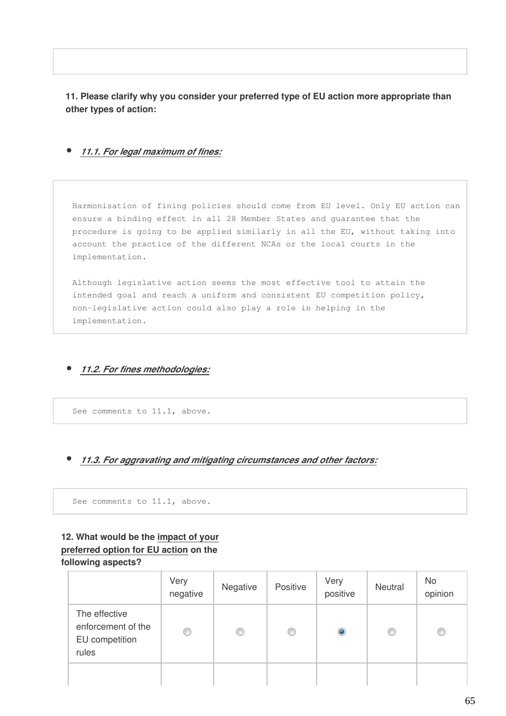**11. Please clarify why you consider your preferred type of EU action more appropriate than other types of action:**

#### *11.1. For legal maximum of fines:*

Harmonisation of fining policies should come from EU level. Only EU action can ensure a binding effect in all 28 Member States and guarantee that the procedure is going to be applied similarly in all the EU, without taking into account the practice of the different NCAs or the local courts in the implementation.

Although legislative action seems the most effective tool to attain the intended goal and reach a uniform and consistent EU competition policy, non-legislative action could also play a role in helping in the implementation.

*11.2. For fines methodologies:*

See comments to 11.1, above.

#### *11.3. For aggravating and mitigating circumstances and other factors:*

See comments to 11.1, above.

#### **12. What would be the impact of your preferred option for EU action on the following aspects?**

|                                                                | Very<br>negative | Negative | Positive | Very<br>positive | Neutral | No<br>opinion |
|----------------------------------------------------------------|------------------|----------|----------|------------------|---------|---------------|
| The effective<br>enforcement of the<br>EU competition<br>rules | 0                | ◎        | O        | $\bullet$        | C       | O             |
|                                                                |                  |          |          |                  |         |               |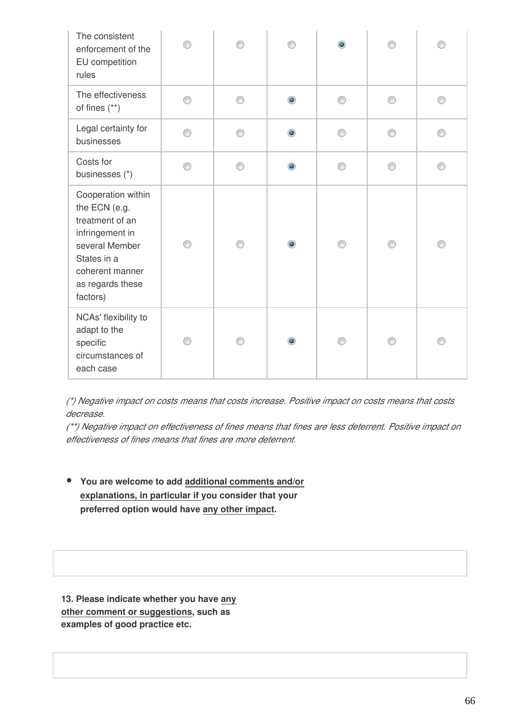| The consistent<br>enforcement of the<br>EU competition<br>rules                                                                                               |   |   |           | $\bullet$ |   |   |
|---------------------------------------------------------------------------------------------------------------------------------------------------------------|---|---|-----------|-----------|---|---|
| The effectiveness<br>of fines (**)                                                                                                                            | ⊙ | ∩ | $\bullet$ | ⊙         | ⊙ | ⊙ |
| Legal certainty for<br>businesses                                                                                                                             | ∩ | ⊙ | $\bullet$ | ⊙         | ⊙ | ⊙ |
| Costs for<br>businesses (*)                                                                                                                                   | ⊙ | ⊙ | ۰         | 0         | ⊙ | ⊙ |
| Cooperation within<br>the ECN (e.g.<br>treatment of an<br>infringement in<br>several Member<br>States in a<br>coherent manner<br>as regards these<br>factors) | ⋒ | ∩ | ۰         | ∩         | ⋒ | ∩ |
| NCAs' flexibility to<br>adapt to the<br>specific<br>circumstances of<br>each case                                                                             | ⋒ | ⊙ |           | ⋒         | ⋒ | ⋒ |

*(\*) Negative impact on costs means that costs increase. Positive impact on costs means that costs decrease.*

*(\*\*) Negative impact on effectiveness of fines means that fines are less deterrent. Positive impact on effectiveness of fines means that fines are more deterrent.*

**You are welcome to add additional comments and/or explanations, in particular if you consider that your preferred option would have any other impact.**

**13. Please indicate whether you have any other comment or suggestions, such as examples of good practice etc.**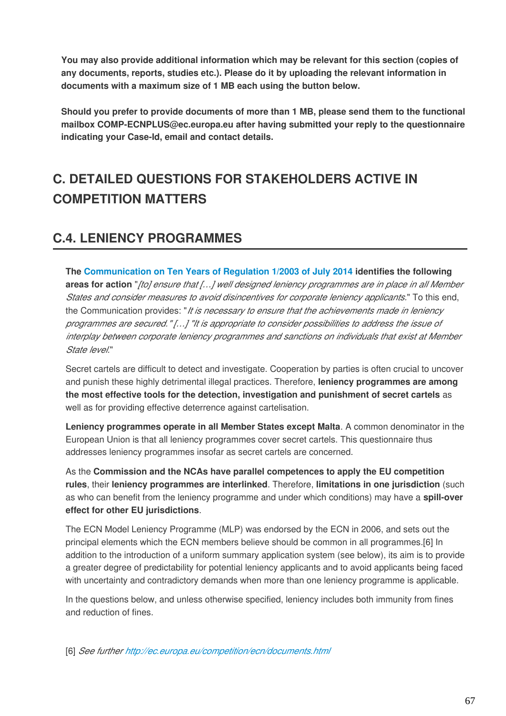**You may also provide additional information which may be relevant for this section (copies of any documents, reports, studies etc.). Please do it by uploading the relevant information in documents with a maximum size of 1 MB each using the button below.**

**Should you prefer to provide documents of more than 1 MB, please send them to the functional mailbox COMP-ECNPLUS@ec.europa.eu after having submitted your reply to the questionnaire indicating your Case-Id, email and contact details.**

# **C. DETAILED QUESTIONS FOR STAKEHOLDERS ACTIVE IN COMPETITION MATTERS**

## **C.4. LENIENCY PROGRAMMES**

**The [Communication on Ten Years of Regulation 1/2003 of July 2014](http://eur-lex.europa.eu/legal-content/EN/TXT/PDF/?uri=CELEX:52014DC0453&from=EN) identifies the following areas for action** "*[to] ensure that […] well designed leniency programmes are in place in all Member States and consider measures to avoid disincentives for corporate leniency applicants.*" To this end, the Communication provides: "*It is necessary to ensure that the achievements made in leniency programmes are secured." […] "It is appropriate to consider possibilities to address the issue of interplay between corporate leniency programmes and sanctions on individuals that exist at Member State level.*"

Secret cartels are difficult to detect and investigate. Cooperation by parties is often crucial to uncover and punish these highly detrimental illegal practices. Therefore, **leniency programmes are among the most effective tools for the detection, investigation and punishment of secret cartels** as well as for providing effective deterrence against cartelisation.

**Leniency programmes operate in all Member States except Malta**. A common denominator in the European Union is that all leniency programmes cover secret cartels. This questionnaire thus addresses leniency programmes insofar as secret cartels are concerned.

As the **Commission and the NCAs have parallel competences to apply the EU competition rules**, their **leniency programmes are interlinked**. Therefore, **limitations in one jurisdiction** (such as who can benefit from the leniency programme and under which conditions) may have a **spill-over effect for other EU jurisdictions**.

The ECN Model Leniency Programme (MLP) was endorsed by the ECN in 2006, and sets out the principal elements which the ECN members believe should be common in all programmes.[6] In addition to the introduction of a uniform summary application system (see below), its aim is to provide a greater degree of predictability for potential leniency applicants and to avoid applicants being faced with uncertainty and contradictory demands when more than one leniency programme is applicable.

In the questions below, and unless otherwise specified, leniency includes both immunity from fines and reduction of fines.

[6] *See further <http://ec.europa.eu/competition/ecn/documents.html>*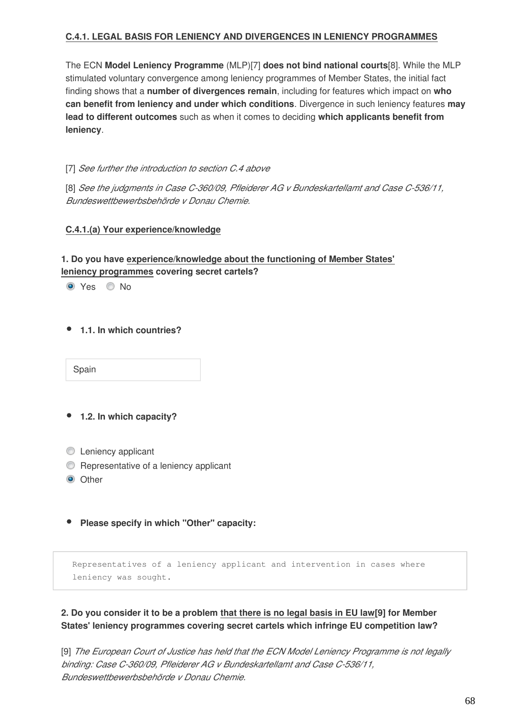### **C.4.1. LEGAL BASIS FOR LENIENCY AND DIVERGENCES IN LENIENCY PROGRAMMES**

The ECN **Model Leniency Programme** (MLP)[7] **does not bind national courts**[8]. While the MLP stimulated voluntary convergence among leniency programmes of Member States, the initial fact finding shows that a **number of divergences remain**, including for features which impact on **who can benefit from leniency and under which conditions**. Divergence in such leniency features **may lead to different outcomes** such as when it comes to deciding **which applicants benefit from leniency**.

[7] *See further the introduction to section C.4 above*

[8] *See the judgments in Case C-360/09, Pfleiderer AG v Bundeskartellamt and Case C‑536/11, Bundeswettbewerbsbehörde v Donau Chemie.*

#### **C.4.1.(a) Your experience/knowledge**

## **1. Do you have experience/knowledge about the functioning of Member States' leniency programmes covering secret cartels?**

O Yes C No

**1.1. In which countries?**

Spain

- **1.2. In which capacity?**
- **C** Leniency applicant
- **C** Representative of a leniency applicant
- $\odot$  Other

**Please specify in which "Other" capacity:**

Representatives of a leniency applicant and intervention in cases where leniency was sought.

## **2. Do you consider it to be a problem that there is no legal basis in EU law[9] for Member States' leniency programmes covering secret cartels which infringe EU competition law?**

[9] *The European Court of Justice has held that the ECN Model Leniency Programme is not legally binding: Case C-360/09, Pfleiderer AG v Bundeskartellamt and Case C‑536/11, Bundeswettbewerbsbehörde v Donau Chemie.*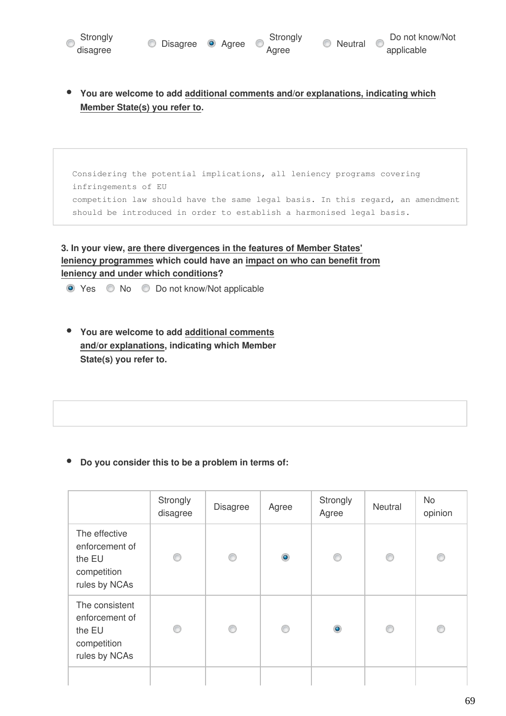

**You are welcome to add additional comments and/or explanations, indicating which Member State(s) you refer to.**

Considering the potential implications, all leniency programs covering infringements of EU competition law should have the same legal basis. In this regard, an amendment should be introduced in order to establish a harmonised legal basis.

## **3. In your view, are there divergences in the features of Member States' leniency programmes which could have an impact on who can benefit from leniency and under which conditions?**

● Yes ● No ● Do not know/Not applicable

**You are welcome to add additional comments and/or explanations, indicating which Member State(s) you refer to.**

#### **Do you consider this to be a problem in terms of:**

|                                                                            | Strongly<br>disagree | <b>Disagree</b> | Agree     | Strongly<br>Agree | Neutral | No<br>opinion |
|----------------------------------------------------------------------------|----------------------|-----------------|-----------|-------------------|---------|---------------|
| The effective<br>enforcement of<br>the EU<br>competition<br>rules by NCAs  | ⊙                    | ⊙               | $\bullet$ | ⊙                 | ⊙       | ∩             |
| The consistent<br>enforcement of<br>the EU<br>competition<br>rules by NCAs | ⊙                    | ⋒               | O         | $\bullet$         | ⊙       | ∩             |
|                                                                            |                      |                 |           |                   |         |               |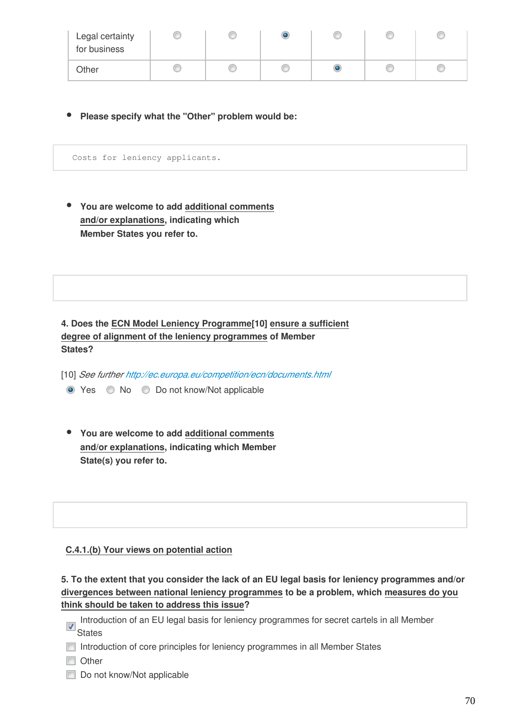| Legal certainty<br>for business |  |   |  |
|---------------------------------|--|---|--|
| Other                           |  | O |  |

**Please specify what the "Other" problem would be:**

Costs for leniency applicants.

**You are welcome to add additional comments and/or explanations, indicating which Member States you refer to.**

**4. Does the ECN Model Leniency Programme[10] ensure a sufficient degree of alignment of the leniency programmes of Member States?**

[10] *See further<http://ec.europa.eu/competition/ecn/documents.html>*

- Yes No Do not know/Not applicable
- **You are welcome to add additional comments and/or explanations, indicating which Member State(s) you refer to.**

#### **C.4.1.(b) Your views on potential action**

**5. To the extent that you consider the lack of an EU legal basis for leniency programmes and/or divergences between national leniency programmes to be a problem, which measures do you think should be taken to address this issue?**

- Introduction of an EU legal basis for leniency programmes for secret cartels in all Member **States**
- Introduction of core principles for leniency programmes in all Member States
- **Nother**
- Do not know/Not applicable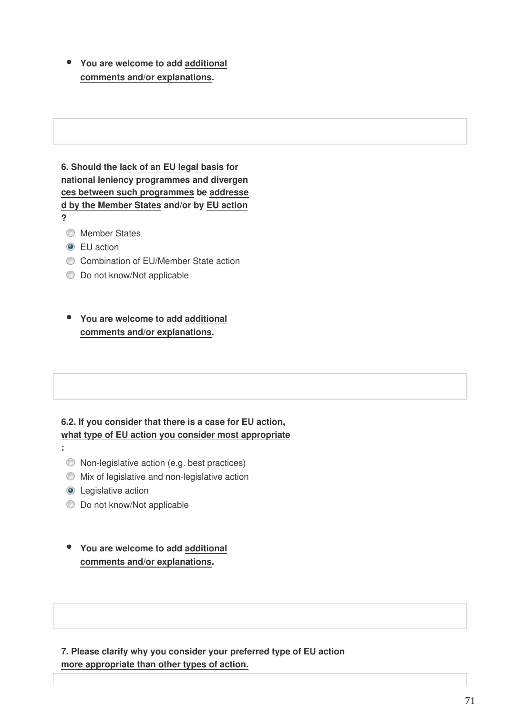**You are welcome to add additional**  $\bullet$ **comments and/or explanations.**

**6. Should the lack of an EU legal basis for national leniency programmes and divergen ces between such programmes be addresse d by the Member States and/or by EU action ?**

- **Member States**
- **O** EU action
- Combination of EU/Member State action
- **Do not know/Not applicable**

**You are welcome to add additional comments and/or explanations.**

#### **6.2. If you consider that there is a case for EU action, what type of EU action you consider most appropriate**

- Non-legislative action (e.g. best practices)
- Mix of legislative and non-legislative action
- **O** Legislative action

**:** 

- $\bullet$  Do not know/Not applicable
- **You are welcome to add additional comments and/or explanations.**

**7. Please clarify why you consider your preferred type of EU action more appropriate than other types of action.**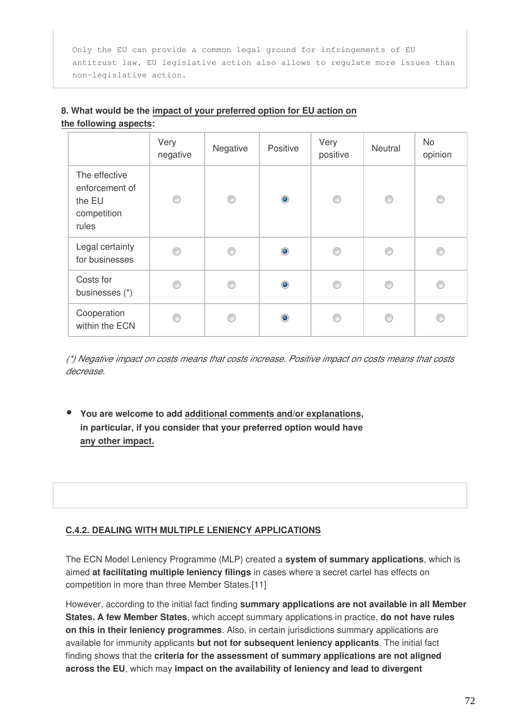Only the EU can provide a common legal ground for infringements of EU antitrust law. EU legislative action also allows to regulate more issues than non-legislative action.

|                                                                   | Very<br>negative | Negative | Positive       | Very<br>positive | Neutral | <b>No</b><br>opinion |
|-------------------------------------------------------------------|------------------|----------|----------------|------------------|---------|----------------------|
| The effective<br>enforcement of<br>the EU<br>competition<br>rules | O                | ◎        | $\bullet$      | ⊙                | ⊙       | ⋒                    |
| Legal certainty<br>for businesses                                 | ⋒                | ⋒        | $\circledcirc$ | €                | €       |                      |
| Costs for<br>businesses (*)                                       | C                | C        | $\bullet$      | C                | €       | ß                    |
| Cooperation<br>within the ECN                                     | ⋒                | €        | $\bullet$      | ⋒                |         |                      |

## **8. What would be the impact of your preferred option for EU action on the following aspects:**

*(\*) Negative impact on costs means that costs increase. Positive impact on costs means that costs decrease.*

**You are welcome to add additional comments and/or explanations, in particular, if you consider that your preferred option would have any other impact.**

## **C.4.2. DEALING WITH MULTIPLE LENIENCY APPLICATIONS**

The ECN Model Leniency Programme (MLP) created a **system of summary applications**, which is aimed **at facilitating multiple leniency filings** in cases where a secret cartel has effects on competition in more than three Member States.[11]

However, according to the initial fact finding **summary applications are not available in all Member States. A few Member States**, which accept summary applications in practice, **do not have rules on this in their leniency programmes**. Also, in certain jurisdictions summary applications are available for immunity applicants **but not for subsequent leniency applicants**. The initial fact finding shows that the **criteria for the assessment of summary applications are not aligned across the EU**, which may **impact on the availability of leniency and lead to divergent**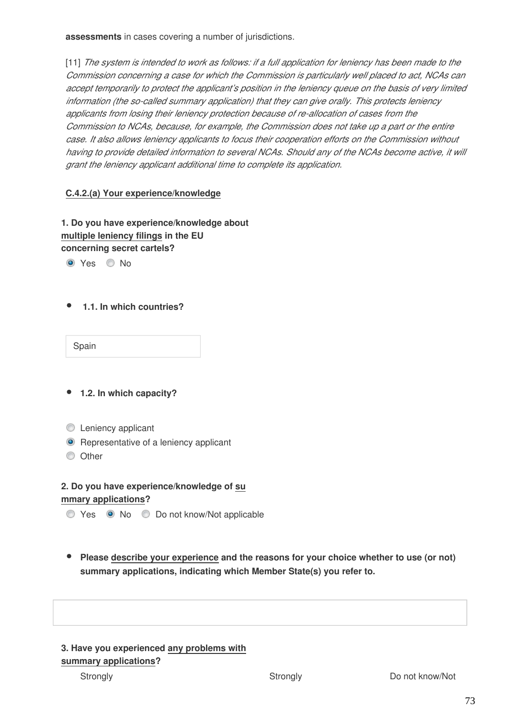**assessments** in cases covering a number of jurisdictions.

[11] *The system is intended to work as follows: if a full application for leniency has been made to the Commission concerning a case for which the Commission is particularly well placed to act, NCAs can accept temporarily to protect the applicant's position in the leniency queue on the basis of very limited information (the so-called summary application) that they can give orally. This protects leniency applicants from losing their leniency protection because of re-allocation of cases from the Commission to NCAs, because, for example, the Commission does not take up a part or the entire case. It also allows leniency applicants to focus their cooperation efforts on the Commission without having to provide detailed information to several NCAs. Should any of the NCAs become active, it will grant the leniency applicant additional time to complete its application.*

#### **C.4.2.(a) Your experience/knowledge**

**1. Do you have experience/knowledge about multiple leniency filings in the EU concerning secret cartels?** 

O Yes O No

 **1.1. In which countries?**

Spain

- **1.2. In which capacity?**
- **C** Leniency applicant
- **•** Representative of a leniency applicant
- **O** Other

**2. Do you have experience/knowledge of su mmary applications?**

Yes No Do not know/Not applicable

**Please describe your experience and the reasons for your choice whether to use (or not) summary applications, indicating which Member State(s) you refer to.**

## **3. Have you experienced any problems with summary applications?**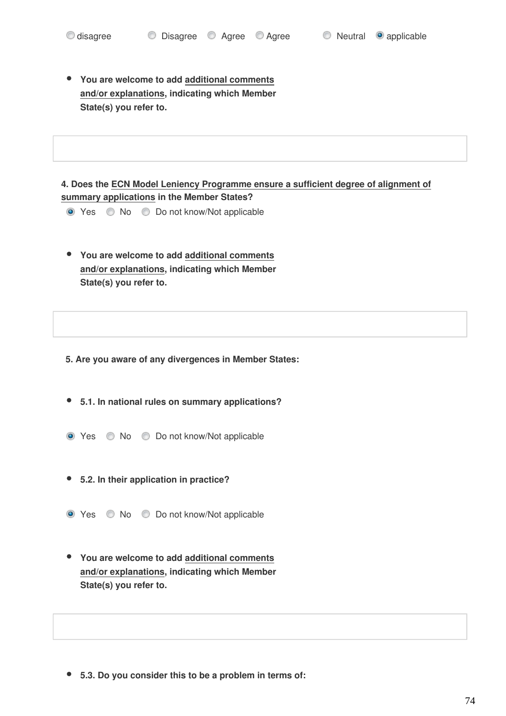**You are welcome to add additional comments and/or explanations, indicating which Member State(s) you refer to.**

**4. Does the ECN Model Leniency Programme ensure a sufficient degree of alignment of summary applications in the Member States?**

- Yes No Do not know/Not applicable
- **You are welcome to add additional comments and/or explanations, indicating which Member State(s) you refer to.**

**5. Are you aware of any divergences in Member States:**

**5.1. In national rules on summary applications?**

- Yes No Do not know/Not applicable
- **5.2. In their application in practice?**
- Yes No Do not know/Not applicable
- **You are welcome to add additional comments and/or explanations, indicating which Member State(s) you refer to.**

**5.3. Do you consider this to be a problem in terms of:**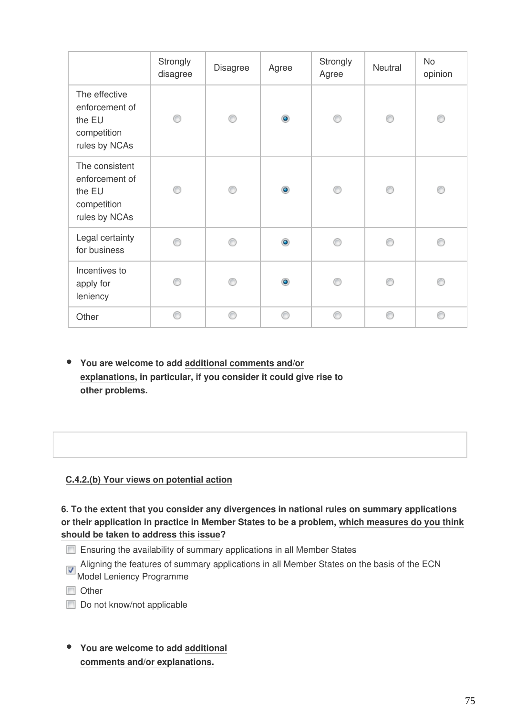|                                                                            | Strongly<br>disagree | <b>Disagree</b> | Agree     | Strongly<br>Agree | Neutral | No<br>opinion |
|----------------------------------------------------------------------------|----------------------|-----------------|-----------|-------------------|---------|---------------|
| The effective<br>enforcement of<br>the EU<br>competition<br>rules by NCAs  | ⋒                    |                 | $\bullet$ |                   | ⋒       | ∩             |
| The consistent<br>enforcement of<br>the EU<br>competition<br>rules by NCAs |                      |                 | $\bullet$ |                   |         |               |
| Legal certainty<br>for business                                            | A                    |                 | $\bullet$ |                   | ⋒       |               |
| Incentives to<br>apply for<br>leniency                                     | e                    |                 | $\bullet$ |                   |         |               |
| Other                                                                      | ⋒                    | ⋒               | ⋒         | ⋒                 | ⋒       | ∩             |

**You are welcome to add additional comments and/or explanations, in particular, if you consider it could give rise to other problems.**

## **C.4.2.(b) Your views on potential action**

**6. To the extent that you consider any divergences in national rules on summary applications or their application in practice in Member States to be a problem, which measures do you think should be taken to address this issue?**

- Ensuring the availability of summary applications in all Member States
- Aligning the features of summary applications in all Member States on the basis of the ECN Model Leniency Programme
- Other
- Do not know/not applicable
- **You are welcome to add additional comments and/or explanations.**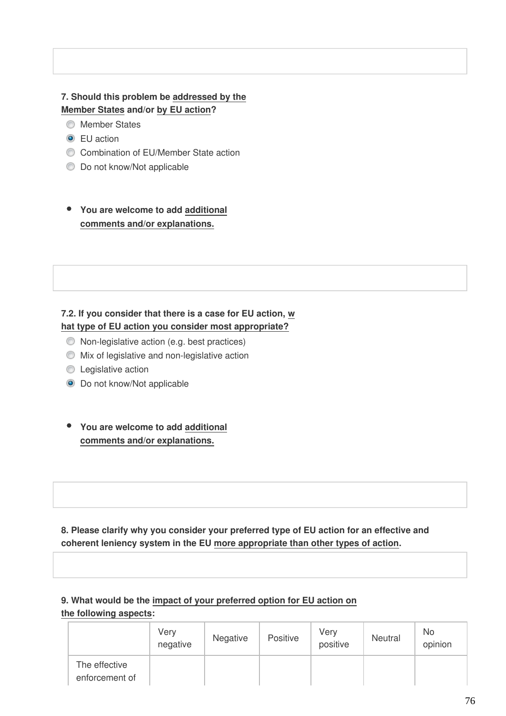## **7. Should this problem be addressed by the Member States and/or by EU action?**

- **Member States**
- **O** EU action
- Combination of EU/Member State action
- $\bullet$  Do not know/Not applicable

## **You are welcome to add additional comments and/or explanations.**

## **7.2. If you consider that there is a case for EU action, w hat type of EU action you consider most appropriate?**

- Non-legislative action (e.g. best practices)
- Mix of legislative and non-legislative action
- **C** Legislative action
- **O** Do not know/Not applicable
- **You are welcome to add additional comments and/or explanations.**

**8. Please clarify why you consider your preferred type of EU action for an effective and coherent leniency system in the EU more appropriate than other types of action.**

#### **9. What would be the impact of your preferred option for EU action on the following aspects:**

|                                 | Very<br>negative | Negative | Positive | Very<br>positive | Neutral | No.<br>opinion |
|---------------------------------|------------------|----------|----------|------------------|---------|----------------|
| The effective<br>enforcement of |                  |          |          |                  |         |                |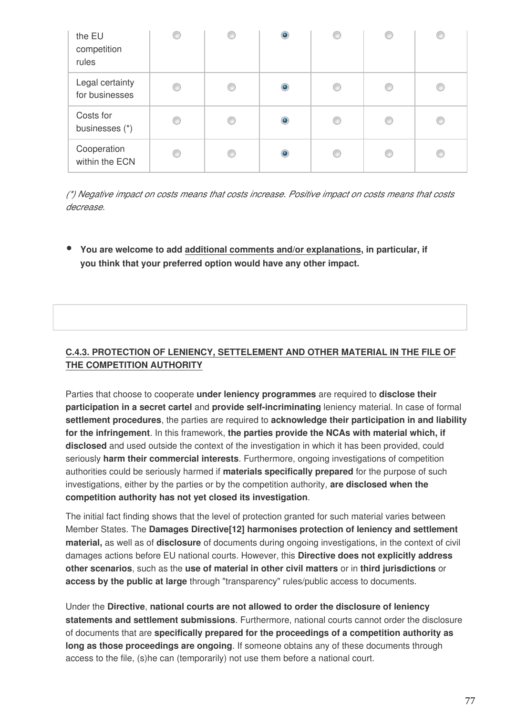| the EU<br>competition<br>rules    |   | C | $\bullet$      |   | C |   |
|-----------------------------------|---|---|----------------|---|---|---|
| Legal certainty<br>for businesses | C | C | $\circledcirc$ | € | € | ⋒ |
| Costs for<br>businesses (*)       | O | € | $\circledcirc$ | O | O | O |
| Cooperation<br>within the ECN     | C | € | $\circledcirc$ | O | C | ∩ |

*(\*) Negative impact on costs means that costs increase. Positive impact on costs means that costs decrease.*

**You are welcome to add additional comments and/or explanations, in particular, if you think that your preferred option would have any other impact.**

## **C.4.3. PROTECTION OF LENIENCY, SETTELEMENT AND OTHER MATERIAL IN THE FILE OF THE COMPETITION AUTHORITY**

Parties that choose to cooperate **under leniency programmes** are required to **disclose their participation in a secret cartel** and **provide self-incriminating** leniency material. In case of formal **settlement procedures**, the parties are required to **acknowledge their participation in and liability for the infringement**. In this framework, **the parties provide the NCAs with material which, if disclosed** and used outside the context of the investigation in which it has been provided, could seriously **harm their commercial interests**. Furthermore, ongoing investigations of competition authorities could be seriously harmed if **materials specifically prepared** for the purpose of such investigations, either by the parties or by the competition authority, **are disclosed when the competition authority has not yet closed its investigation**.

The initial fact finding shows that the level of protection granted for such material varies between Member States. The **Damages Directive[12] harmonises protection of leniency and settlement material,** as well as of **disclosure** of documents during ongoing investigations, in the context of civil damages actions before EU national courts. However, this **Directive does not explicitly address other scenarios**, such as the **use of material in other civil matters** or in **third jurisdictions** or **access by the public at large** through "transparency" rules/public access to documents.

Under the **Directive**, **national courts are not allowed to order the disclosure of leniency statements and settlement submissions**. Furthermore, national courts cannot order the disclosure of documents that are **specifically prepared for the proceedings of a competition authority as long as those proceedings are ongoing**. If someone obtains any of these documents through access to the file, (s)he can (temporarily) not use them before a national court.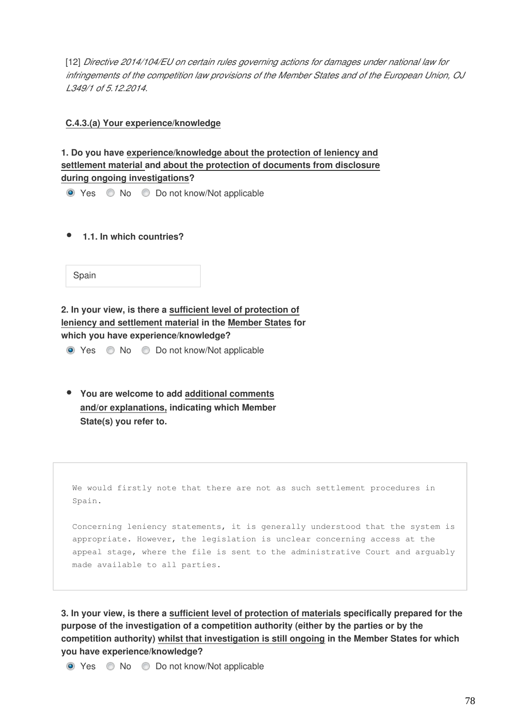[12] *Directive 2014/104/EU on certain rules governing actions for damages under national law for infringements of the competition law provisions of the Member States and of the European Union, OJ L349/1 of 5.12.2014.*

**C.4.3.(a) Your experience/knowledge**

**1. Do you have experience/knowledge about the protection of leniency and settlement material and about the protection of documents from disclosure during ongoing investigations?**

● Yes ● No ● Do not know/Not applicable

 **1.1. In which countries?**

Spain

**2. In your view, is there a sufficient level of protection of leniency and settlement material in the Member States for which you have experience/knowledge?**

● Yes ● No ● Do not know/Not applicable

**You are welcome to add additional comments and/or explanations, indicating which Member State(s) you refer to.**

We would firstly note that there are not as such settlement procedures in Spain.

Concerning leniency statements, it is generally understood that the system is appropriate. However, the legislation is unclear concerning access at the appeal stage, where the file is sent to the administrative Court and arguably made available to all parties.

**3. In your view, is there a sufficient level of protection of materials specifically prepared for the purpose of the investigation of a competition authority (either by the parties or by the competition authority) whilst that investigation is still ongoing in the Member States for which you have experience/knowledge?**

● Yes ● No ● Do not know/Not applicable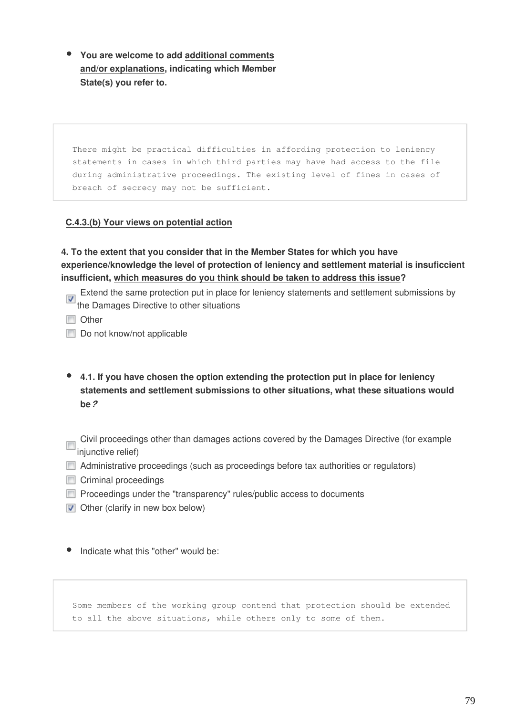**You are welcome to add additional comments and/or explanations, indicating which Member State(s) you refer to.**

There might be practical difficulties in affording protection to leniency statements in cases in which third parties may have had access to the file during administrative proceedings. The existing level of fines in cases of breach of secrecy may not be sufficient.

#### **C.4.3.(b) Your views on potential action**

**4. To the extent that you consider that in the Member States for which you have experience/knowledge the level of protection of leniency and settlement material is insuficcient insufficient, which measures do you think should be taken to address this issue?**

Extend the same protection put in place for leniency statements and settlement submissions by The Damages Directive to other situations

**n** Other

Do not know/not applicable

- **4.1. If you have chosen the option extending the protection put in place for leniency statements and settlement submissions to other situations, what these situations would be***?*
- Civil proceedings other than damages actions covered by the Damages Directive (for example injunctive relief)
- Administrative proceedings (such as proceedings before tax authorities or regulators)
- Criminal proceedings
- **Proceedings under the "transparency" rules/public access to documents**
- $\triangledown$  Other (clarify in new box below)

Indicate what this "other" would be:

Some members of the working group contend that protection should be extended to all the above situations, while others only to some of them.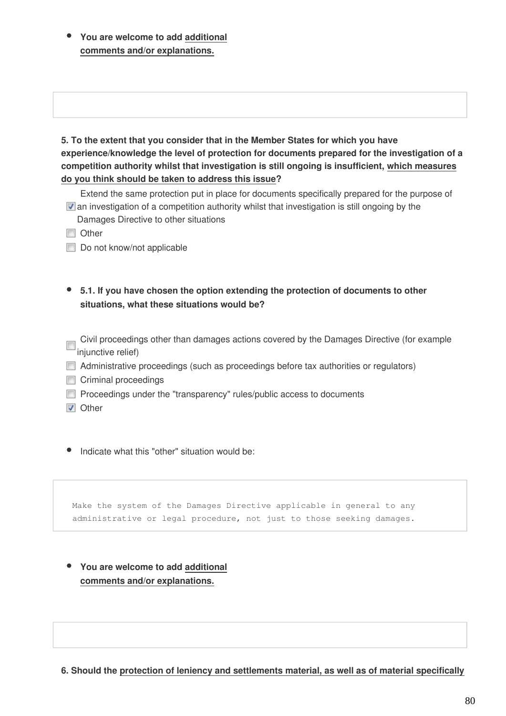**You are welcome to add additional comments and/or explanations.**

**5. To the extent that you consider that in the Member States for which you have experience/knowledge the level of protection for documents prepared for the investigation of a competition authority whilst that investigation is still ongoing is insufficient, which measures do you think should be taken to address this issue?**

Extend the same protection put in place for documents specifically prepared for the purpose of  $\triangledown$  an investigation of a competition authority whilst that investigation is still ongoing by the Damages Directive to other situations

**Other** 

Do not know/not applicable

**5.1. If you have chosen the option extending the protection of documents to other situations, what these situations would be?**

Civil proceedings other than damages actions covered by the Damages Directive (for example injunctive relief)

- Administrative proceedings (such as proceedings before tax authorities or regulators)
- Criminal proceedings
- **Proceedings under the "transparency" rules/public access to documents**
- **V** Other

• Indicate what this "other" situation would be:

Make the system of the Damages Directive applicable in general to any administrative or legal procedure, not just to those seeking damages.

**You are welcome to add additional comments and/or explanations.**

**6. Should the protection of leniency and settlements material, as well as of material specifically**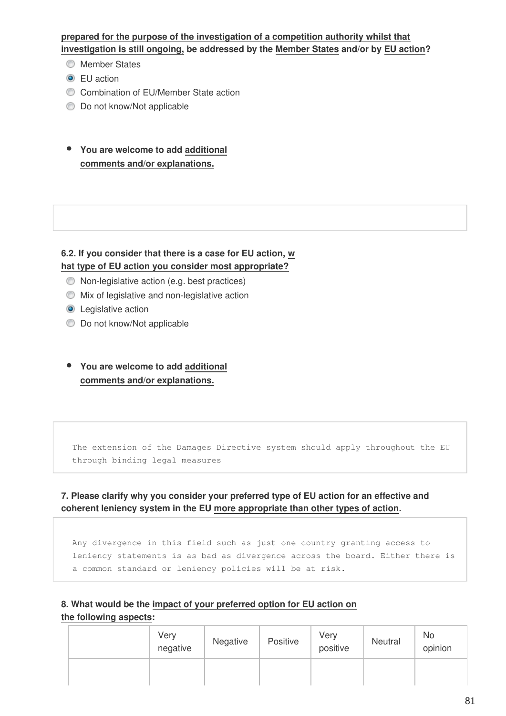**prepared for the purpose of the investigation of a competition authority whilst that investigation is still ongoing, be addressed by the Member States and/or by EU action?**

- **Member States**
- **O** EU action
- Combination of EU/Member State action
- $\bullet$  Do not know/Not applicable
- **You are welcome to add additional comments and/or explanations.**

#### **6.2. If you consider that there is a case for EU action, w hat type of EU action you consider most appropriate?**

- Non-legislative action (e.g. best practices)
- Mix of legislative and non-legislative action
- **O** Legislative action
- $\bullet$  Do not know/Not applicable
- **You are welcome to add additional comments and/or explanations.**

The extension of the Damages Directive system should apply throughout the EU through binding legal measures

#### **7. Please clarify why you consider your preferred type of EU action for an effective and coherent leniency system in the EU more appropriate than other types of action.**

Any divergence in this field such as just one country granting access to leniency statements is as bad as divergence across the board. Either there is a common standard or leniency policies will be at risk.

## **8. What would be the impact of your preferred option for EU action on the following aspects:**

| Very<br>negative | Negative | Positive | Very<br>positive | Neutral | No<br>opinion |
|------------------|----------|----------|------------------|---------|---------------|
|                  |          |          |                  |         |               |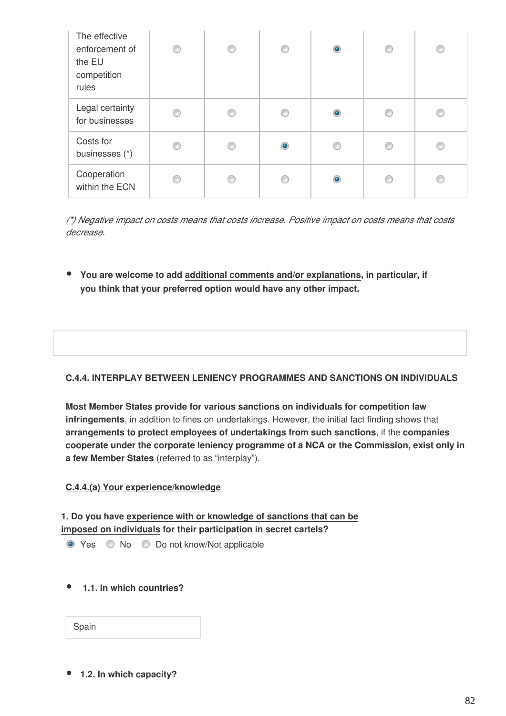| The effective<br>enforcement of<br>the EU<br>competition<br>rules | ⊙ | O | O              | $\bullet$ | C | ∩ |
|-------------------------------------------------------------------|---|---|----------------|-----------|---|---|
| Legal certainty<br>for businesses                                 | ∩ | C | C              | $\bullet$ |   | e |
| Costs for<br>businesses (*)                                       | ◎ | € | $\circledcirc$ | ◎         | n | ⋒ |
| Cooperation<br>within the ECN                                     |   | C | C              | ۵         |   | ß |

*(\*) Negative impact on costs means that costs increase. Positive impact on costs means that costs decrease.*

**You are welcome to add additional comments and/or explanations, in particular, if you think that your preferred option would have any other impact.**

## **C.4.4. INTERPLAY BETWEEN LENIENCY PROGRAMMES AND SANCTIONS ON INDIVIDUALS**

**Most Member States provide for various sanctions on individuals for competition law infringements**, in addition to fines on undertakings. However, the initial fact finding shows that **arrangements to protect employees of undertakings from such sanctions**, if the **companies cooperate under the corporate leniency programme of a NCA or the Commission, exist only in a few Member States** (referred to as "interplay").

#### **C.4.4.(a) Your experience/knowledge**

**1. Do you have experience with or knowledge of sanctions that can be imposed on individuals for their participation in secret cartels?** 

● Yes ● No ● Do not know/Not applicable

 **1.1. In which countries?**

| Spain |  |
|-------|--|
|-------|--|

**1.2. In which capacity?**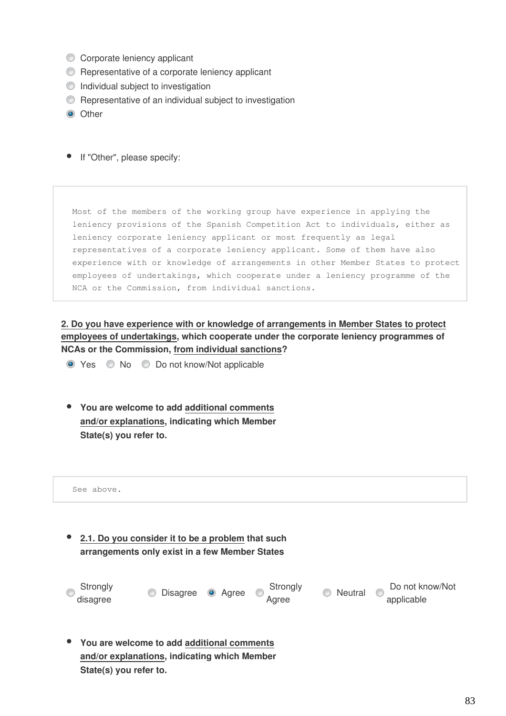- Corporate leniency applicant
- **C** Representative of a corporate leniency applicant
- $\bullet$  Individual subject to investigation
- **C** Representative of an individual subject to investigation
- **O** Other
- If "Other", please specify:

Most of the members of the working group have experience in applying the leniency provisions of the Spanish Competition Act to individuals, either as leniency corporate leniency applicant or most frequently as legal representatives of a corporate leniency applicant. Some of them have also experience with or knowledge of arrangements in other Member States to protect employees of undertakings, which cooperate under a leniency programme of the NCA or the Commission, from individual sanctions.

**2. Do you have experience with or knowledge of arrangements in Member States to protect employees of undertakings, which cooperate under the corporate leniency programmes of NCAs or the Commission, from individual sanctions?**

● Yes ● No ● Do not know/Not applicable

**You are welcome to add additional comments and/or explanations, indicating which Member State(s) you refer to.**

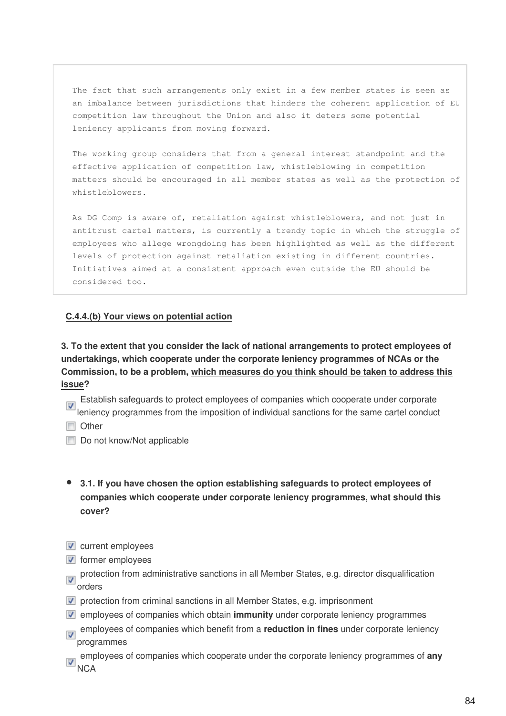The fact that such arrangements only exist in a few member states is seen as an imbalance between jurisdictions that hinders the coherent application of EU competition law throughout the Union and also it deters some potential leniency applicants from moving forward.

The working group considers that from a general interest standpoint and the effective application of competition law, whistleblowing in competition matters should be encouraged in all member states as well as the protection of whistleblowers.

As DG Comp is aware of, retaliation against whistleblowers, and not just in antitrust cartel matters, is currently a trendy topic in which the struggle of employees who allege wrongdoing has been highlighted as well as the different levels of protection against retaliation existing in different countries. Initiatives aimed at a consistent approach even outside the EU should be considered too.

#### **C.4.4.(b) Your views on potential action**

**3. To the extent that you consider the lack of national arrangements to protect employees of undertakings, which cooperate under the corporate leniency programmes of NCAs or the Commission, to be a problem, which measures do you think should be taken to address this issue?**

Establish safeguards to protect employees of companies which cooperate under corporate leniency programmes from the imposition of individual sanctions for the same cartel conduct

- **Other**
- Do not know/Not applicable
- **3.1. If you have chosen the option establishing safeguards to protect employees of companies which cooperate under corporate leniency programmes, what should this cover?**
- $\triangledown$  current employees
- $\blacksquare$  former employees
- protection from administrative sanctions in all Member States, e.g. director disqualification  $\overline{\mathbf{v}}$  protect
- $\triangledown$  protection from criminal sanctions in all Member States, e.g. imprisonment
- employees of companies which obtain **immunity** under corporate leniency programmes
- employees of companies which benefit from a **reduction in fines** under corporate leniency programmes
- employees of companies which cooperate under the corporate leniency programmes of **any** NCA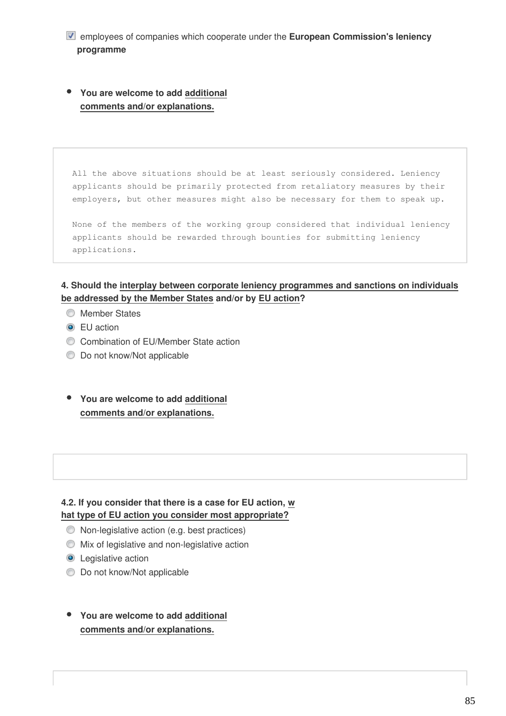- employees of companies which cooperate under the **European Commission's leniency programme**
- **You are welcome to add additional comments and/or explanations.**

All the above situations should be at least seriously considered. Leniency applicants should be primarily protected from retaliatory measures by their employers, but other measures might also be necessary for them to speak up.

None of the members of the working group considered that individual leniency applicants should be rewarded through bounties for submitting leniency applications.

## **4. Should the interplay between corporate leniency programmes and sanctions on individuals be addressed by the Member States and/or by EU action?**

- **Member States**
- **O** EU action
- Combination of EU/Member State action
- $\bullet$  Do not know/Not applicable
- **You are welcome to add additional comments and/or explanations.**

#### **4.2. If you consider that there is a case for EU action, w hat type of EU action you consider most appropriate?**

- Non-legislative action (e.g. best practices)
- Mix of legislative and non-legislative action
- **O** Legislative action
- **Do not know/Not applicable**
- **You are welcome to add additional comments and/or explanations.**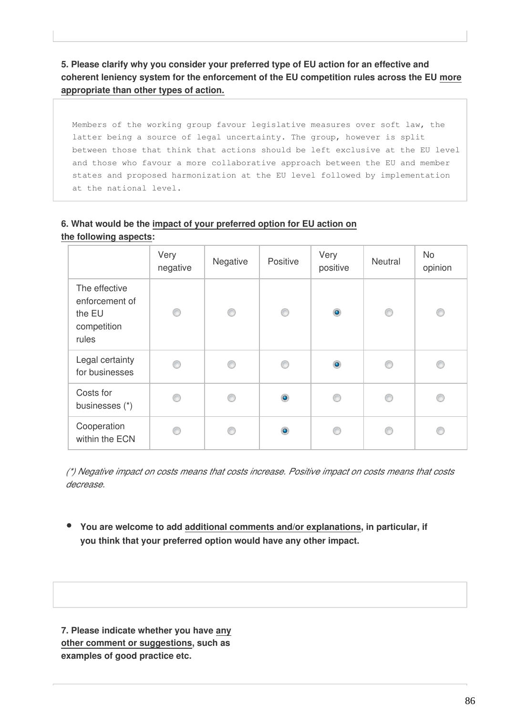**5. Please clarify why you consider your preferred type of EU action for an effective and coherent leniency system for the enforcement of the EU competition rules across the EU more appropriate than other types of action.**

Members of the working group favour legislative measures over soft law, the latter being a source of legal uncertainty. The group, however is split between those that think that actions should be left exclusive at the EU level and those who favour a more collaborative approach between the EU and member states and proposed harmonization at the EU level followed by implementation at the national level.

#### **6. What would be the impact of your preferred option for EU action on the following aspects:**

|                                                                   | Very<br>negative | Negative | Positive  | Very<br>positive | Neutral | <b>No</b><br>opinion |
|-------------------------------------------------------------------|------------------|----------|-----------|------------------|---------|----------------------|
| The effective<br>enforcement of<br>the EU<br>competition<br>rules | ⊙                | ⊙        | 0         | $\bullet$        | ⊙       | ∩                    |
| Legal certainty<br>for businesses                                 | ◉                | C        | €         | $\bullet$        | ⋒       |                      |
| Costs for<br>businesses (*)                                       | C                | C        | $\bullet$ | €                | C       |                      |
| Cooperation<br>within the ECN                                     | C                | ⋒        | $\bullet$ |                  | C       |                      |

*(\*) Negative impact on costs means that costs increase. Positive impact on costs means that costs decrease.*

**You are welcome to add additional comments and/or explanations, in particular, if you think that your preferred option would have any other impact.**

**7. Please indicate whether you have any other comment or suggestions, such as examples of good practice etc.**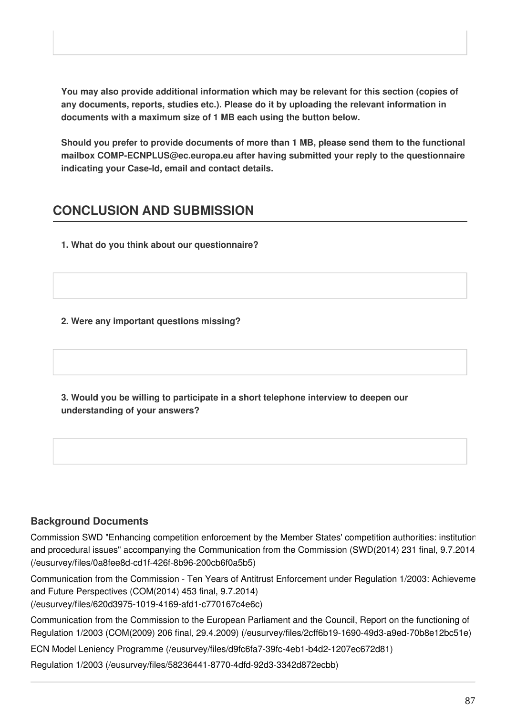**You may also provide additional information which may be relevant for this section (copies of any documents, reports, studies etc.). Please do it by uploading the relevant information in documents with a maximum size of 1 MB each using the button below.**

**Should you prefer to provide documents of more than 1 MB, please send them to the functional mailbox COMP-ECNPLUS@ec.europa.eu after having submitted your reply to the questionnaire indicating your Case-Id, email and contact details.**

# **CONCLUSION AND SUBMISSION**

**1. What do you think about our questionnaire?**

## **2. Were any important questions missing?**

**3. Would you be willing to participate in a short telephone interview to deepen our understanding of your answers?**

## **Background Documents**

Commission SWD "Enhancing competition enforcement by the Member States' competition authorities: institutior [and procedural issues" accompanying the Communication from the Commission \(SWD\(2014\) 231 final, 9.7.2014\)](https://ec.europa.eu/eusurvey/files/0a8fee8d-cd1f-426f-8b96-200cb6f0a5b5) [\(/eusurvey/files/0a8fee8d-cd1f-426f-8b96-200cb6f0a5b5\)](https://ec.europa.eu/eusurvey/files/0a8fee8d-cd1f-426f-8b96-200cb6f0a5b5)

Communication from the Commission - Ten Years of Antitrust Enforcement under Regulation 1/2003: Achieveme [and Future Perspectives \(COM\(2014\) 453 final, 9.7.2014\)](https://ec.europa.eu/eusurvey/files/620d3975-1019-4169-afd1-c770167c4e6c) [\(/eusurvey/files/620d3975-1019-4169-afd1-c770167c4e6c\)](https://ec.europa.eu/eusurvey/files/620d3975-1019-4169-afd1-c770167c4e6c)

[Communication from the Commission to the European Parliament and the Council, Report on the functioning of](https://ec.europa.eu/eusurvey/files/2cff6b19-1690-49d3-a9ed-70b8e12bc51e) [Regulation 1/2003 \(COM\(2009\) 206 final, 29.4.2009\) \(/eusurvey/files/2cff6b19-1690-49d3-a9ed-70b8e12bc51e\)](https://ec.europa.eu/eusurvey/files/2cff6b19-1690-49d3-a9ed-70b8e12bc51e)

[ECN Model Leniency Programme \(/eusurvey/files/d9fc6fa7-39fc-4eb1-b4d2-1207ec672d81\)](https://ec.europa.eu/eusurvey/files/d9fc6fa7-39fc-4eb1-b4d2-1207ec672d81)

[Regulation 1/2003 \(/eusurvey/files/58236441-8770-4dfd-92d3-3342d872ecbb\)](https://ec.europa.eu/eusurvey/files/58236441-8770-4dfd-92d3-3342d872ecbb)